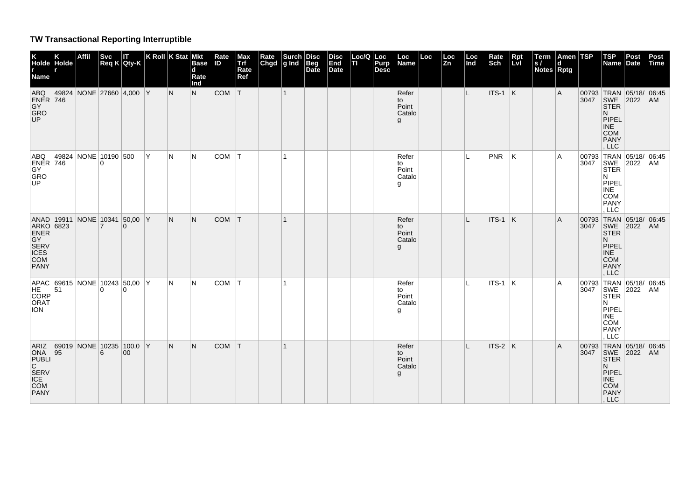## **TW Transactional Reporting Interruptible**

| K<br>Holde Holde<br>Name                                                           |                      | <b>Affil</b> | <b>Svc</b>     | Svc IT<br>Req K Qty-K          |   | K Roll $K$ Stat Mkt | <b>Base</b><br>d<br>Rate<br>Ind | Rate<br><b>ID</b> | Max<br>Trf<br>Rate<br>Ref | Rate<br>Chgd $ g $ Ind | Surch Disc | Beg<br>Date | <b>Disc</b><br>End<br>Date | Loc/Q<br>TI | Loc<br>Purp<br><b>Desc</b> | Loc<br>Name                         | Loc | Loc<br><b>Zn</b> | Loc<br>Ind | Rate<br>Sch | Rpt<br>Lvl | Term<br> s <br>Notes Rptg | Amen TSP<br><b>d</b> |               | <b>TSP</b><br><b>Name</b>                                                                                              | Post<br>Date | Post<br><b>Time</b> |
|------------------------------------------------------------------------------------|----------------------|--------------|----------------|--------------------------------|---|---------------------|---------------------------------|-------------------|---------------------------|------------------------|------------|-------------|----------------------------|-------------|----------------------------|-------------------------------------|-----|------------------|------------|-------------|------------|---------------------------|----------------------|---------------|------------------------------------------------------------------------------------------------------------------------|--------------|---------------------|
| <b>ABQ</b><br><b>ENER</b> 746<br>GY<br>GRO<br>UP.                                  | 49824                |              |                | NONE 27660 4,000 Y             |   | IN.                 | N.                              | COM T             |                           |                        | $\vert$ 1  |             |                            |             |                            | Refer<br>to<br>Point<br>Catalo<br>g |     |                  | L          | $ITS-1$ K   |            |                           | A                    |               | 00793 TRAN 05/18/ 06:45<br>3047 SWE 2022 AM<br>STER<br>N.<br>PIPEL<br><b>INE</b><br><b>COM</b><br>PANY<br>, LLC        |              |                     |
| ABQ<br>$ENER$ 746<br>GY<br>GRO<br>UP                                               | 49824 NONE 10190 500 |              | 0              |                                | Y | N                   | N                               | COM               | T                         |                        |            |             |                            |             |                            | Refer<br>to<br>Point<br>Catalo<br>g |     |                  | L          | <b>PNR</b>  | ΙK         |                           | Α                    | 00793<br>3047 | TRAN 05/18/<br>SWE 2022<br><b>STER</b><br>N<br>PIPEL<br><b>INE</b><br>COM<br><b>PANY</b><br>LLC                        |              | 06:45<br>AM         |
| ANAD 19911<br>ARKO 6823<br><b>ENER</b><br>GY<br>SERV<br>ICES<br><b>COM</b><br>PANY |                      |              | $\overline{7}$ | NONE 10341 50,00 Y<br>$\Omega$ |   | N                   | N                               | <b>COM</b>        | T                         |                        |            |             |                            |             |                            | Refer<br>to<br>Point<br>Catalo<br>g |     |                  | L          | $ITS-1$ K   |            |                           | Α                    | 3047          | 00793 TRAN 05/18/ 06:45<br>SWE 2022<br><b>STER</b><br>N.<br>PIPEL<br>INE<br><b>COM</b><br><b>PANY</b><br>LLC           |              | AM                  |
| APAC 69615 NONE 10243 50,00 Y<br>CORP<br>ORAT<br><b>ION</b>                        |                      |              |                |                                |   | N                   | N                               | <b>COM</b>        | T                         |                        |            |             |                            |             |                            | Refer<br>to<br>Point<br>Catalo<br>g |     |                  | L          | ITS-1 $ K $ |            |                           | Α                    |               | 00793 TRAN 05/18/ 06:45<br>3047 SWE 2022 AM<br><b>STER</b><br>N<br>PIPEL<br><b>INE</b><br>COM<br><b>PANY</b><br>LLC    |              |                     |
| ARIZ<br>ONA $ 95$<br>PUBLI<br>C<br>SERV<br>ICE<br>COM<br>PANY                      |                      |              | 6              | 69019 NONE 10235 100,0 Y<br>00 |   | N                   | N                               | <b>COM</b>        | T                         |                        |            |             |                            |             |                            | Refer<br>to<br>Point<br>Catalo<br>g |     |                  | L          | $ITS-2$ K   |            |                           | A                    |               | 00793 TRAN 05/18/ 06:45<br>3047 SWE 2022 AM<br><b>STER</b><br>N.<br><b>PIPEL</b><br><b>INE</b><br>COM<br>PANY<br>, LLC |              |                     |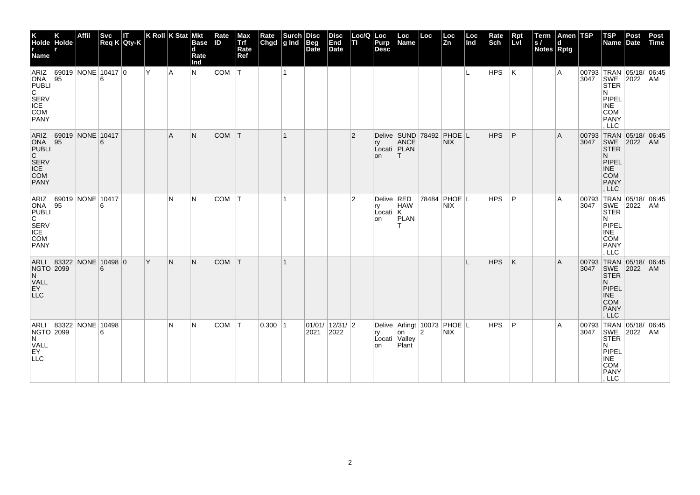| K<br>Holde Holde<br>r<br>Name                                                            |    | <b>Affil</b>              | <b>Svc</b> | IΤ<br>$Req K$ Qty-K |    | K Roll $K$ Stat Mkt | <b>Base</b><br>$\mathbf d$<br>Rate<br>Ind | Rate<br><b>ID</b> | Max<br>Trf<br>Rate<br>Ref | Rate<br>Chgd | Surch<br>g Ind | Disc<br>Beg<br>Date      | <b>Disc</b><br>End<br>Date | Loc/Q<br>п     | Loc<br>Purp<br><b>Desc</b>        | Loc<br>Name               | Loc            | Loc<br>Zn                                         | Loc<br>Ind | Rate<br>Sch | Rpt<br>Lvl | Term<br> s <br>Notes Rptg | Amen TSP<br>d |               | <b>TSP</b><br>Name                                                                                                  | Post<br>Date         | Post<br>Time |
|------------------------------------------------------------------------------------------|----|---------------------------|------------|---------------------|----|---------------------|-------------------------------------------|-------------------|---------------------------|--------------|----------------|--------------------------|----------------------------|----------------|-----------------------------------|---------------------------|----------------|---------------------------------------------------|------------|-------------|------------|---------------------------|---------------|---------------|---------------------------------------------------------------------------------------------------------------------|----------------------|--------------|
| ARIZ<br>ONA<br><b>PUBLI</b><br>$\overline{C}$<br>SERV<br>ICE<br>COM<br><b>PANY</b>       | 95 | 69019 NONE 10417 0        |            |                     | Y. | l A                 | N                                         | COM               | $\mathsf{I}\mathsf{T}$ .  |              | $\mathbf{1}$   |                          |                            |                |                                   |                           |                |                                                   | IL.        | HPS         | ΙK         |                           | A             | 3047          | 00793 TRAN 05/18/ 06:45<br>SWE 2022<br>STER<br>N<br>PIPEL<br><b>INE</b><br><b>COM</b><br><b>PANY</b><br>LLC         |                      | AM           |
| ONA $ 95$<br>PUBLI<br>C<br>SERV<br>ICE<br>COM<br><b>PANY</b>                             |    | ARIZ 69019 NONE 10417     | 6          |                     |    | $\mathsf{A}$        | N.                                        | <b>COM</b>        | IТ.                       |              | $\mathbf{1}$   |                          |                            | $\overline{2}$ | ry<br>on                          | ANCE<br>Locati PLAN<br>IΤ |                | Delive SUND 78492 PHOE L<br><b>NIX</b>            |            | <b>HPS</b>  | P          |                           | A             | 3047          | 00793 TRAN 05/18/ 06:45<br>SWE 2022<br><b>STER</b><br>N.<br>PIPEL<br><b>INE</b><br><b>COM</b><br>PANY<br>, LLC      |                      | AM           |
| ARIZ<br>ONA $ 95$<br>PUBLI<br>$\overline{C}$<br>SERV<br>ICE<br><b>COM</b><br><b>PANY</b> |    | 69019 NONE 10417          | 6          |                     |    | N                   | N                                         | <b>COM</b>        | IТ.                       |              | $\mathbf 1$    |                          |                            | $\overline{2}$ | Delive RED<br>ry<br>Local K<br>on | <b>HAW</b><br>PLAN<br>т   |                | 78484 PHOE L<br><b>NIX</b>                        |            | <b>HPS</b>  | P          |                           | Α             | 00793<br>3047 | <b>TRAN</b><br>SWE<br><b>STER</b><br>N<br>PIPEL<br><b>INE</b><br><b>COM</b><br><b>PANY</b><br>LLC                   | 05/18/ 06:45<br>2022 | AM           |
| ARLI 83322 NONE 10498 0<br>NGTO 2099<br>N.<br>VALL<br>EY<br><b>LLC</b>                   |    |                           | 6          |                     | Y  | IN.                 | N.                                        | <b>COM</b>        | IТ.                       |              |                |                          |                            |                |                                   |                           |                |                                                   |            | <b>HPS</b>  | K          |                           | A             | 3047          | 00793 TRAN 05/18/ 06:45<br>SWE 2022<br><b>STER</b><br>N.<br>PIPEL<br><b>INE</b><br><b>COM</b><br><b>PANY</b><br>LLC |                      | <b>AM</b>    |
| NGTO 2099<br>N<br>VALL<br>EY<br><b>LLC</b>                                               |    | ARLI 83322   NONE   10498 | 6          |                     |    | N                   | N                                         | COM T             |                           | 0.300 1      |                | 01/01/ 12/31/ 2 <br>2021 | 2022                       |                | ry<br>Locati Valley<br>on         | on<br>Plant               | $\overline{2}$ | Delive   Arlingt   10073   PHOE   L<br><b>NIX</b> |            | HPS         | ∣P         |                           | A             |               | 00793 TRAN 05/18/ 06:45<br>3047 SWE 2022 AM<br><b>STER</b><br>N<br>PIPEL<br>INE<br>COM<br>PANY<br>, LLC             |                      |              |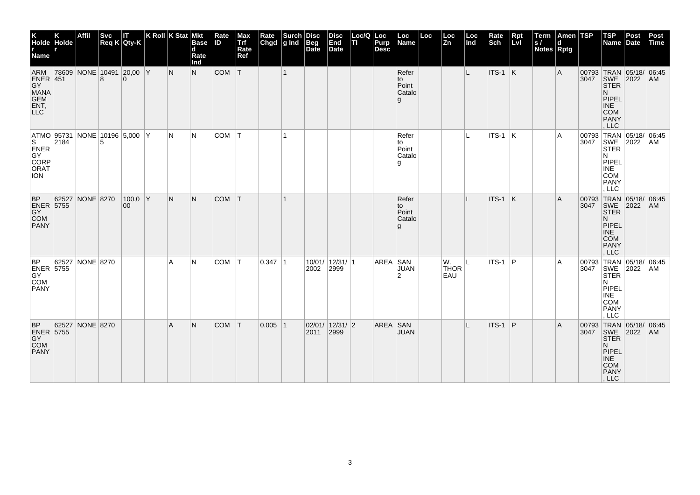| K<br>Holde Holde<br>r<br>Name                                            |       | Affil     |   | Svc IT<br>Req K Qty-K                | K Roll K Stat Mkt | <b>Base</b><br>$\mathbf d$<br>Rate<br>Ind | Rate<br><b>ID</b> | Max<br>Trf<br>Rate<br>Ref | Rate<br>Chgd | $\left \begin{array}{c}\text{Such} \\ \text{g Ind} \end{array}\right $ Beg | Beg<br>Date | <b>Disc</b><br>End<br>Date | Loc/Q   Loc<br>TI. | <b>Purp</b><br><b>Desc</b> | Loc<br>Name                          | Loc | Loc<br>Zn                | Loc<br>Ind | Rate<br>Sch | Rpt<br>Lvl | Term<br> s <br>Notes Rptg | Amen TSP<br>d |      | $ $ TSP<br>Name                                                                                                      | Post<br>Date | Post<br>Time |
|--------------------------------------------------------------------------|-------|-----------|---|--------------------------------------|-------------------|-------------------------------------------|-------------------|---------------------------|--------------|----------------------------------------------------------------------------|-------------|----------------------------|--------------------|----------------------------|--------------------------------------|-----|--------------------------|------------|-------------|------------|---------------------------|---------------|------|----------------------------------------------------------------------------------------------------------------------|--------------|--------------|
| ARM 786<br><b>GY</b><br>MANA<br>GEM<br>ENT,                              |       |           |   | 78609 NONE 10491 20,00 Y<br>$\Omega$ | N                 | N                                         | $COM$ $T$         |                           |              | $\vert$ 1                                                                  |             |                            |                    |                            | Refer<br>to<br>Point<br>Catalo<br>g  |     |                          | L          | $ITS-1$ K   |            |                           | Α             |      | 00793 TRAN 05/18/ 06:45<br>3047 SWE 2022 AM<br><b>STER</b><br>N.<br>PIPEL<br><b>INE</b><br>COM<br>PANY<br>LLC        |              |              |
| ATMO 95731<br>S <sub>3</sub><br>ENER<br>GY<br>CORP<br>ORAT<br><b>ION</b> | 2184  |           | 5 | NONE 10196 5,000 Y                   | N                 | IN.                                       | COM               | ΙT                        |              | 1                                                                          |             |                            |                    |                            | Refer<br>to<br>Point<br>Catalo<br>۱g |     |                          | L          | $ITS-1$ K   |            |                           | A             |      | 00793 TRAN 05/18/ 06:45<br>3047 SWE 2022 AM<br>STER 4<br>N.<br>PIPEL<br><b>INE</b><br>COM<br>PANY<br>, LLC           |              |              |
| <b>BP</b><br>ENER 5755<br><b>COM</b><br><b>PANY</b>                      | 62527 | NONE 8270 |   | $100,0$ Y<br>00                      | N                 | N.                                        | <b>COM</b>        | $\mathsf{T}$              |              | -1                                                                         |             |                            |                    |                            | Refer<br>to<br>Point<br>Catalo<br>g  |     |                          | L          | ITS-1       | K          |                           | Α             | 3047 | 00793 TRAN 05/18/ 06:45<br>SWE 2022<br><b>STER</b><br>N.<br>PIPEL<br><b>INE</b><br>COM<br><b>PANY</b><br>, LLC       |              | <b>AM</b>    |
| <b>BP</b><br>ENER 5755<br>COM<br><b>PANY</b>                             | 62527 | NONE 8270 |   |                                      | A                 | IN.                                       | <b>COM</b>        | ΙT                        | $0.347$  1   |                                                                            | 2002        | 10/01/ 12/31/ 1<br>2999    |                    | AREA SAN                   | <b>JUAN</b><br>$\overline{2}$        |     | W.<br><b>THOR</b><br>EAU | I L        | ITS-1       | ∣P         |                           | A             | 3047 | 00793 TRAN 05/18/ 06:45<br>SWE 2022<br><b>STER</b><br>N<br>PIPEL<br><b>INE</b><br><b>COM</b><br><b>PANY</b><br>, LLC |              | AM           |
| <b>BP</b><br><b>ENER 5755</b><br>GY<br>COM<br><b>PANY</b>                | 62527 | NONE 8270 |   |                                      | A                 | N.                                        | <b>COM</b>        | T                         | $0.005$  1   |                                                                            | 2011 2999   | 02/01/12/31/2              |                    | AREA SAN                   | <b>JUAN</b>                          |     |                          |            | ITS-1       | P          |                           | A             |      | 00793 TRAN 05/18/ 06:45<br>3047 SWE 2022 AM<br><b>STER</b><br>N.<br>PIPEL<br>INE<br>COM<br>PANY<br>, LLC             |              |              |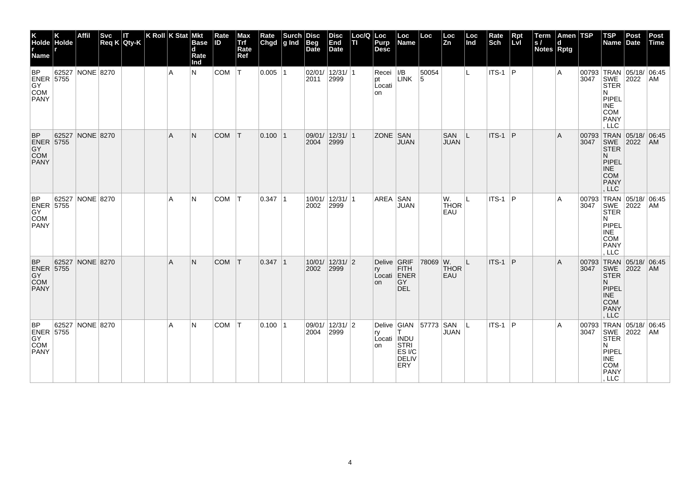| K<br>Holde Holde<br>T<br>Name                             |       | Affil           | <b>Svc</b> | IΤ<br>Req K Qty-K | K Roll K Stat Mkt |                | <b>Base</b><br>d<br>Rate<br>Ind | Rate<br><b>ID</b> | Max<br>Trf<br>Rate<br>Ref | Rate<br>Chgd | $\left \begin{array}{c}\text{Such} \\ \text{g Ind}\end{array}\right $ | <b>Disc</b><br>Beg<br>Date | <b>Disc</b><br>End<br>Date   | Loc/Q Loc<br>TI Purp | Purp<br><b>Desc</b>            | Loc<br>Name                                    | Loc        | Loc<br>$\overline{\mathsf{Zn}}$ | Loc<br>Ind | Rate<br>Sch | $Rpt$<br>Lvl | Term<br> s <br>Notes Rptg | Amen  TSP <br>d |               | <b>TSP</b><br><b>Name</b>                                                                                               | Post<br>Date         | Post<br>Time |
|-----------------------------------------------------------|-------|-----------------|------------|-------------------|-------------------|----------------|---------------------------------|-------------------|---------------------------|--------------|-----------------------------------------------------------------------|----------------------------|------------------------------|----------------------|--------------------------------|------------------------------------------------|------------|---------------------------------|------------|-------------|--------------|---------------------------|-----------------|---------------|-------------------------------------------------------------------------------------------------------------------------|----------------------|--------------|
| <b>BP</b><br><b>ENER 5755</b><br>GY<br>COM<br><b>PANY</b> |       | 62527 NONE 8270 |            |                   |                   | $\overline{A}$ | N                               | COM               | T                         | $0.005$  1   |                                                                       |                            | 02/01/ 12/31/ 1<br>2011 2999 |                      | Recei<br>pt<br>Locati<br>on    | I/B<br><b>LINK</b>                             | 50054<br>5 |                                 | IL.        | $ITS-1$ P   |              |                           | A               |               | 00793 TRAN 05/18/ 06:45<br>3047 SWE 2022 AM<br>STER<br>N<br>PIPEL<br><b>INE</b><br>COM<br>PANY<br>LLC                   |                      |              |
| <b>BP</b><br>ENER 5755<br>GY<br>COM<br>PANY               | 62527 | NONE 8270       |            |                   |                   | A              | N                               | <b>COM</b>        | T                         | $0.100$  1   |                                                                       | 2004                       | 09/01/ 12/31/ 1<br>2999      |                      | ZONE SAN                       | <b>JUAN</b>                                    |            | <b>SAN</b><br><b>JUAN</b>       | IL         | ITS-1       | ∣P           |                           | A               | 00793<br>3047 | TRAN 05/18/ 06:45<br>SWE<br><b>STER</b><br>N.<br>PIPEL<br><b>INE</b><br><b>COM</b><br><b>PANY</b><br>, LLC              | 2022                 | AM           |
| BP<br>ENER 5755<br>COM<br><b>PANY</b>                     |       | 62527 NONE 8270 |            |                   |                   | A              | N                               | <b>COM</b>        | IT.                       | $0.347$  1   |                                                                       | 2002                       | 10/01/ 12/31/ 1<br>2999      |                      | AREA SAN                       | <b>JUAN</b>                                    |            | W.<br><b>THOR</b><br>EAU        | ΙL         | ITS-1       | ∣P           |                           | Α               | 00793<br>3047 | TRAN<br>SWE<br><b>STER</b><br>N<br>PIPEL<br><b>INE</b><br><b>COM</b><br>PANY<br>LLC                                     | 05/18/ 06:45<br>2022 | AM           |
| <b>BP</b><br>ENER 5755<br>COM<br><b>PANY</b>              |       | 62527 NONE 8270 |            |                   |                   | $\overline{A}$ | N                               | <b>COM</b>        | T                         | $0.347$  1   |                                                                       | 2002                       | 10/01/ 12/31/ 2<br>2999      |                      | Delive GRIF<br>ry<br><b>on</b> | <b>FITH</b><br>Locati ENER<br>GY<br><b>DEL</b> | 78069 W.   | <b>THOR</b><br>EAU              | ΙL         | ITS-1       | ∣P           |                           | A               | 3047          | 00793 TRAN 05/18/ 06:45<br><b>SWE</b><br><b>STER</b><br>N.<br>PIPEL<br><b>INE</b><br><b>COM</b><br><b>PANY</b><br>, LLC | 2022                 | AM           |
| BP<br><b>ENER 5755</b><br>GY<br>COM<br><b>PANY</b>        | 62527 | NONE 8270       |            |                   |                   | A              | N                               | COM               | T                         | $0.100$  1   |                                                                       | 2004                       | 09/01/ 12/31/ 2<br>2999      |                      | ry<br>Locati INDU<br>on STRI   | Delive GIAN<br>ES I/C<br><b>DELIV</b><br>ERY   | 57773 SAN  | <b>JUAN</b>                     | ΙL         | $ITS-1$ P   |              |                           | Α               |               | 00793 TRAN 05/18/ 06:45<br>3047 SWE 2022 AM<br><b>STER</b><br>N<br>PIPEL<br>INE<br>COM<br>PANY<br>, LLC                 |                      |              |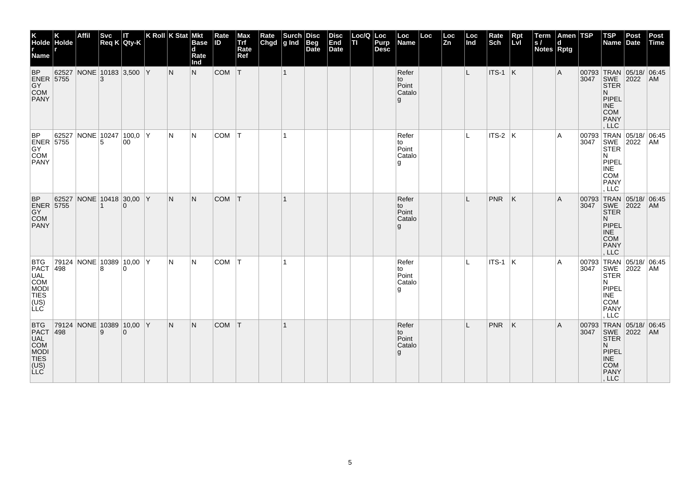| K<br>Holde Holde<br>r<br>Name r                                              |       | Affil                    | <b>Svc</b> | П<br>Req K Qty-K         | K Roll K Stat Mkt |     | <b>Base</b><br>$\mathbf d$<br>Rate<br>Ind | Rate<br>ID | Max<br>Trf<br>Rate<br>Ref | Rate<br>Chgd | $\left \begin{array}{c}\text{Such}\\ \text{g Ind}\end{array}\right $ | Disc<br>Beg<br>Date | <b>Disc</b><br>End<br>Date | Loc/Q Loc<br>п | Purp<br><b>Desc</b> | Loc<br>Name                          | Loc | Loc<br>Zn | Loc<br>Ind | Rate<br>Sch     | Rpt<br>Lvl | Term<br>S/<br>Notes Rptg | Amen TSP<br>d |               | $ $ TSP<br>Name Date                                                                                                 | Post | Post<br>Time |
|------------------------------------------------------------------------------|-------|--------------------------|------------|--------------------------|-------------------|-----|-------------------------------------------|------------|---------------------------|--------------|----------------------------------------------------------------------|---------------------|----------------------------|----------------|---------------------|--------------------------------------|-----|-----------|------------|-----------------|------------|--------------------------|---------------|---------------|----------------------------------------------------------------------------------------------------------------------|------|--------------|
| <b>BP</b><br>ENER 5755<br>COM<br>PANY                                        | 62527 | NONE 10183 3,500 Y       |            |                          |                   | N   | N                                         | COM        | T                         |              | $\mathbf{1}$                                                         |                     |                            |                |                     | Refer<br>to<br>Point<br>Catalo<br>g  |     |           | L.         | $ITS-1$ K       |            |                          | Α             |               | 00793 TRAN 05/18/ 06:45<br>3047 SWE 2022 AM<br><b>STER</b><br>N.<br>PIPEL<br><b>INE</b><br><b>COM</b><br>PANY<br>LLC |      |              |
| BP<br>ENER 5755<br><b>PANY</b>                                               | 62527 |                          | 5          | NONE 10247 100,0 Y<br>00 |                   | N   | N                                         | <b>COM</b> | lT.                       |              | $\mathbf{1}$                                                         |                     |                            |                |                     | Refer<br>to<br>Point<br>Catalo<br>۱g |     |           | IL.        | $ITS-2$ $K$     |            |                          | Α             | 00793<br>3047 | TRAN 05/18/ 06:45<br>SWE 2022<br>N<br>PIPEL<br>INE<br><b>COM</b><br><b>PANY</b><br>. LLC                             |      | AM           |
| $\ensuremath{\mathsf{BP}}$<br>ENER 5755<br>COM<br><b>PANY</b>                |       | 62527 NONE 10418 30,00 Y |            | $\Omega$                 |                   | IN. | N.                                        | <b>COM</b> | T                         |              |                                                                      |                     |                            |                |                     | Refer<br>to<br>Point<br>Catalo<br>g  |     |           |            | PNR             | ΙK         |                          | A             | 3047          | 00793 TRAN 05/18/ 06:45<br>SWE 2022<br><b>STER</b><br>N.<br>PIPEL<br>INE<br><b>COM</b><br>PANY<br>, LLC              |      | AM           |
| <b>BTG</b><br>PACT 498<br>PACT 498<br>UAL COM<br>MODI<br>TIES<br>(US)<br>LLC |       | 79124 NONE 10389 10,00 Y | 8          | $\Omega$                 |                   | N   | N                                         | COM        | IТ.                       |              | 1                                                                    |                     |                            |                |                     | Refer<br>to<br>Point<br>Catalo<br>g  |     |           | IL.        | $ $ ITS-1 $ $ K |            |                          | A             |               | 00793 TRAN 05/18/ 06:45<br>3047 SWE 2022 AM<br><b>STER</b><br>N<br>PIPEL<br>$\sf INE$<br><b>COM</b><br>PANY<br>, LLC |      |              |
| <b>BTG</b><br>PACT<br>UAL<br>COM<br>MODI<br>TIES<br>(US)<br>LLC              | 498   | 79124 NONE 10389 10,00 Y | 9          | $\Omega$                 |                   | N   | N.                                        | <b>COM</b> | T                         |              |                                                                      |                     |                            |                |                     | Refer<br>to<br>Point<br>Catalo<br>g  |     |           |            | <b>PNR</b>      | ΙK.        |                          | A             |               | 00793 TRAN 05/18/ 06:45<br>3047 SWE 2022 AM<br><b>STER</b><br>N.<br>PIPEL<br>INE<br>COM<br>PANY<br>, LLC             |      |              |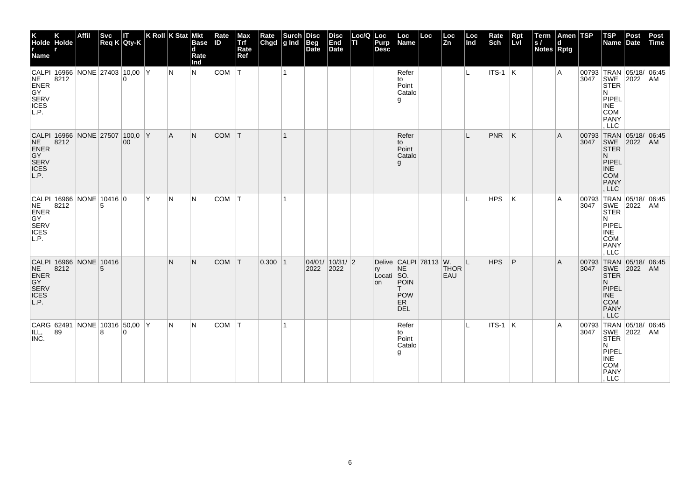| K<br>Holde Holde<br>Name                                                          |                                        | <b>Affil</b> |   | Svc IT<br>Req K Qty-K |   | K Roll $K$ Stat Mkt | <b>Base</b><br>$\mathbf d$<br>Rate<br>Ind | Rate<br><b>ID</b> | Max<br>Trf<br>Rate<br>Ref | Rate<br>Chgd | Surch<br>$ g $ Ind | <b>Disc</b><br><b>Beg</b><br>Date | <b>Disc</b><br>End<br>Date      | Loc/Q   Loc<br>TI. | Purp<br><b>Desc</b>    | Loc<br>Name                                                                         | Loc | Loc<br><b>Zn</b>   | Loc<br>Ind | Rate<br>Sch     | Rpt<br>LvI | Term<br> s <br><b>Notes Rptg</b> | Amen TSP<br>d |      | <b>TSP</b><br>Name Date                                                                            | Post                                        | Post<br>Time |
|-----------------------------------------------------------------------------------|----------------------------------------|--------------|---|-----------------------|---|---------------------|-------------------------------------------|-------------------|---------------------------|--------------|--------------------|-----------------------------------|---------------------------------|--------------------|------------------------|-------------------------------------------------------------------------------------|-----|--------------------|------------|-----------------|------------|----------------------------------|---------------|------|----------------------------------------------------------------------------------------------------|---------------------------------------------|--------------|
| <b>NE</b><br>ENER<br>GY<br>SERV<br>ICES<br>L.P.                                   | CALPI 16966 NONE 27403 10,00 Y<br>8212 |              |   | $\Omega$              |   | N                   | N.                                        | $COM$ $T$         |                           |              | $\overline{1}$     |                                   |                                 |                    |                        | Refer<br>to<br>Point<br>Catalo<br>g                                                 |     |                    | IL.        | $ $ ITS-1 $ K $ |            |                                  | A             |      | <b>STER</b><br>N<br>PIPEL<br><b>INE</b><br>COM<br>PANY<br>, LLC                                    | 00793 TRAN 05/18/ 06:45<br>3047 SWE 2022 AM |              |
| CALPI 16966 NONE 27507 100,0 Y<br><b>NE</b><br>ENER<br>GY<br>SERV<br>ICES<br>L.P. | 8212                                   |              |   | 00 <sup>°</sup>       |   | A.                  | N.                                        | <b>COM</b>        | $\top$                    |              | 1                  |                                   |                                 |                    |                        | Refer<br>to<br>Point<br>Catalo<br>g                                                 |     |                    | L          | <b>PNR</b>      | K          |                                  | A             | 3047 | SWE 2022<br><b>STER</b><br>N<br>PIPEL<br><b>INE</b><br><b>COM</b><br><b>PANY</b><br>, LLC          | 00793 TRAN 05/18/ 06:45                     | AM           |
| CALPI 16966 NONE 10416 0<br><b>NE</b><br>ENER<br>GY<br>SERV<br>ICES<br>L.P.       | 8212                                   |              | 5 |                       | Y | N                   | IN.                                       | <b>COM</b>        |                           |              |                    |                                   |                                 |                    |                        |                                                                                     |     |                    |            | <b>HPS</b>      | К          |                                  | Α             | 3047 | 00793 TRAN<br>SWE<br><b>STER</b><br>N<br>PIPEL<br><b>INE</b><br><b>COM</b><br><b>PANY</b><br>, LLC | 05/18/ 06:45<br>2022                        | AM.          |
| CALPI 16966 NONE 10416<br><b>NE</b><br>ENER<br>GY<br>SERV<br><b>ICES</b><br>L.P.  | 8212                                   |              | 5 |                       |   | N                   | N                                         | $COM$ $T$         |                           | 0.300 1      |                    | 2022                              | 04/01/10/31/2<br>$ 2022\rangle$ |                    | ry<br>Locati SO.<br>on | Delive CALPI 78113 W.<br><b>NE</b><br>POIN<br>T.<br><b>POW</b><br>ER.<br><b>DEL</b> |     | <b>THOR</b><br>EAU | ΙL         | HPS             | P          |                                  | A             | 3047 | SWE 2022<br><b>STER</b><br>N<br>PIPEL<br><b>INE</b><br><b>COM</b><br><b>PANY</b><br>, LLC          | 00793 TRAN 05/18/ 06:45                     | AM           |
| ILL,<br>INC.                                                                      | CARG 62491 NONE 10316 50,00 Y<br>89    |              | 8 | $\Omega$              |   | N                   | IN.                                       | <b>COM</b>        |                           |              |                    |                                   |                                 |                    |                        | Refer<br>to<br>Point<br>Catalo<br>l g                                               |     |                    |            | $ITS-1$ K       |            |                                  | A             |      | <b>STER</b><br>N<br>PIPEL<br>INE<br>COM<br>PANY<br>, LLC                                           | 00793 TRAN 05/18/ 06:45<br>3047 SWE 2022 AM |              |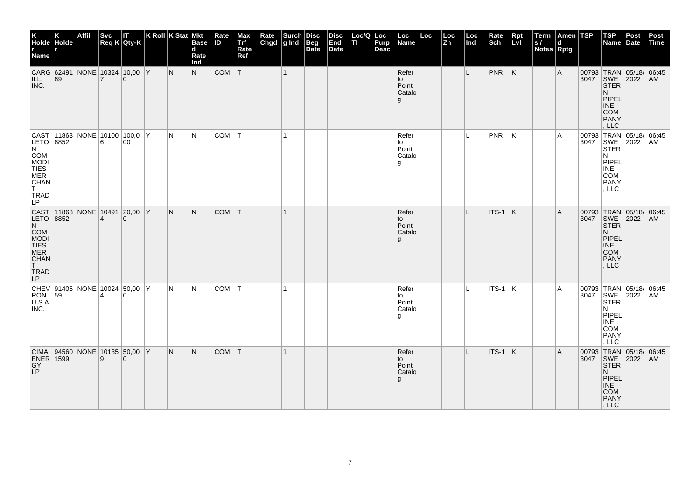| K<br>Holde Holde<br>r r<br><b>Name</b>                                                                                                                         |                                     | <b>Affil</b> | <b>Svc</b>     | IT.<br>$Req K$ Qty-K           | K Roll $K$ Stat Mkt | <b>Base</b><br>d<br>Rate<br>Ind | Rate<br><b>ID</b> | Max<br>Trf<br>Rate<br>Ref | Rate<br>Chgd | Surch<br>$g$ Ind | <b>Disc</b><br>Beg<br>Date | <b>Disc</b><br>End<br><b>Date</b> | Loc/Q Loc<br>ΠI | Purp<br><b>Desc</b> | Loc<br>Name                           | Loc | Loc<br>Zn | Loc<br>Ind | Rate<br>Sch | <b>Rpt</b><br>Lvl | $\vert$ Term<br>$\vert$ s /<br><b>Notes Rptg</b> | Amen TSP<br>d. |      | <b>TSP</b><br>Name                                                                          | Post<br>Date                                | <b>Post</b><br>Time |
|----------------------------------------------------------------------------------------------------------------------------------------------------------------|-------------------------------------|--------------|----------------|--------------------------------|---------------------|---------------------------------|-------------------|---------------------------|--------------|------------------|----------------------------|-----------------------------------|-----------------|---------------------|---------------------------------------|-----|-----------|------------|-------------|-------------------|--------------------------------------------------|----------------|------|---------------------------------------------------------------------------------------------|---------------------------------------------|---------------------|
| ILL,<br>INC.                                                                                                                                                   | CARG 62491 NONE 10324 10,00 Y<br>89 |              | $\overline{7}$ | $\Omega$                       | N                   | N.                              | $COM$ $T$         |                           |              | $\vert$ 1        |                            |                                   |                 |                     | Refer<br>to<br>Point<br>Catalo<br>g   |     |           | L.         | $PNR$ $K$   |                   |                                                  | A              | 3047 | SWE 2022<br><b>STER</b><br>N.<br>PIPEL<br><b>INE</b><br><b>COM</b><br>PANY<br>, LLC         | 00793 TRAN 05/18/ 06:45                     | AM                  |
| $ {\sf CAST}\> $ 11863 $ {\sf NONE}\> $ 10100 $ $ 100,0 $ {\sf Y}\>$<br>LETO 8852<br>$\overline{N}$<br>COM<br>MODI<br>TIES<br>MER<br>CHAN<br>T.<br>TRAD<br>LP. |                                     |              | 6              | 00                             | N                   | IN.                             | <b>COM</b>        | T                         |              | $\mathbf{1}$     |                            |                                   |                 |                     | Refer<br>to<br>Point<br>Catalo<br>۱g  |     |           | Ш.         | PNR         | ΙK                |                                                  | A              |      | <b>STER</b><br>N<br>PIPEL<br><b>INE</b><br><b>COM</b><br><b>PANY</b><br>, LLC               | 00793 TRAN 05/18/ 06:45<br>3047 SWE 2022 AM |                     |
| CAST 11863<br>LETO 8852<br><b>COM</b><br>MODI<br>TIES<br>MER<br><b>CHAN</b><br>$\mathsf{T}$<br>TRAD<br>LP                                                      |                                     |              | $\overline{4}$ | NONE 10491 20,00 Y<br>$\Omega$ | N                   | N                               | $COM$ $T$         |                           |              | $\mathbf{1}$     |                            |                                   |                 |                     | Refer<br>to<br>Point<br>Catalo<br>g   |     |           | L          | $ITS-1$ $K$ |                   |                                                  | A              |      | 3047 SWE 2022<br><b>STER</b><br>N.<br>PIPEL<br><b>INE</b><br>COM<br><b>PANY</b><br>, LLC    | 00793 TRAN 05/18/ 06:45                     | AM                  |
| <b>RON</b><br>U.S.A.<br>INC.                                                                                                                                   | CHEV 91405 NONE 10024 50,00 Y<br>59 |              |                | $\Omega$                       | N                   | IN.                             | COM   T           |                           |              | $\mathbf{1}$     |                            |                                   |                 |                     | Refer<br>to<br>Point<br>Catalo<br>l g |     |           | IL.        | $ITS-1$ $K$ |                   |                                                  | A              |      | 3047   SWE   2022<br><b>STER</b><br>N<br>PIPEL<br><b>INE</b><br>COM<br><b>PANY</b><br>, LLC | 00793 TRAN 05/18/                           | 06:45<br>  AM       |
| <b>ENER 1599</b><br>GY,<br>LP                                                                                                                                  | CIMA 94560 NONE 10135 50,00 Y       |              | 9              | $\Omega$                       | N                   | IN.                             | $COM$ $T$         |                           |              | $\vert$ 1        |                            |                                   |                 |                     | Refer<br>to<br>Point<br>Catalo<br>g   |     |           | L          | $ITS-1$ K   |                   |                                                  | ΙA.            | 3047 | SWE<br><b>STER</b><br>N<br>PIPEL<br>INE<br><b>COM</b><br>PANY<br>, LLC                      | 00793 TRAN 05/18/ 06:45<br>2022             | AM                  |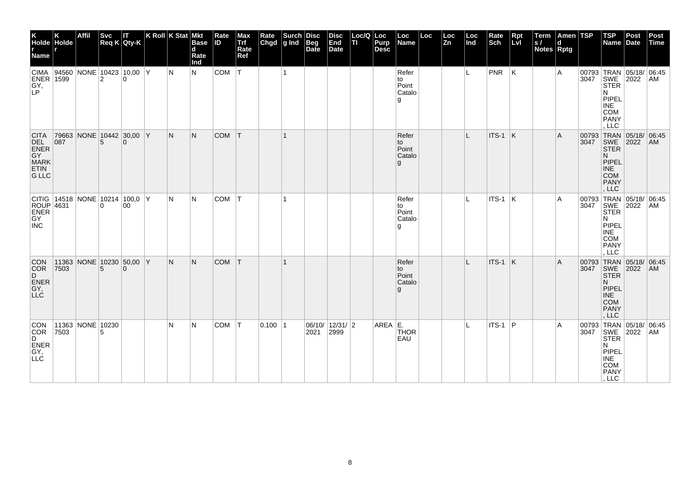| K<br>Holde Holde<br>r<br>Name r                                                                                                                                      |      | <b>Affil</b>                             | <b>Svc</b>     | П<br>$Req K$ Qty-K | $ K$ Roll $ K$ Stat $ M$ kt |     | <b>Base</b><br>d<br>Rate<br>Ind | Rate<br><b>ID</b> | Max<br>Trf<br>Rate<br>Ref | Rate<br>Chgd | $\left \begin{array}{c}\text{Such} \\ \text{g Ind}\end{array}\right $ | <b>Disc</b><br>Beg<br>Date | <b>Disc</b><br>End<br>Date | Loc/Q Loc<br>lτι | Purp<br><b>Desc</b> | Loc<br>Name                          | Loc | Loc<br>$\bar{z}_n$ | Loc<br>Ind | Rate<br>Sch   | Rpt<br>Lvl | Term<br> s <br>Notes Rptg | Amen TSP<br>d |      | $ $ TSP<br>Name                                                                                                       | Post<br>Date | Post<br>Time |
|----------------------------------------------------------------------------------------------------------------------------------------------------------------------|------|------------------------------------------|----------------|--------------------|-----------------------------|-----|---------------------------------|-------------------|---------------------------|--------------|-----------------------------------------------------------------------|----------------------------|----------------------------|------------------|---------------------|--------------------------------------|-----|--------------------|------------|---------------|------------|---------------------------|---------------|------|-----------------------------------------------------------------------------------------------------------------------|--------------|--------------|
| $\begin{array}{ c c c c c }\n\hline \text{CIMA} & 94560 & \text{NONE} & 10423 & 10,00 & \text{Y} \\ \hline \text{ENER} & 1599 & & 2 & 0 & \end{array}$<br>GY,<br>LP. |      |                                          |                |                    |                             | IN. | N                               | COM               | T                         |              | $\overline{1}$                                                        |                            |                            |                  |                     | Refer<br>to<br>Point<br>Catalo<br>g  |     |                    | IL.        | $ PNR $ $ K $ |            |                           | Α             |      | 00793 TRAN 05/18/ 06:45<br>3047 SWE 2022 AM<br><b>STER</b><br>N<br>PIPEL<br><b>INE</b><br>COM<br>PANY<br>LLC          |              |              |
| <b>CITA</b><br>DEL<br>ENER<br>GY<br>MARK<br><b>ETIN</b><br><b>G LLC</b>                                                                                              | 087  | 79663 NONE 10442 30,00 Y                 | 5              | $\Omega$           |                             | N   | N.                              | <b>COM</b>        | T                         |              | $\mathbf{1}$                                                          |                            |                            |                  |                     | Refer<br>to<br>Point<br>Catalo<br>g  |     |                    | L          | $ITS-1$ K     |            |                           | A             | 3047 | 00793 TRAN 05/18/ 06:45<br>SWE 2022<br><b>STER</b><br>N<br>PIPEL<br><b>INE</b><br><b>COM</b><br>PANY<br>, LLC         |              | AM           |
| ROUP 4631<br>ENER<br>GY<br><b>INC</b>                                                                                                                                |      | CITIG   14518   NONE   10214   100,0   Y | $\overline{0}$ | 00                 |                             | N   | N                               | COM               | T                         |              | -1                                                                    |                            |                            |                  |                     | Refer<br>to<br>Point<br>Catalo<br>۱g |     |                    | L          | $ITS-1$ K     |            |                           | Α             | 3047 | 00793 TRAN 05/18/ 06:45<br>SWE 2022<br><b>STER</b><br>N<br>PIPEL<br><b>INE</b><br><b>COM</b><br>PANY<br>LLC           |              | AM           |
| CON<br>COR<br>D<br>ENER<br>GY,<br>LLC                                                                                                                                | 7503 | 11363 NONE 10230 50,00 Y                 | 5              | $\Omega$           |                             | N.  | N.                              | <b>COM</b>        | T                         |              |                                                                       |                            |                            |                  |                     | Refer<br>to<br>Point<br>Catalo<br>g  |     |                    | L          | ITS-1 K       |            |                           | A             | 3047 | 00793 TRAN 05/18/ 06:45<br>SWE 2022<br><b>STER</b><br>N.<br>PIPEL<br><b>INE</b><br><b>COM</b><br><b>PANY</b><br>, LLC |              | AM           |
| <b>CON</b><br>COR<br>D<br><b>ENER</b><br>GY,<br><b>LLC</b>                                                                                                           | 7503 | 11363 NONE 10230                         | 5              |                    |                             | N   | N                               | COM T             |                           | 0.100 1      |                                                                       | 2021                       | 06/10/12/31/2<br>2999      |                  | AREA E.             | <b>THOR</b><br>EAU                   |     |                    |            | $ITS-1$ P     |            |                           | Α             |      | 00793 TRAN 05/18/ 06:45<br>3047 SWE 2022 AM<br><b>STER</b><br>N<br>PIPEL<br>INE<br>COM<br>PANY<br>, LLC               |              |              |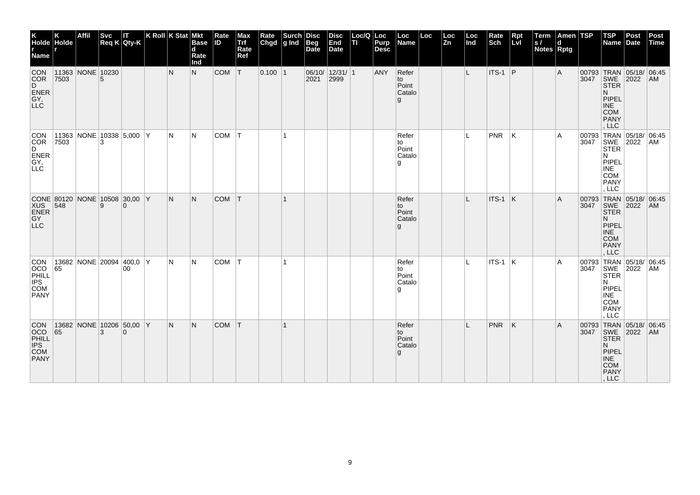| K<br>Holde Holde<br><b>Name</b>                                |      | Affil            | Svc | IT<br>$\text{Req K}$ Qty-K                | K Roll K Stat Mkt | <b>Base</b><br>$\mathbf d$<br>Rate<br>Ind | Rate<br><b>ID</b> | Max<br>Trf<br>Rate<br>Ref | Rate<br>Chgd | <b>Surch</b><br>g Ind | <b>Disc</b><br><b>Beg</b><br>Date | <b>Disc</b><br>End<br>Date | Loc/Q Loc<br>lτι | Purp<br><b>Desc</b> | Loc<br>Name                         | Loc | Loc<br>Zn | Loc<br>Ind | Rate<br>Sch    | $Rpt$<br>Lvl | Term<br> s <br><b>Notes Rptg</b> | Amen TSP |      | <b>TSP</b><br>Name Date                                                                      | Post                                        | Post<br>Time   |
|----------------------------------------------------------------|------|------------------|-----|-------------------------------------------|-------------------|-------------------------------------------|-------------------|---------------------------|--------------|-----------------------|-----------------------------------|----------------------------|------------------|---------------------|-------------------------------------|-----|-----------|------------|----------------|--------------|----------------------------------|----------|------|----------------------------------------------------------------------------------------------|---------------------------------------------|----------------|
| CON<br>COR<br>D<br>ENER<br>GY,<br>LLC                          | 7503 | 11363 NONE 10230 |     |                                           | N                 | N                                         | <b>COM</b>        | T                         | $0.100$  1   |                       | 2021                              | 06/10/12/31/1<br>2999      |                  | ANY                 | Refer<br>to<br>Point<br>Catalo<br>g |     |           | L          | $ITS-1$ P      |              |                                  | A        |      | <b>STER</b><br>N<br>PIPEL<br><b>INE</b><br><b>COM</b><br>PANY<br>, LLC                       | 00793 TRAN 05/18/ 06:45<br>3047 SWE 2022 AM |                |
| <b>CON</b><br>COR<br>D<br>ENER<br>$\overline{GY}$ ,<br>∣LLĊ-   | 7503 |                  | 3   | 11363 NONE 10338 5,000 Y                  | IN.               | IN.                                       | COM T             |                           |              | $\mathbf{1}$          |                                   |                            |                  |                     | Refer<br>to<br>Point<br>Catalo<br>g |     |           | L          | <b>PNR</b>     | K            |                                  | A        | 3047 | SWE 2022<br><b>STER</b><br>N.<br>PIPEL<br><b>INE</b><br><b>COM</b><br><b>PANY</b><br>, LLC   | 00793 TRAN 05/18/ 06:45                     | <b>AM</b>      |
| XUS 548<br><b>GY</b><br>LLC                                    |      |                  | 9   | CONE 80120 NONE 10508 30,00 Y<br>$\Omega$ | IN.               | N                                         | <b>COM</b>        | T                         |              | $\mathbf{1}$          |                                   |                            |                  |                     | Refer<br>to<br>Point<br>Catalo<br>g |     |           | L          | ITS-1          | K            |                                  | A        | 3047 | <b>SWE</b><br><b>STER</b><br>N.<br>PIPEL<br><b>INE</b><br><b>COM</b><br><b>PANY</b><br>, LLC | 00793 TRAN 05/18/ 06:45<br>2022             | AM             |
| CON<br>OCO<br>PHILL<br>IPS<br>COM<br><b>PANY</b>               | 65   |                  |     | 13682 NONE 20094 400,0 Y<br>00            | IN.               | IN.                                       | <b>COM</b>        | IТ.                       |              |                       |                                   |                            |                  |                     | Refer<br>to<br>Point<br>Catalo<br>g |     |           | IL.        | <b>ITS-1 K</b> |              |                                  | l A      | 3047 | <b>SWE</b><br><b>STER</b><br>N<br>PIPEL<br><b>INE</b><br><b>COM</b><br><b>PANY</b><br>, LLC  | 00793 TRAN 05/18/ 06:45<br>2022             | AM             |
| <b>CON</b><br><b>OCO</b><br>PHILL<br>IPS<br>COM<br><b>PANY</b> | 65   |                  | 3   | 13682 NONE 10206 50,00 Y<br>$\Omega$      | IN.               | IN.                                       | <b>COM</b>        | T                         |              |                       |                                   |                            |                  |                     | Refer<br>to<br>Point<br>Catalo<br>g |     |           |            | <b>PNR</b>     | K            |                                  | A        |      | 3047 SWE 2022<br><b>STER</b><br>N.<br>PIPEL<br><b>INE</b><br><b>COM</b><br>PANY<br>, LLC     | 00793 TRAN 05/18/ 06:45                     | AM <sub></sub> |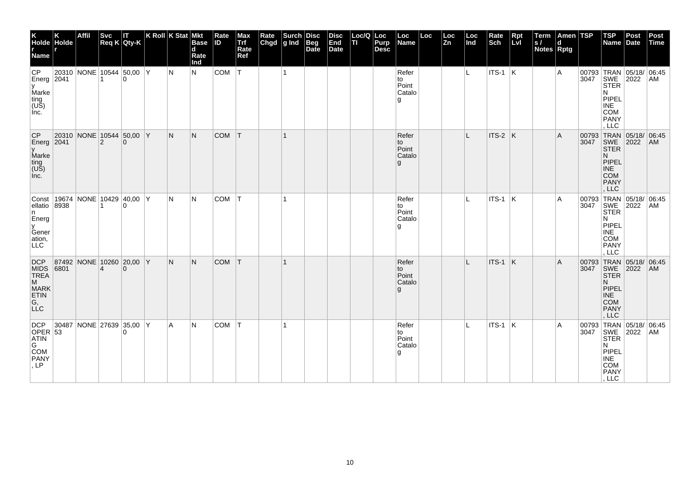| K<br>Holde Holde<br>r<br>Name r                                    |      | Affil                                    | <b>Svc</b>     | П<br>Req K Qty-K | K Roll K Stat Mkt |     | <b>Base</b><br>$\mathbf d$<br>Rate<br>Ind | Rate<br>ID | Max<br>Trf<br>Rate<br>Ref | Rate<br>Chgd | $\left \begin{array}{c}\text{Such}\\ \text{g Ind}\end{array}\right $ | Disc<br>Beg<br>Date | <b>Disc</b><br>End<br>Date | Loc/Q Loc<br>п | Purp<br><b>Desc</b> | Loc<br>Name                           | Loc | Loc<br>Zn | Loc<br>ln d | Rate<br>Sch     | Rpt<br>Lvl | Term<br>S/<br>Notes Rptg | Amen TSP<br>d |                    | <b>TSP</b><br>Name Date                                                                                               | Post                 | Post<br>Time |
|--------------------------------------------------------------------|------|------------------------------------------|----------------|------------------|-------------------|-----|-------------------------------------------|------------|---------------------------|--------------|----------------------------------------------------------------------|---------------------|----------------------------|----------------|---------------------|---------------------------------------|-----|-----------|-------------|-----------------|------------|--------------------------|---------------|--------------------|-----------------------------------------------------------------------------------------------------------------------|----------------------|--------------|
| <b>CP</b><br>Energ $2041$<br>y<br>Marke<br>ting<br>(US)<br>Inc.    |      | 20310 NONE 10544 50,00 Y                 |                | $\Omega$         |                   | IN. | N                                         | COM        | IT.                       |              | $\mathbf{1}$                                                         |                     |                            |                |                     | Refer<br>to<br>Point<br>Catalo<br>g   |     |           | L.          | $ $ ITS-1 $ K $ |            |                          | Α             |                    | 00793 TRAN 05/18/ 06:45<br>3047 SWE 2022 AM<br><b>STER</b><br>N<br>PIPEL<br>$\sf INE$<br>COM<br><b>PANY</b><br>LLC    |                      |              |
| CP<br>Energ $2041$<br>y<br>Marke<br>ting<br>(US)<br>Inc.           |      | 20310 NONE 10544 50,00 Y                 | $\overline{2}$ | $\Omega$         |                   | N   | N.                                        | <b>COM</b> | IТ.                       |              | $\mathbf{1}$                                                         |                     |                            |                |                     | Refer<br>to<br>Point<br>Catalo<br>g   |     |           | L           | $ITS-2$ K       |            |                          | A             | 00793<br>3047      | TRAN 05/18/ 06:45<br>SWE 2022<br><b>STER</b><br>N.<br>PIPEL<br><b>INE</b><br><b>COM</b><br>PANY<br>, LLC              |                      | AM           |
| ellatio 8938<br>n.<br>Energ<br>y<br>Gener<br>ation,<br>LLC         |      | Const   19674   NONE   10429   40,00   Y |                | $\Omega$         |                   | IN. | N                                         | COM        | T                         |              |                                                                      |                     |                            |                |                     | Refer<br>to<br>Point<br>Catalo<br>l g |     |           |             | $ $ ITS-1 $ $ K |            |                          | A             | 00793 TRAN<br>3047 | SWE<br><b>STER</b><br>N<br>PIPEL<br><b>INE</b><br><b>COM</b><br>PANY<br>LLC                                           | 05/18/ 06.45<br>2022 | AM           |
| DCP<br>MIDS<br>TREA<br>M<br>MARK<br>ETIN<br>G,<br>LLC              | 6801 | 87492 NONE 10260 20,00 Y                 | $\overline{4}$ | $\Omega$         |                   | N.  | N.                                        | <b>COM</b> | T                         |              |                                                                      |                     |                            |                |                     | Refer<br>to<br>Point<br>Catalo<br>g   |     |           | L           | $ITS-1$ K       |            |                          | A             | 3047               | 00793 TRAN 05/18/ 06:45<br>SWE 2022<br><b>STER</b><br>N.<br>PIPEL<br><b>INE</b><br><b>COM</b><br><b>PANY</b><br>, LLC |                      | AM           |
| <b>DCP</b><br>$OPER$ 53<br>ATIN<br>G<br><b>COM</b><br>PANY<br>, LP |      | $ 30487 $ NONE 27639 35,00 Y             |                | U                |                   | l A | N                                         | COM        | T                         |              | 1                                                                    |                     |                            |                |                     | Refer<br>to<br>Point<br>Catalo<br>l g |     |           | L           | $ $ ITS-1 $ K $ |            |                          | Α             |                    | 00793 TRAN 05/18/ 06:45<br>3047 SWE 2022 AM<br><b>STER</b><br>N<br>PIPEL<br>INE<br>COM<br>PANY<br>, LLC               |                      |              |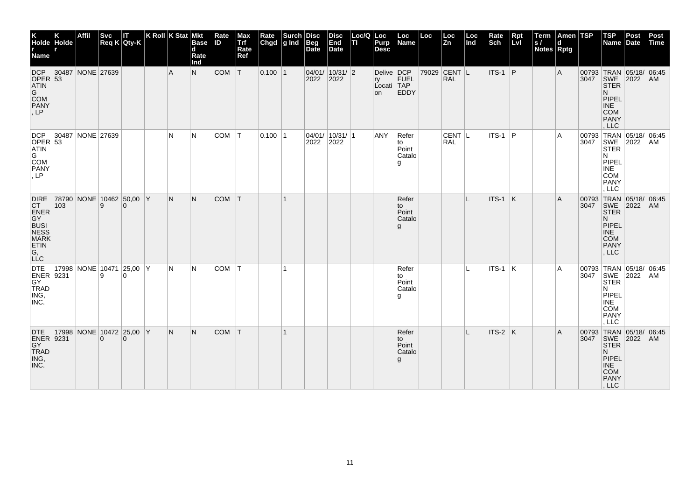| K<br>Holde Holde<br><b>Name</b>                                                                                       |                  | Affil | <b>Svc</b>                           | IT<br>Req K Qty-K | K Roll $ K \text{Stat} $ | <b>Mkt</b><br><b>Base</b><br>d<br>Rate<br>Ind | Rate<br><b>ID</b> | Max<br>Trf<br>Rate<br>Ref | Rate<br>Chgd | Surch<br>$ g $ Ind | <b>Disc</b><br><b>Beg</b><br>Date | Disc<br>End<br><b>Date</b> | Loc/Q Loc<br>lτι | Purp<br><b>Desc</b>                  | Loc<br>Name                           | Loc | Loc<br><b>Zn</b>           | Loc<br>Ind | Rate<br>Sch | $Rpt$<br>Lvl | Term<br>ls /<br><b>Notes Rptg</b> | Amen TSP<br>d |      | <b>TSP</b><br>Name                                                                                                         | Post<br>Date | Post<br>Time |
|-----------------------------------------------------------------------------------------------------------------------|------------------|-------|--------------------------------------|-------------------|--------------------------|-----------------------------------------------|-------------------|---------------------------|--------------|--------------------|-----------------------------------|----------------------------|------------------|--------------------------------------|---------------------------------------|-----|----------------------------|------------|-------------|--------------|-----------------------------------|---------------|------|----------------------------------------------------------------------------------------------------------------------------|--------------|--------------|
| <b>DCP</b><br>OPER $ 53$<br><b>ATIN</b><br>G<br>COM<br>PANY<br>, LP                                                   | 30487 NONE 27639 |       |                                      |                   | $\overline{A}$           | N.                                            | <b>COM</b>        | T                         | 0.100 1      |                    | 04/01/ 10/31/ 2 <br>2022          | 2022                       |                  | Delive DCP<br>ry<br>Locati TAP<br>on | FUEL<br><b>EDDY</b>                   |     | 79029 CENT L<br><b>RAL</b> |            | $ITS-1$ P   |              |                                   | A             |      | 00793 TRAN 05/18/ 06:45<br>3047 SWE 2022<br><b>STER</b><br>N.<br>PIPEL<br><b>INE</b><br><b>COM</b><br><b>PANY</b><br>, LLC |              | AM           |
| <b>DCP</b><br>OPER $ 53 $<br><b>ATIN</b><br>G<br>COM<br>PANY<br>LP                                                    | 30487 NONE 27639 |       |                                      |                   | N                        | N                                             | COM               | $\top$                    | $0.100$  1   |                    | 2022                              | 04/01/ 10/31/ 1<br>2022    |                  | ANY                                  | Refer<br>to<br>Point<br>Catalo<br>g   |     | $CENT$  L<br>RAL.          |            | $ITS-1$ P   |              |                                   | A             | 3047 | 00793 TRAN 05/18/ 06:45<br>SWE 2022<br><b>STER</b><br>IN.<br>PIPEL<br><b>INE</b><br><b>COM</b><br>PANY<br>. LLC            |              | AM           |
| <b>DIRE</b><br><b>CT</b><br>ENER<br>GY <sup>-</sup><br>BUSI<br>NESS<br>MARK<br>ETIN<br>$\overline{G}$ ,<br><b>LLC</b> | 103              |       | 78790 NONE 10462 50,00 Y<br>9        | $\Omega$          | IN.                      | N.                                            | COM T             |                           |              |                    |                                   |                            |                  |                                      | Refer<br>to<br>Point<br>Catalo<br>g.  |     |                            | IL.        | $ITS-1$ K   |              |                                   | A             | 3047 | 00793 TRAN 05/18/ 06:45<br>SWE 2022<br><b>STER</b><br>N.<br>PIPEL<br><b>INE</b><br><b>COM</b><br><b>PANY</b><br>, LLC      |              | <b>AM</b>    |
| <b>DTE</b><br>ENER 9231<br>$\overline{GY}$<br>TRAD<br>ING,<br>INC.                                                    |                  |       | 17998 NONE 10471 25,00 Y<br>9        | $\Omega$          | IN.                      | N                                             | <b>COM</b>        | ΙT                        |              | 1                  |                                   |                            |                  |                                      | Refer<br>to<br>Point<br>Catalo<br>۱g. |     |                            | L          | ITS-1 K     |              |                                   | A             | 3047 | 00793 TRAN 05/18/ 06:45<br>SWE 2022<br><b>STER</b><br>N<br>PIPEL<br><b>INE</b><br><b>COM</b><br>PANY<br>. LLC              |              | AM           |
| <b>DTE</b><br>ENER 9231<br>GY<br>TRAD<br>ING,<br>INC.                                                                 |                  |       | 17998 NONE 10472 25,00 Y<br>$\Omega$ | $\Omega$          | IN.                      | N                                             | COM T             |                           |              | $\mathbf 1$        |                                   |                            |                  |                                      | Refer<br>to<br>Point<br>Catalo<br>g   |     |                            | T.         | ITS-2 K     |              |                                   | A             | 3047 | 00793 TRAN 05/18/ 06:45<br>SWE<br><b>STER</b><br>N.<br>PIPEL<br><b>INE</b><br>COM<br>PANY<br>, LLC                         | 2022         | <b>AM</b>    |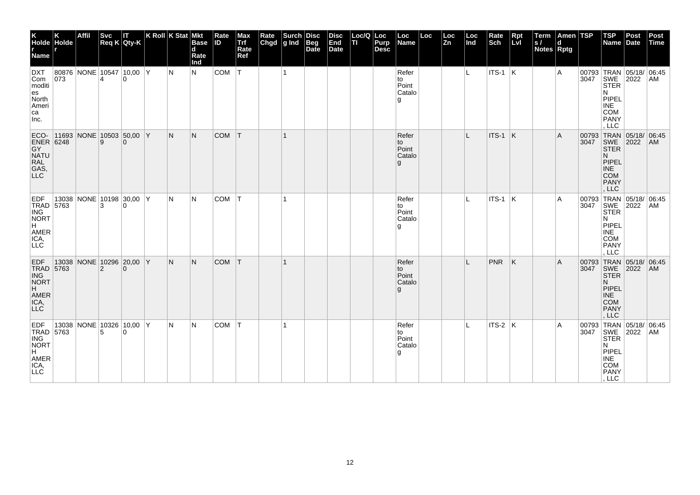| K<br>Holde Holde<br>r<br>Name r                                                   |     | Affil                            | <b>Svc</b>     | П<br>$Req K$ Qty-K | K Roll K Stat Mkt |     | <b>Base</b><br>$\mathbf d$<br>Rate<br>Ind | Rate<br>ID | Max<br>Trf<br>Rate<br>Ref | Rate<br>Chgd | $\left \begin{array}{c}\text{Such}\\ \text{g Ind}\end{array}\right $ | Disc<br>Beg<br>Date | <b>Disc</b><br>End<br>Date | Loc/Q Loc<br>п | Purp<br><b>Desc</b> | Loc<br>Name                           | Loc | Loc<br>Zn | Loc<br>Ind | Rate<br>Sch     | Rpt<br>Lvl              | Term<br>S/<br>Notes Rptg | Amen TSP<br>d |               | $ $ TSP<br>Name Date                                                                                                          | Post | Post<br>Time |
|-----------------------------------------------------------------------------------|-----|----------------------------------|----------------|--------------------|-------------------|-----|-------------------------------------------|------------|---------------------------|--------------|----------------------------------------------------------------------|---------------------|----------------------------|----------------|---------------------|---------------------------------------|-----|-----------|------------|-----------------|-------------------------|--------------------------|---------------|---------------|-------------------------------------------------------------------------------------------------------------------------------|------|--------------|
| <b>DXT</b><br>Com<br>moditi<br>es<br>North<br>Ameri<br>ca<br>Inc.                 | 073 | 80876 NONE 10547 10,00 Y         | 4              | $\Omega$           |                   | IN. | N                                         | COM        | IT.                       |              | $\mathbf{1}$                                                         |                     |                            |                |                     | Refer<br>to<br>Point<br>Catalo<br>g   |     |           | L.         | $ $ ITS-1 $ K $ |                         |                          | Α             |               | 00793 TRAN 05/18/ 06:45<br>3047 SWE 2022 AM<br><b>STER</b><br>N<br>PIPEL<br><b>INE</b><br><b>COM</b><br><b>PANY</b><br>LLC    |      |              |
| ECO-<br>ENER 6248<br>GY<br>NATU<br>RAL<br>GAS,<br>LLC                             |     | 11693   NONE   10503   50,00   Y | 9              | $\Omega$           |                   | N.  | N                                         | <b>COM</b> | T                         |              | $\mathbf{1}$                                                         |                     |                            |                |                     | Refer<br>to<br>Point<br>Catalo<br>g   |     |           | IL.        | ITS-1           | $\overline{\mathsf{K}}$ |                          | A             | 00793<br>3047 | TRAN 05/18/ 06:45<br>SWE 2022<br><b>STER</b><br>N.<br>PIPEL<br><b>INE</b><br><b>COM</b><br><b>PANY</b><br>. LLC               |      | AM           |
| <b>EDF</b><br>TRAD 5763<br>ING<br><b>NORT</b><br>H.<br>AMER<br>ICA,<br><b>LLC</b> |     | 13038 NONE 10198 30,00 Y         | 3              | $\Omega$           |                   | IN. | N                                         | COM        | IT.                       |              |                                                                      |                     |                            |                |                     | Refer<br>to<br>Point<br>Catalo<br>l g |     |           |            | $ $ ITS-1 $ $ K |                         |                          | A             | 3047          | 00793 TRAN 05/18/ 06:45<br>SWE 2022<br><b>STER</b><br>N<br>PIPEL<br>INE<br><b>COM</b><br>PANY<br>LLC                          |      | AM           |
| EDF<br>TRAD 5763<br>ING<br>NORT<br>H<br>AMER<br>ICA,<br>LLC                       |     | 13038 NONE 10296 20,00 Y         | $\overline{2}$ | $\Omega$           |                   | N.  | N.                                        | <b>COM</b> | T                         |              |                                                                      |                     |                            |                |                     | Refer<br>to<br>Point<br>Catalo<br>g   |     |           |            | PNR             | ΙK                      |                          | A             |               | 00793 TRAN 05/18/ 06:45<br>3047 SWE 2022 AM<br><b>STER</b><br>N.<br>PIPEL<br><b>INE</b><br><b>COM</b><br><b>PANY</b><br>, LLC |      |              |
| EDF<br>TRAD 5763<br>ING<br>NORT<br>H<br>AMER<br>ICA,<br>LLC                       |     | 13038 NONE 10326 10,00 Y         | 5              | $\Omega$           |                   | IN. | N                                         | COM        | $ \tau $                  |              | 1                                                                    |                     |                            |                |                     | Refer<br>to<br>Point<br>Catalo<br>l g |     |           | L          | $ $ ITS-2 $ K $ |                         |                          | A             |               | 00793 TRAN 05/18/ 06:45<br>3047 SWE 2022 AM<br><b>STER</b><br>N<br>PIPEL<br>INE<br>COM<br>PANY<br>, LLC                       |      |              |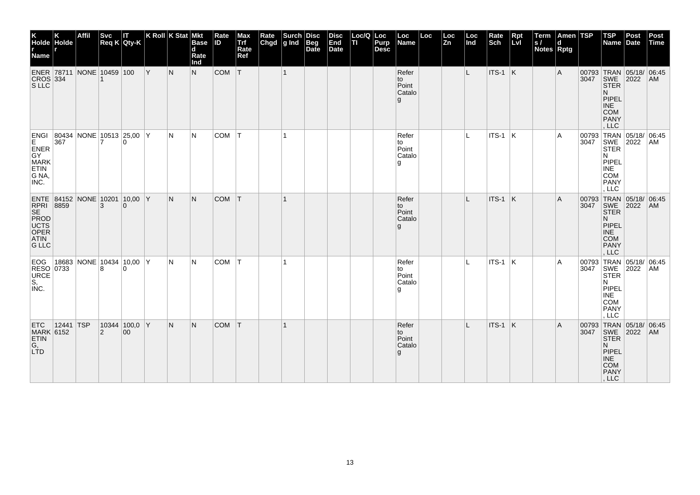| K<br>Holde Holde<br>r<br>Name r                                                  |               | <b>Affil</b>                           | <b>Svc</b>     | IΤ<br>$Req K$ Qty-K              | $ K$ Roll $ K$ Stat $ M$ kt |     | <b>Base</b><br>d<br>Rate<br>Ind | Rate<br><b>ID</b> | Max<br>Trf<br>Rate<br>Ref | Rate<br>Chgd | $\left \begin{array}{c}\text{Such} \\ \text{g Ind}\end{array}\right $ | <b>Disc</b><br>Beg<br>Date | <b>Disc</b><br>End<br>Date | Loc/Q Loc<br>lτι | Purp<br><b>Desc</b> | Loc<br>Name                          | Loc | Loc<br>$\bar{z}_n$ | Loc<br>Ind | Rate<br>Sch     | Rpt<br>Lvl | Term<br> s <br>Notes Rptg | Amen TSP<br>d |      | $ $ TSP<br>Name                                                                                                             | Post<br>Date | Post<br>Time |
|----------------------------------------------------------------------------------|---------------|----------------------------------------|----------------|----------------------------------|-----------------------------|-----|---------------------------------|-------------------|---------------------------|--------------|-----------------------------------------------------------------------|----------------------------|----------------------------|------------------|---------------------|--------------------------------------|-----|--------------------|------------|-----------------|------------|---------------------------|---------------|------|-----------------------------------------------------------------------------------------------------------------------------|--------------|--------------|
| CROS 334<br>S LLC                                                                |               | ENER 78711 NONE 10459 100              |                |                                  | Y                           | N   | N                               | COM               | T                         |              | $\mathbf{1}$                                                          |                            |                            |                  |                     | Refer<br>to<br>Point<br>Catalo<br>g  |     |                    | L          | ITS-1 K         |            |                           | Α             |      | 00793 TRAN 05/18/ 06:45<br>3047 SWE 2022 AM<br><b>STER</b><br>N.<br>PIPEL<br><b>INE</b><br><b>COM</b><br><b>PANY</b><br>LLC |              |              |
| E<br>ENER<br>GY<br>MARK<br><b>ETIN</b><br>G NA,<br>INC.                          | 367           | ENGI 80434 NONE 10513 25,00 Y          | 7              | 0                                |                             | IN. | N                               | COM               | T                         |              | $\mathbf{1}$                                                          |                            |                            |                  |                     | Refer<br>to<br>Point<br>Catalo<br>۱g |     |                    | L.         | $ITS-1$ K       |            |                           | A             | 3047 | 00793 TRAN 05/18/ 06:45<br>SWE 2022<br>N.<br>PIPEL<br><b>INE</b><br><b>COM</b><br><b>PANY</b><br>, LLC                      |              | AM           |
| ENERE 8859<br>SE<br>PROD<br>UCTS<br>OFER<br>OFFIC<br><b>ATIN</b><br><b>G LLC</b> |               | ENTE 84152 NONE 10201 10,00 Y          | 3              | $\Omega$                         |                             | IN. | N.                              | <b>COM</b>        | T                         |              | $\mathbf{1}$                                                          |                            |                            |                  |                     | Refer<br>to<br>Point<br>Catalo<br>g  |     |                    | L          | ITS-1           | K          |                           | Α             | 3047 | 00793 TRAN 05/18/ 06:45<br>SWE 2022<br><b>STER</b><br>N.<br>PIPEL<br><b>INE</b><br><b>COM</b><br>PANY<br>, LLC              |              | AM           |
| RESO 0733<br>S,<br>INC.                                                          |               | EOG   18683   NONE   10434   10,00   Y | 8              | $\Omega$                         |                             | IN. | N                               | COM               | T                         |              | 1                                                                     |                            |                            |                  |                     | Refer<br>to<br>Point<br>Catalo<br>۱g |     |                    | IL.        | $ $ ITS-1 $ $ K |            |                           | A             | 3047 | 00793 TRAN 05/18/ 06:45<br>SWE 2022<br><b>STER</b><br>N<br>PIPEL<br><b>INE</b><br><b>COM</b><br><b>PANY</b><br>, LLC        |              | AM           |
| <b>ETC</b><br><b>MARK 6152</b><br>ETIN<br>G,<br>LTD                              | $ 12441 $ TSP |                                        | $\overline{2}$ | 10344 100,0 Y<br>00 <sup>°</sup> |                             | N   | N.                              | <b>COM</b>        | T                         |              |                                                                       |                            |                            |                  |                     | Refer<br>to<br>Point<br>Catalo<br>g  |     |                    |            | $ITS-1$ K       |            |                           | A             |      | 00793 TRAN 05/18/ 06:45<br>3047 SWE 2022 AM<br><b>STER</b><br>N.<br>PIPEL<br><b>INE</b><br><b>COM</b><br>PANY<br>, LLC      |              |              |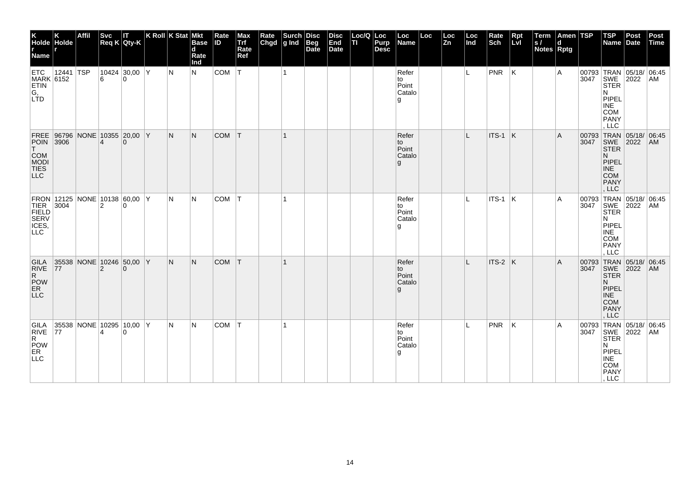| K<br>Holde Holde<br><b>Name</b>                                              |           | Affil |                         | Svc<br>Req K Qty-K                   | K Roll K Stat Mkt | <b>Base</b><br>d<br>Rate<br>Ind | Rate<br>ID | Max<br>Trf<br>Rate<br>Ref | Rate Surch   | Disc<br>Beg<br>Date | <b>Disc</b><br>End<br>Date | Loc/Q Loc<br>TI | Purp<br><b>Desc</b> | Loc<br>Name                           | Loc | $\frac{\text{Loc}}{\text{Zn}}$ | $ $ Loc $ $ Ind | Rate<br>Sch   | Rpt<br>LvI              | Term<br>S/<br>Notes Rptg | Amen TSP<br>d |               | <b>TSP</b><br>Name Date                                                                                                       | Post | Post<br>Time |
|------------------------------------------------------------------------------|-----------|-------|-------------------------|--------------------------------------|-------------------|---------------------------------|------------|---------------------------|--------------|---------------------|----------------------------|-----------------|---------------------|---------------------------------------|-----|--------------------------------|-----------------|---------------|-------------------------|--------------------------|---------------|---------------|-------------------------------------------------------------------------------------------------------------------------------|------|--------------|
| ETC<br>MARK 6152<br><b>ETIN</b><br>G,<br>LTD                                 | 12441 TSP |       |                         | 10424 30,00 Y<br>$\Omega$            | IN.               | IN.                             | <b>COM</b> | T                         | $\mathbf{1}$ |                     |                            |                 |                     | Refer<br>to<br>Point<br>Catalo<br>g   |     |                                | L.              | $ PNR $ $ K $ |                         |                          | Α             |               | 00793 TRAN 05/18/ 06:45<br>3047 SWE 2022 AM<br><b>STER</b><br>N<br>PIPEL<br><b>INE</b><br>COM<br><b>PANY</b><br>LLC           |      |              |
| FREE 96796<br><b>POIN</b> 3906<br>T<br>COM<br>MODI<br>TIES<br>LLC            |           |       | $\overline{\mathbf{A}}$ | NONE 10355 20,00 Y<br>$\Omega$       | N                 | N.                              | <b>COM</b> | T                         | $\mathbf{1}$ |                     |                            |                 |                     | Refer<br>to<br>Point<br>Catalo<br>g   |     |                                | L               | ITS-1         | $\overline{\mathsf{K}}$ |                          | A             | 00793<br>3047 | TRAN 05/18/ 06:45<br>SWE 2022<br><b>STER</b><br>N<br>PIPEL<br><b>INE</b><br><b>COM</b><br>PANY<br>, LLC                       |      | AM           |
| FRON 12125 NONE 10138 60,00 Y<br>TIER 3004 2 0<br>FIELD SERV<br>ICES,<br>LLC |           |       |                         |                                      | IN.               | IN.                             | <b>COM</b> | İΤ                        |              |                     |                            |                 |                     | Refer<br>to<br>Point<br>Catalo<br>l g |     |                                |                 | $ITS-1$ K     |                         |                          | A             | 3047          | 00793 TRAN 05/18/ 06:45<br>SWE 2022<br><b>STER</b><br>N<br>PIPEL<br>INE<br><b>COM</b><br>PANY<br>LLC                          |      | AM           |
| GILA<br><b>RIVE</b><br>R<br>POW<br>ER<br><b>LLC</b>                          | 77        |       | $\overline{2}$          | 35538 NONE 10246 50,00 Y<br>$\Omega$ | N.                | N.                              | <b>COM</b> | T                         |              |                     |                            |                 |                     | Refer<br>to<br>Point<br>Catalo<br>g   |     |                                | L               | ITS-2 K       |                         |                          | A             |               | 00793 TRAN 05/18/ 06:45<br>3047 SWE 2022 AM<br><b>STER</b><br>N.<br>PIPEL<br><b>INE</b><br><b>COM</b><br><b>PANY</b><br>, LLC |      |              |
| GILA<br>RIVE<br>R<br>POW<br>ER <sup>1</sup><br><b>LLC</b>                    | 77        |       |                         | 35538 NONE 10295 10,00 Y<br>$\Omega$ | IN.               | IN.                             | <b>COM</b> | İΤ                        |              |                     |                            |                 |                     | Refer<br>to<br>Point<br>Catalo<br>l g |     |                                |                 | <b>PNR</b>    | ΙK.                     |                          | Α             |               | 00793 TRAN 05/18/ 06:45<br>3047 SWE 2022 AM<br><b>STER</b><br>N<br>PIPEL<br>INE<br>COM<br>PANY<br>, LLC                       |      |              |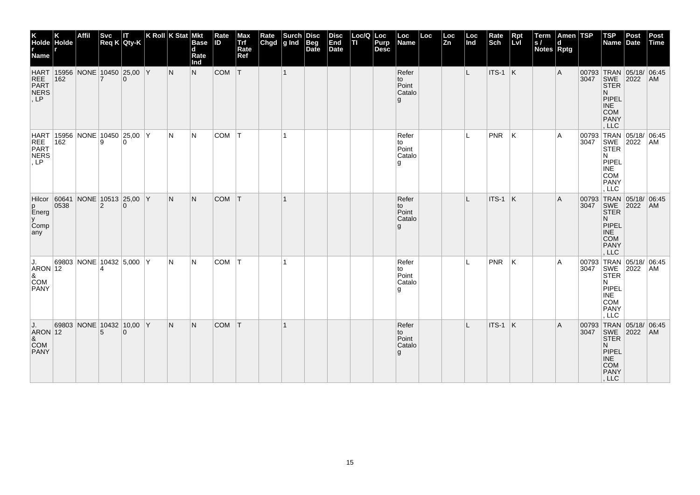| K<br>Holde Holde<br>r<br>Name                                                                     |      | <b>Affil</b> |                | Svc IT<br>Req K Qty-K                | K Roll K Stat Mkt | <b>Base</b><br>$\mathbf d$<br>Rate<br>Ind | Rate<br><b>ID</b> | Max<br>Trf<br>Rate<br>Ref | Rate<br>Chgd | Surch<br>g Ind | <b>Disc</b><br>Beg<br>Date | <b>Disc</b><br>End<br>Date | Loc/Q Loc<br>lτι | Purp<br><b>Desc</b> | Loc<br>Name                          | Loc | Loc<br>Zn | Loc<br>Ind | Rate<br>Sch | $Rpt$<br>Lvl | Term<br> s <br>Notes Rptg | Amen TSP       |      | <b>TSP</b><br>Name Date                                                                                                      | Post | Post<br>Time |
|---------------------------------------------------------------------------------------------------|------|--------------|----------------|--------------------------------------|-------------------|-------------------------------------------|-------------------|---------------------------|--------------|----------------|----------------------------|----------------------------|------------------|---------------------|--------------------------------------|-----|-----------|------------|-------------|--------------|---------------------------|----------------|------|------------------------------------------------------------------------------------------------------------------------------|------|--------------|
| HART 15956 NONE 10450 25,00 Y<br>REE 162 7 0<br>PART NERS<br>, LP                                 |      |              |                |                                      | N                 | N                                         | <b>COM</b>        | T                         |              | $\mathbf{1}$   |                            |                            |                  |                     | Refer<br>to<br>Point<br>Catalo<br>g  |     |           | L          | $ITS-1$ K   |              |                           | $\overline{A}$ |      | 00793 TRAN 05/18/ 06:45<br>3047 SWE 2022 AM<br><b>STER</b><br>N<br>PIPEL<br><b>INE</b><br><b>COM</b><br>PANY<br>, LLC        |      |              |
| HART 15956 NONE 10450 25,00 Y<br>REE 162<br>PART NERS<br>, LP                                     |      |              |                |                                      | IN.               | IN.                                       | COM T             |                           |              | $\mathbf{1}$   |                            |                            |                  |                     | Refer<br>to<br>Point<br>Catalo<br>g  |     |           | IL.        | <b>PNR</b>  | K            |                           | A              |      | 00793 TRAN 05/18/ 06:45<br>3047 SWE 2022 AM<br><b>STER</b><br>N<br>PIPEL<br><b>INE</b><br><b>COM</b><br>PANY<br>, LLC        |      |              |
| Hilcor 60641<br>p<br>Energ<br><u>y</u><br>Comp<br>any                                             | 0538 |              | $\overline{2}$ | NONE 10513 25,00 Y<br>$\Omega$       | IN.               | N                                         | <b>COM</b>        | T                         |              | $\mathbf{1}$   |                            |                            |                  |                     | Refer<br>to<br>Point<br>Catalo<br>g  |     |           | L          | ITS-1 K     |              |                           | A              | 3047 | 00793 TRAN 05/18/ 06:45<br>SWE 2022<br><b>STER</b><br>N.<br>PIPEL<br><b>INE</b><br><b>COM</b><br>PANY<br>, LLC               |      | AM           |
| IJ.<br>$\begin{array}{c} \begin{array}{ c} \text{ARON} \end{array} \end{array}$ 12<br>COM<br>PANY |      |              |                | 69803 NONE 10432 5,000 Y             | IN.               | IN.                                       | <b>COM</b>        | T                         |              |                |                            |                            |                  |                     | Refer<br>to<br>Point<br>Catalo<br>۱g |     |           | IL.        | PNR         | ΙK           |                           | l A            |      | 00793 TRAN 05/18/ 06:45<br>3047 SWE 2022 AM<br><b>STER</b><br>N<br>PIPEL<br><b>INE</b><br><b>COM</b><br><b>PANY</b><br>, LLC |      |              |
| J.<br>$ARON$ 12<br>$rac{8}{2}$ COM<br><b>PANY</b>                                                 |      |              | 5              | 69803 NONE 10432 10,00 Y<br>$\Omega$ | IN.               | IN.                                       | <b>COM</b>        | T                         |              |                |                            |                            |                  |                     | Refer<br>to<br>Point<br>Catalo<br>g  |     |           | L          | ITS-1 K     |              |                           | A              |      | 00793 TRAN 05/18/ 06:45<br>3047 SWE 2022 AM<br><b>STER</b><br>N.<br>PIPEL<br>INE<br>COM<br>PANY<br>, LLC                     |      |              |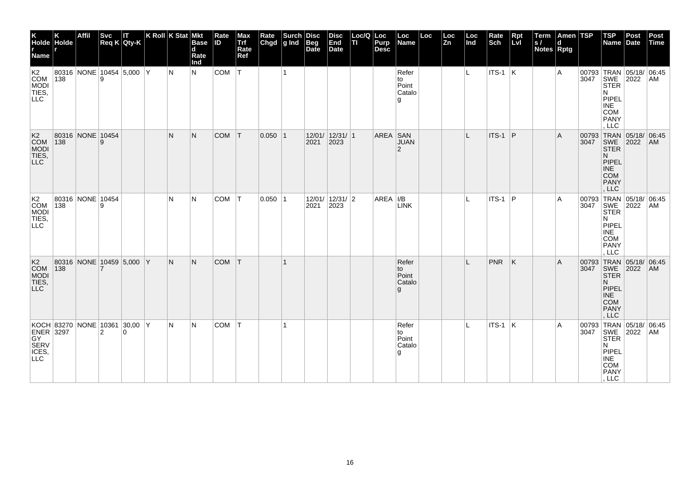| K<br>Holde Holde<br>r<br>Name r                                           |     | Affil                    | <b>Svc</b> | П<br>Req K Qty-K | K Roll $K$ Stat Mkt | <b>Base</b><br>$\mathbf d$<br>Rate<br>Ind | Rate<br>ID | Max<br>Trf<br>Rate<br>Ref | Rate<br>Chgd | $\left \begin{array}{c}\text{Such}\\ \text{g Ind}\end{array}\right $ | Disc<br>Beg<br>Date | <b>Disc</b><br>End<br>Date | Loc/Q Loc<br>TI | Purp<br><b>Desc</b> | Loc<br>Name                           | Loc | Loc<br>Zn | Loc<br>Ind | Rate<br>Sch     | Rpt<br>Lvl | Term<br>S/<br>Notes Rptg | Amen TSP<br>d |               | $ $ TSP<br>Name                                                                                                               | Post<br>Date | Post<br>Time |
|---------------------------------------------------------------------------|-----|--------------------------|------------|------------------|---------------------|-------------------------------------------|------------|---------------------------|--------------|----------------------------------------------------------------------|---------------------|----------------------------|-----------------|---------------------|---------------------------------------|-----|-----------|------------|-----------------|------------|--------------------------|---------------|---------------|-------------------------------------------------------------------------------------------------------------------------------|--------------|--------------|
| K <sub>2</sub><br><b>COM</b><br>MODI<br>TIES,<br>LLC                      | 138 | 80316 NONE 10454 5,000 Y |            |                  | N                   | N                                         | COM        | $\mathsf{I}\mathsf{T}$    |              | $\mathbf{1}$                                                         |                     |                            |                 |                     | Refer<br>to<br>Point<br>Catalo<br>g   |     |           | IL.        | $ $ ITS-1 $ K $ |            |                          | Α             |               | 00793 TRAN 05/18/ 06:45<br>3047 SWE 2022 AM<br><b>STER</b><br>N<br>PIPEL<br><b>INE</b><br><b>COM</b><br><b>PANY</b><br>LLC    |              |              |
| K <sub>2</sub><br>COM<br><b>MODI</b><br>TIES,                             | 138 | 80316 NONE 10454         | 9          |                  | $\mathsf{N}$        | N                                         | <b>COM</b> | T                         | $0.050$  1   |                                                                      | 2021                | 12/01/ 12/31/ 1<br>2023    |                 | AREA SAN            | <b>JUAN</b><br>2                      |     |           | IL.        | ITS-1           | P          |                          | A             | 00793<br>3047 | TRAN 05/18/ 06:45<br>SWE 2022<br><b>STER</b><br>N.<br>PIPEL<br><b>INE</b><br><b>COM</b><br><b>PANY</b><br>, LLC               |              | AM           |
| K2<br>COM<br><b>MODI</b><br>TIES,<br>LLC                                  | 138 | 80316 NONE 10454         | 9          |                  | N                   | N                                         | <b>COM</b> | T                         | 0.050 1      |                                                                      | 2021                | 12/01/ 12/31/ 2<br>2023    |                 | AREA   I/B          | <b>LINK</b>                           |     |           |            | ITS-1           | ∣P         |                          | Α             | 3047          | 00793 TRAN 05/18/ 06:45<br>SWE 2022<br><b>STER</b><br>N<br>PIPEL<br>INE<br><b>COM</b><br>PANY<br>LLC                          |              | AM           |
| K <sub>2</sub><br>COM<br><b>MODI</b><br>TIES,                             | 138 | 80316 NONE 10459 5,000 Y |            |                  | N.                  | N.                                        | <b>COM</b> | T                         |              |                                                                      |                     |                            |                 |                     | Refer<br>to<br>Point<br>Catalo<br>g   |     |           |            | <b>PNR</b>      | K          |                          | A             |               | 00793 TRAN 05/18/ 06:45<br>3047 SWE 2022 AM<br><b>STER</b><br>N.<br>PIPEL<br><b>INE</b><br><b>COM</b><br><b>PANY</b><br>, LLC |              |              |
| KOCH 83270 NONE 10361 30,00 Y<br>ENER 3297 2<br>SERV SERV<br>ICES,<br>LLC |     |                          |            |                  | N                   | N                                         | COM        | T                         |              | 1                                                                    |                     |                            |                 |                     | Refer<br>to<br>Point<br>Catalo<br>l g |     |           | L          | ITS-1 K         |            |                          | Α             |               | 00793 TRAN 05/18/ 06:45<br>3047 SWE 2022 AM<br><b>STER</b><br>N<br>PIPEL<br>INE<br>COM<br>PANY<br>, LLC                       |              |              |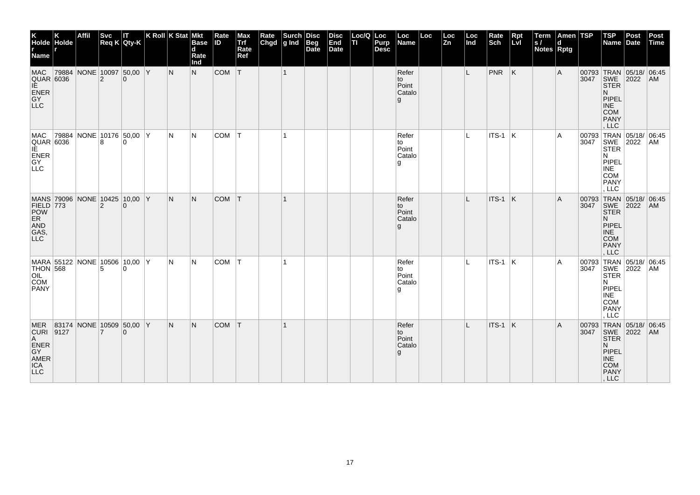| K<br>Holde Holde<br>r<br>Name r                                                             | <b>Affil</b>             | <b>Svc</b>     | IT.<br>$Req K$ Qty-K | $ K$ Roll $ K$ Stat $ M$ kt |     | <b>Base</b><br>d<br>Rate<br>Ind | Rate<br><b>ID</b> | Max<br>Trf<br>Rate<br>Ref | Rate<br>Chgd | $\left \begin{array}{c}\text{Such} \\ \text{g Ind}\end{array}\right $ | <b>Disc</b><br>Beg<br>Date | <b>Disc</b><br>End<br>Date | Loc/Q Loc<br>lτι | Purp<br><b>Desc</b> | Loc<br>Name                          | Loc | Loc<br>Zn | Loc<br>Ind | Rate<br>Sch     | Rpt<br>Lvl | Term<br> s <br>Notes Rptg | Amen TSP<br>d |      | $ $ TSP<br>Name Date                                                                                                   | Post | Post<br>Time |
|---------------------------------------------------------------------------------------------|--------------------------|----------------|----------------------|-----------------------------|-----|---------------------------------|-------------------|---------------------------|--------------|-----------------------------------------------------------------------|----------------------------|----------------------------|------------------|---------------------|--------------------------------------|-----|-----------|------------|-----------------|------------|---------------------------|---------------|------|------------------------------------------------------------------------------------------------------------------------|------|--------------|
| <b>MAC</b><br><b>QUAR 6036</b><br>IE.<br>ENER<br>GY<br>LLC                                  | 79884 NONE 10097 50,00 Y | 2              | $\Omega$             |                             | N   | N                               | COM               | T                         |              | $\mathbf{1}$                                                          |                            |                            |                  |                     | Refer<br>to<br>Point<br>Catalo<br>g  |     |           | L          | $PNR$ $K$       |            |                           | Α             |      | 00793 TRAN 05/18/ 06:45<br>3047 SWE 2022 AM<br><b>STER</b><br>N.<br>PIPEL<br><b>INE</b><br>COM<br>PANY<br>LLC          |      |              |
| MAC<br>QUAR 6036<br>IE<br>ENER<br>GY<br>LLC                                                 | 79884 NONE 10176 50,00 Y | 8              | $\Omega$             |                             | IN. | N                               | COM               | T                         |              | $\mathbf{1}$                                                          |                            |                            |                  |                     | Refer<br>to<br>Point<br>Catalo<br>۱g |     |           | L.         | $ITS-1$ K       |            |                           | A             | 3047 | 00793 TRAN 05/18/ 06:45<br>SWE 2022<br>N.<br>PIPEL<br><b>INE</b><br><b>COM</b><br><b>PANY</b><br>, LLC                 |      | AM           |
| MANS 79096 NONE 10425 10,00 Y<br>FIELD 773<br>POW<br>ER<br>F<br>$\mathsf{AND}$<br>GAS,      |                          | $\overline{2}$ | $\Omega$             |                             | N.  | N.                              | <b>COM</b>        | T                         |              | $\mathbf{1}$                                                          |                            |                            |                  |                     | Refer<br>to<br>Point<br>Catalo<br>g  |     |           | L          | ITS-1           | K          |                           | Α             | 3047 | 00793 TRAN 05/18/ 06:45<br>SWE 2022<br><b>STER</b><br>N.<br>PIPEL<br><b>INE</b><br>COM<br>PANY<br>, LLC                |      | AM           |
| MARA 55122 NONE 10506 10,00 Y<br><b>THON 568</b><br><b>OIL</b><br><b>COM</b><br><b>PANY</b> |                          | 5              | $\Omega$             |                             | IN. | N                               | COM               | T                         |              |                                                                       |                            |                            |                  |                     | Refer<br>to<br>Point<br>Catalo<br>۱g |     |           | IL.        | $ $ ITS-1 $ $ K |            |                           | A             | 3047 | 00793 TRAN 05/18/ 06:45<br>SWE 2022<br><b>STER</b><br>N<br>PIPEL<br><b>INE</b><br><b>COM</b><br><b>PANY</b><br>, LLC   |      | AM           |
| MER 83174 NONE 10509 50,00 Y<br>CURI 9127<br>A<br>ENER<br>GY<br>AMER<br>ICA<br>LLC          |                          | 7              | $\Omega$             |                             | IN. | N.                              | <b>COM</b>        | T                         |              |                                                                       |                            |                            |                  |                     | Refer<br>to<br>Point<br>Catalo<br>g  |     |           |            | ITS-1 K         |            |                           | A             |      | 00793 TRAN 05/18/ 06:45<br>3047 SWE 2022 AM<br><b>STER</b><br>N.<br>PIPEL<br><b>INE</b><br><b>COM</b><br>PANY<br>, LLC |      |              |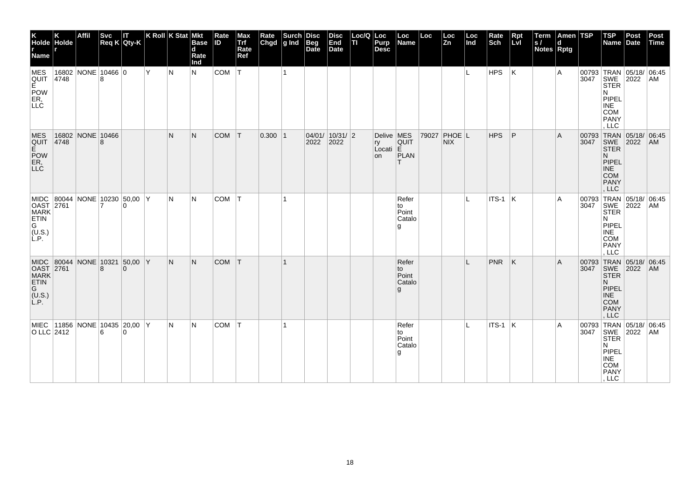| K<br>Holde Holde<br>r<br>Name                                                                                     |               | <b>Affil</b> | <b>Svc</b>     | Svc IT<br>Req K Qty-K                     |     | K Roll K Stat Mkt | <b>Base</b><br>d<br>Rate<br>Ind | Rate<br><b>ID</b> | Max<br>Trf<br>Rate<br>Ref | Rate<br>Chgd | $\left \begin{array}{c}\text{Such} \\ \text{g Ind} \end{array}\right $ Beg | Beg<br>Date | <b>Disc</b><br>End<br>Date | Loc/Q Loc<br>TI. | Purp<br><b>Desc</b>                 | Loc<br>Name                           | Loc | Loc<br>Zn            | Loc<br>Ind | Rate<br>Sch | Rpt<br>Lvl | Term<br> s <br>Notes Rptg | Amen TSP<br>d |      | $ $ TSP<br>Name                                                                                                       | Post<br>Date | Post<br>Time |
|-------------------------------------------------------------------------------------------------------------------|---------------|--------------|----------------|-------------------------------------------|-----|-------------------|---------------------------------|-------------------|---------------------------|--------------|----------------------------------------------------------------------------|-------------|----------------------------|------------------|-------------------------------------|---------------------------------------|-----|----------------------|------------|-------------|------------|---------------------------|---------------|------|-----------------------------------------------------------------------------------------------------------------------|--------------|--------------|
| MES<br>QUIT<br>E<br>POW<br>ER,<br>LLC                                                                             | 16802<br>4748 | NONE 10466 0 |                |                                           | İΥ. | lN.               | N.                              | COM               | T                         |              | $\overline{1}$                                                             |             |                            |                  |                                     |                                       |     |                      | L.         | HPS         | K          |                           | A             |      | 00793 TRAN 05/18/ 06:45<br>3047 SWE 2022 AM<br>STER<br>N<br>PIPEL<br><b>INE</b><br>COM<br>PANY<br>LLC                 |              |              |
| <b>MES</b><br>QUIT<br>E<br>POW<br>ER,<br>LLC                                                                      | 16802<br>4748 | NONE 10466   | 8              |                                           |     | N                 | N                               | <b>COM</b>        | $\top$                    | $0.300$  1   |                                                                            | 2022        | 04/01/ 10/31/ 2<br>2022    |                  | Delive   MES<br>ry<br>Local E<br>on | <b>QUIT</b><br>PLAN<br>т              |     | 79027 PHOE L<br>NIX. |            | <b>HPS</b>  | P          |                           | A             | 3047 | 00793 TRAN 05/18/ 06:45<br>SWE 2022<br>N.<br>PIPEL<br><b>INE</b><br><b>COM</b><br><b>PANY</b><br>, LLC                |              | AM           |
| MIDC 80044 NONE 10230 50,00 Y<br>OAST 2761<br>MARK<br>ETIN<br>$\begin{bmatrix} G \\ (U.S.) \\ L.P. \end{bmatrix}$ |               |              | $\overline{7}$ | $\Omega$                                  |     | N                 | IN.                             | <b>COM</b>        | ΙT                        |              | -1                                                                         |             |                            |                  |                                     | Refer<br>to<br>Point<br>Catalo<br>۱g  |     |                      | L          | $ITS-1$ K   |            |                           | Α             | 3047 | 00793 TRAN 05/18/ 06:45<br>SWE 2022<br><b>STER</b><br>N<br>PIPEL<br><b>INE</b><br><b>COM</b><br><b>PANY</b><br>LLC    |              | AM           |
| MIDC 80044 NONE 10321 50,00 Y<br>OAST 2761<br>MARK<br>ETIN<br>G<br>$(L, S)$<br>$L, P$ .                           |               |              | 8              | $\Omega$                                  |     | IN.               | N.                              | <b>COM</b>        | İΤ                        |              |                                                                            |             |                            |                  |                                     | Refer<br>to<br>Point<br>Catalo<br>g   |     |                      |            | <b>PNR</b>  | ΙK         |                           | A             | 3047 | 00793 TRAN 05/18/ 06:45<br>SWE 2022<br><b>STER</b><br>N.<br>PIPEL<br><b>INE</b><br><b>COM</b><br><b>PANY</b><br>, LLC |              | AM           |
| O LLC 2412                                                                                                        |               |              | 6              | MIEC 11856 NONE 10435 20,00 Y<br>$\Omega$ |     | N                 | IN.                             | <b>COM</b>        | ΙT                        |              |                                                                            |             |                            |                  |                                     | Refer<br>to<br>Point<br>Catalo<br>l g |     |                      |            | $ITS-1$ K   |            |                           | Α             |      | 00793 TRAN 05/18/ 06:45<br>3047 SWE 2022 AM<br><b>STER</b><br>N<br>PIPEL<br>INE<br>COM<br>PANY<br>, LLC               |              |              |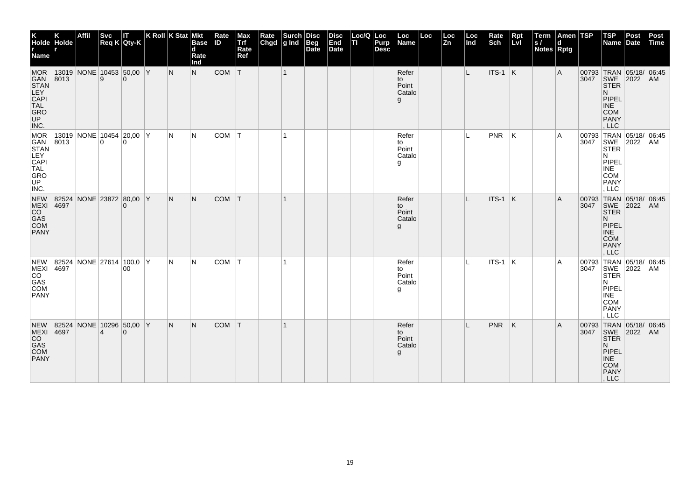| K<br>Holde Holde<br>r<br>Name r                                                                        |      | Affil | <b>Svc</b>     | П<br>$Req K$ Qty-K                   | K Roll K Stat Mkt |     | <b>Base</b><br>$\mathbf d$<br>Rate<br>Ind | Rate<br><b>ID</b> | Max<br>Trf<br>Rate<br>Ref | Rate<br>Chgd | Surch<br>g Ind | <b>Disc</b><br><b>Beg</b><br>Date | <b>Disc</b><br>End<br>Date | Loc/Q Loc<br>ΠI | Purp<br>Desc | Loc<br>Name                          | Loc | Loc<br><b>Zn</b> | Loc<br>Ind | Rate<br>Sch     | Rpt<br>Lvl              | Term<br>S/<br><b>Notes Rptg</b> | Amen TSP<br>d |               | $ $ TSP<br>Name                                                                                                              | Post<br>Date | Post<br>Time |
|--------------------------------------------------------------------------------------------------------|------|-------|----------------|--------------------------------------|-------------------|-----|-------------------------------------------|-------------------|---------------------------|--------------|----------------|-----------------------------------|----------------------------|-----------------|--------------|--------------------------------------|-----|------------------|------------|-----------------|-------------------------|---------------------------------|---------------|---------------|------------------------------------------------------------------------------------------------------------------------------|--------------|--------------|
| <b>MOR</b><br>GAN<br>STAN<br><b>LEY CAPI</b><br><b>CAPI</b><br><b>TAL</b><br><b>GRO</b><br><b>INC.</b> | 8013 |       | 9              | 13019 NONE 10453 50,00 Y<br>$\Omega$ |                   | N   | N                                         | COM               | T                         |              | $\mathbf{1}$   |                                   |                            |                 |              | Refer<br>to<br>Point<br>Catalo<br>g  |     |                  | L.         | $ITS-1$ K       |                         |                                 | Α             |               | 00793 TRAN 05/18/ 06:45<br>3047 SWE 2022 AM<br><b>STER</b><br>N.<br>PIPEL<br><b>INE</b><br><b>COM</b><br><b>PANY</b><br>LLC  |              |              |
| MOR<br>GAN<br>STAN<br>LEY<br>CAPI<br>TAL<br>GRO<br>UP<br>INC.                                          | 8013 |       | $\overline{0}$ | 13019 NONE 10454 20,00 Y<br>$\Omega$ |                   | N   | N                                         | <b>COM</b>        | lT.                       |              | $\mathbf{1}$   |                                   |                            |                 |              | Refer<br>to<br>Point<br>Catalo<br>۱g |     |                  | L          | <b>PNR</b>      | ΙK                      |                                 | Α             | 00793<br>3047 | TRAN 05/18/ 06:45<br>SWE 2022<br><b>STER</b><br>N<br>PIPEL<br>INE<br><b>COM</b><br><b>PANY</b><br>. LLC                      |              | AM           |
| <b>NEW</b><br>MEXI<br>CO<br>GAS<br>COM<br>PANY                                                         | 4697 |       |                | 82524 NONE 23872 80,00 Y<br>$\Omega$ |                   | IN. | N.                                        | <b>COM</b>        | T                         |              |                |                                   |                            |                 |              | Refer<br>to<br>Point<br>Catalo<br>g  |     |                  |            | ITS-1           | $\overline{\mathsf{K}}$ |                                 | A             | 3047          | 00793 TRAN 05/18/ 06:45<br>SWE 2022<br><b>STER</b><br>N.<br><b>PIPEL</b><br>INE<br><b>COM</b><br>PANY<br>LLC                 |              | AM           |
| <b>NEW</b><br>MEXI<br>CO<br>GAS<br>COM<br><b>PANY</b>                                                  | 4697 |       |                | 82524 NONE 27614 100,0 Y<br>00       |                   | N   | N                                         | COM               | IТ.                       |              |                |                                   |                            |                 |              | Refer<br>to<br>Point<br>Catalo<br>g  |     |                  | IL.        | $ $ ITS-1 $ $ K |                         |                                 | A             |               | 00793 TRAN 05/18/ 06:45<br>3047 SWE 2022 AM<br><b>STER</b><br>N<br>PIPEL<br><b>INE</b><br><b>COM</b><br><b>PANY</b><br>, LLC |              |              |
| <b>NEW</b><br>MEXI<br>CO<br>GAS<br>COM<br><b>PANY</b>                                                  | 4697 |       | $\overline{4}$ | 82524 NONE 10296 50,00 Y<br>$\Omega$ |                   | N.  | N.                                        | <b>COM</b>        | T                         |              |                |                                   |                            |                 |              | Refer<br>to<br>Point<br>Catalo<br>g  |     |                  |            | <b>PNR</b>      | ΙK.                     |                                 | A             |               | 00793 TRAN 05/18/ 06:45<br>3047 SWE 2022 AM<br><b>STER</b><br>N.<br>PIPEL<br><b>INE</b><br><b>COM</b><br>PANY<br>, LLC       |              |              |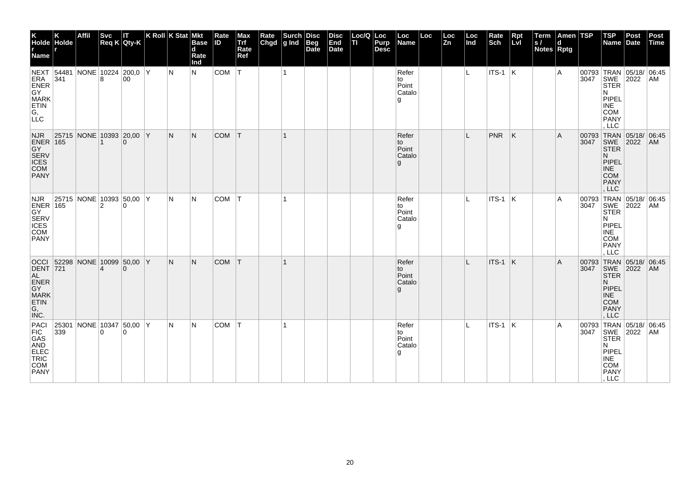| K<br>Holde Holde<br>r<br>Name r                                                                          |     | Affil                         | <b>Svc</b>     | П<br>$Req K$ Qty-K | K Roll K Stat Mkt | <b>Base</b><br>$\mathbf d$<br>Rate<br>Ind | Rate<br>ID | Max<br>Trf<br>Rate<br>Ref | Rate<br>Chgd | $\left \begin{array}{c}\text{Such}\\ \text{g Ind}\end{array}\right $ | Disc<br><b>Beg</b><br>Date | <b>Disc</b><br>End<br>Date | Loc/Q Loc<br>ΠI | Purp<br><b>Desc</b> | Loc<br>Name                           | Loc | Loc<br>Zn | Loc<br>Ind | Rate<br>Sch     | Rpt<br>Lvl | Term<br>S/<br><b>Notes Rptg</b> | Amen TSP<br>d |               | $ $ TSP<br>Name Date                                                                                                          | Post | Post<br>Time |
|----------------------------------------------------------------------------------------------------------|-----|-------------------------------|----------------|--------------------|-------------------|-------------------------------------------|------------|---------------------------|--------------|----------------------------------------------------------------------|----------------------------|----------------------------|-----------------|---------------------|---------------------------------------|-----|-----------|------------|-----------------|------------|---------------------------------|---------------|---------------|-------------------------------------------------------------------------------------------------------------------------------|------|--------------|
| NEXT 54481 NONE 10224 200,0 Y<br>ERA 341 8 00<br>GY<br>GY<br><b>MARK</b><br>ETIN<br>$\overline{G}$ , LLC |     |                               |                |                    | IN.               | N                                         | COM        | IT.                       |              | $\mathbf{1}$                                                         |                            |                            |                 |                     | Refer<br>to<br>Point<br>Catalo<br>g   |     |           | L.         | $ $ ITS-1 $ K $ |            |                                 | Α             |               | 00793 TRAN 05/18/ 06:45<br>3047 SWE 2022 AM<br><b>STER</b><br>N<br>PIPEL<br><b>INE</b><br><b>COM</b><br><b>PANY</b><br>LLC    |      |              |
| <b>NJR</b><br>ENER 165<br>GY<br>SERV<br>CES<br>COM<br>PANY                                               |     | 25715 NONE 10393 20,00 Y      | 1              | $\Omega$           | N.                | N                                         | <b>COM</b> | T                         |              | $\mathbf{1}$                                                         |                            |                            |                 |                     | Refer<br>to<br>Point<br>Catalo<br>g   |     |           | IL.        | <b>PNR</b>      | K          |                                 | A             | 00793<br>3047 | TRAN 05/18/ 06:45<br>SWE 2022<br><b>STER</b><br>N.<br>PIPEL<br><b>INE</b><br><b>COM</b><br><b>PANY</b><br>. LLC               |      | AM           |
| <b>NJR</b><br>ENER 165<br>GY<br>SERV<br>ICES<br>COM<br><b>PANY</b>                                       |     | 25715 NONE 10393 50,00 Y      | $\overline{2}$ | $\Omega$           | IN.               | N                                         | <b>COM</b> | T                         |              |                                                                      |                            |                            |                 |                     | Refer<br>to<br>Point<br>Catalo<br>l g |     |           |            | $ $ ITS-1 $ $ K |            |                                 | A             | 3047          | 00793 TRAN 05/18/ 06:45<br>SWE 2022<br><b>STER</b><br>N<br>PIPEL<br>INE<br><b>COM</b><br>PANY<br>LLC                          |      | AM           |
| <b>DENT 721</b><br>AL<br>ENER<br>GY<br>MARK<br>ETIN<br>G,<br>INC.                                        |     | OCCI 52298 NONE 10099 50,00 Y | 4              | $\Omega$           | N.                | N.                                        | <b>COM</b> | T                         |              |                                                                      |                            |                            |                 |                     | Refer<br>to<br>Point<br>Catalo<br>g   |     |           | L          | ITS-1 K         |            |                                 | A             |               | 00793 TRAN 05/18/ 06:45<br>3047 SWE 2022 AM<br><b>STER</b><br>N.<br>PIPEL<br><b>INE</b><br><b>COM</b><br><b>PANY</b><br>, LLC |      |              |
| PACI<br>FIC<br>GAS<br>AND<br>ELEC<br>TRIC<br>COM<br>PANY                                                 | 339 | $ 25301 $ NONE 10347 50,00 Y  | l O            | $\Omega$           | IN.               | N                                         | COM        | T                         |              | 1                                                                    |                            |                            |                 |                     | Refer<br>to<br>Point<br>Catalo<br>l g |     |           | L          | $ITS-1$ K       |            |                                 | Α             |               | 00793 TRAN 05/18/ 06:45<br>3047 SWE 2022 AM<br><b>STER</b><br>N<br>PIPEL<br>INE<br>COM<br>PANY<br>, LLC                       |      |              |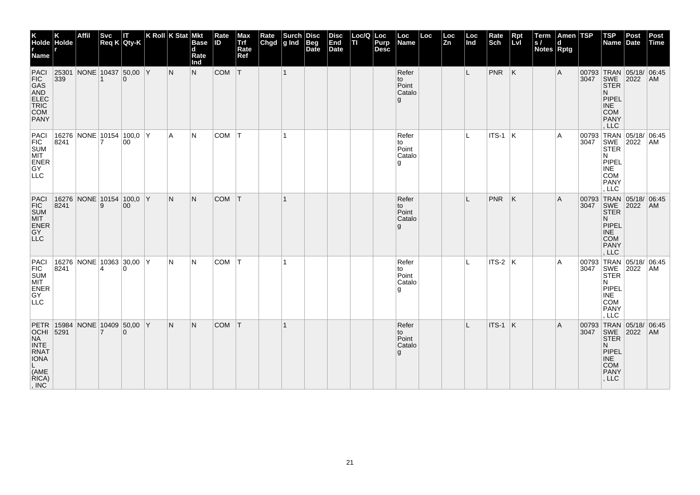| K<br>Holde Holde<br>r<br>Name r                                                                                                                        |      | <b>Affil</b>             | <b>Svc</b>     | IΤ<br>Req K Qty-K | K Roll K Stat Mkt |     | <b>Base</b><br>$\mathbf d$<br>Rate<br>Ind | Rate<br><b>ID</b> | Max<br>Trf<br>Rate<br>Ref | Rate<br>Chgd | $\left \begin{array}{c}\text{Such}\\ \text{g Ind}\end{array}\right $ | <b>Disc</b><br><b>Beg</b><br>Date | <b>Disc</b><br>End<br>Date | Loc/Q Loc<br>п | Purp<br><b>Desc</b> | Loc<br>Name                           | Loc | Loc<br>Zn | Loc<br>Ind | Rate<br>Sch | <b>Rpt</b><br>LvI       | Term<br> s <br>Notes Rptg | Amen TSP<br>d |               | $ $ TSP<br>Name Date                                                                                           | Post | Post<br>Time |
|--------------------------------------------------------------------------------------------------------------------------------------------------------|------|--------------------------|----------------|-------------------|-------------------|-----|-------------------------------------------|-------------------|---------------------------|--------------|----------------------------------------------------------------------|-----------------------------------|----------------------------|----------------|---------------------|---------------------------------------|-----|-----------|------------|-------------|-------------------------|---------------------------|---------------|---------------|----------------------------------------------------------------------------------------------------------------|------|--------------|
| PACI<br>FIC<br>GAS<br>AND<br>ELEC<br>TRIC<br>COM<br>PANY                                                                                               | 339  | 25301 NONE 10437 50,00 Y |                | $\Omega$          |                   | N   | N.                                        | COM               | İТ.                       |              | $\overline{1}$                                                       |                                   |                            |                |                     | Refer<br>to<br>Point<br>Catalo<br>g   |     |           | L          | PNR         | $\overline{\mathsf{K}}$ |                           | A             | 3047          | 00793 TRAN 05/18/ 06:45<br>SWE 2022<br><b>STER</b><br>N.<br>PIPEL<br><b>INE</b><br><b>COM</b><br>PANY<br>, LLC |      | AM           |
| PACI<br>FIC<br>SUM<br>MIT<br>ENER<br>GY<br><b>LLC</b>                                                                                                  | 8241 | 16276 NONE 10154 100,0 Y |                | 00                |                   | A   | N                                         | COM               | T                         |              | $\mathbf{1}$                                                         |                                   |                            |                |                     | Refer<br>to<br>Point<br>Catalo<br>l g |     |           | L          | $ITS-1$ K   |                         |                           | A             | 00793<br>3047 | TRAN 05/18/ 06:45<br> SWE 2022 AM<br><b>STER</b><br>N<br>PIPEL<br>INE <sup>-</sup><br>COM<br>PANY<br>, LLC     |      |              |
| PACI<br>FIC<br>SUM<br>MIT<br>ENER<br>GY<br>LLC                                                                                                         | 8241 | 16276 NONE 10154 100,0 Y | 9              | $00\,$            |                   | N.  | N.                                        | COM T             |                           |              |                                                                      |                                   |                            |                |                     | Refer<br>to<br>Point<br>Catalo<br>g   |     |           |            | PNR         | ΙK                      |                           | A             | 3047          | 00793 TRAN 05/18/ 06:45<br>SWE 2022<br><b>STER</b><br>N.<br>PIPEL<br><b>INE</b><br>COM<br><b>PANY</b><br>, LLC |      | AM           |
| PACI<br>FIC<br>SUM<br>MIT<br>ENER<br>ENER<br>GY<br>LLC                                                                                                 | 8241 | 16276 NONE 10363 30,00 Y | $\overline{4}$ | $\Omega$          |                   | N   | N                                         | COM   T           |                           |              | $\mathbf{1}$                                                         |                                   |                            |                |                     | Refer<br>to<br>Point<br>Catalo<br>۱g  |     |           | L.         | $ITS-2$ K   |                         |                           | A             | 00793<br>3047 | TRAN 05/18/ 06:45<br>SWE 2022<br>STER<br>N<br>PIPEL<br><b>INE</b><br><b>COM</b><br>PANY<br>, LLC               |      | AM           |
| PETR 15984 NONE 10409 50,00 Y<br>OCHI 5291 7 0<br><b>NA</b><br><b>INTE</b><br><b>RNAT</b><br>IONA<br>L<br>(AME<br>RICA)<br>$\mathsf{I}, \mathsf{INC}'$ |      |                          |                |                   |                   | IN. | N.                                        | <b>COM</b>        | T                         |              | $\mathbf{1}$                                                         |                                   |                            |                |                     | Refer<br>to<br>Point<br>Catalo<br>g   |     |           | IL.        | $ITS-1$ K   |                         |                           | A             | 3047          | 00793 TRAN 05/18/ 06:45<br>SWE 2022<br><b>STER</b><br>N<br><b>PIPEL</b><br>INE<br>COM<br>PANY<br>, LLC         |      | AM           |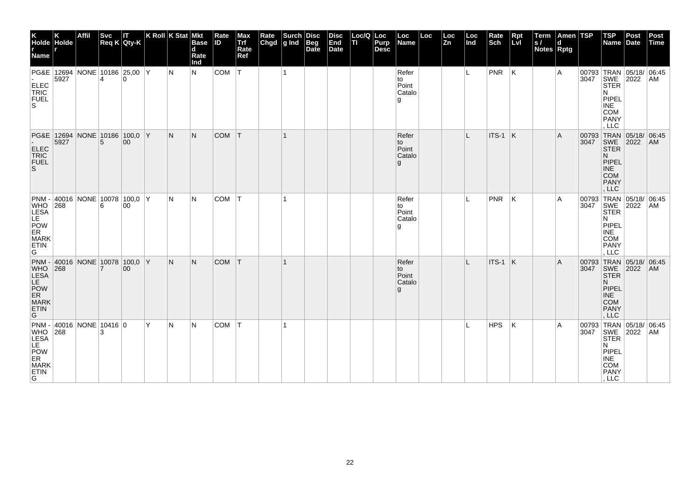| K<br>Holde Holde<br>r<br>Name r                                                                |      | Affil                                   | <b>Svc</b><br>Req K Qty-K | П        | K Roll K Stat Mkt |     | <b>Base</b><br>$\mathbf d$<br>Rate<br>Ind | Rate<br>ID | Max<br>Trf<br>Rate<br>Ref | Rate<br>Chgd | Surch<br>g Ind | Disc<br>Beg<br>Date | <b>Disc</b><br>End<br>Date | Loc/Q Loc<br>п | Purp<br><b>Desc</b> | Loc<br>Name                           | Loc | Loc<br>Zn | Loc<br>Ind | Rate<br>Sch | Rpt<br>Lvl | Term<br>S/<br>Notes Rptg | Amen TSP<br>d |                    | <b>TSP</b><br>Name Date                                                                                                    | Post                 | Post<br>Time |
|------------------------------------------------------------------------------------------------|------|-----------------------------------------|---------------------------|----------|-------------------|-----|-------------------------------------------|------------|---------------------------|--------------|----------------|---------------------|----------------------------|----------------|---------------------|---------------------------------------|-----|-----------|------------|-------------|------------|--------------------------|---------------|--------------------|----------------------------------------------------------------------------------------------------------------------------|----------------------|--------------|
| ELEC<br>TRIC<br><b>FUEL</b><br>S.                                                              | 5927 | PG&E   12694   NONE   10186   25,00   Y | 4                         | $\Omega$ |                   | IN. | N                                         | COM        | IТ.                       |              | $\mathbf{1}$   |                     |                            |                |                     | Refer<br>to<br>Point<br>Catalo<br>g   |     |           | IL.        | PNR         | K          |                          | Α             |                    | 00793 TRAN 05/18/ 06:45<br>3047 SWE 2022 AM<br><b>STER</b><br>N<br>PIPEL<br><b>INE</b><br><b>COM</b><br><b>PANY</b><br>LLC |                      |              |
| ELEC<br>TRIC<br>FUEL<br>S                                                                      | 5927 | PG&E 12694 NONE 10186 100,0 Y           | 5                         | $00\,$   |                   | N.  | N.                                        | <b>COM</b> | IТ.                       |              | $\mathbf{1}$   |                     |                            |                |                     | Refer<br>to<br>Point<br>Catalo<br>g   |     |           | IL.        | ITS-1       | ΙK         |                          | A             | 00793<br>3047      | TRAN 05/18/ 06:45<br>SWE 2022<br><b>STER</b><br>N.<br>PIPEL<br><b>INE</b><br><b>COM</b><br><b>PANY</b><br>LLC              |                      | AM           |
| WHO<br>LESA<br>LE<br>POW<br>ER<br><b>MARK</b><br>ETIN<br>G                                     | 268  | PNM - 40016 NONE 10078 100,0 Y          | 6                         | 00       |                   | N   | N                                         | COM        | IT.                       |              |                |                     |                            |                |                     | Refer<br>to<br>Point<br>Catalo<br>l g |     |           |            | PNR         | ΙK         |                          | Α             | 00793 TRAN<br>3047 | SWE<br><b>STER</b><br>N<br>PIPEL<br><b>INE</b><br><b>COM</b><br><b>PANY</b><br>LLC                                         | 05/18/ 06:45<br>2022 | AM           |
| PNM - 40016 NONE 10078 100,0 Y<br>WHO 268 7 00<br>LESA<br>LE<br>POW<br>ER<br>MARK<br>ETIN<br>G |      |                                         |                           |          |                   | N.  | N.                                        | <b>COM</b> | T                         |              |                |                     |                            |                |                     | Refer<br>to<br>Point<br>Catalo<br>g   |     |           | L          | ITS-1 K     |            |                          | A             | 3047               | 00793 TRAN 05/18/ 06:45<br>SWE<br><b>STER</b><br>N.<br>PIPEL<br><b>INE</b><br><b>COM</b><br><b>PANY</b><br>, LLC           | 2022                 | AM           |
| PNM - 40016 NONE 10416 0<br>WHO 268<br>LESA LE.<br>POW<br>ER<br>MARK<br>ETIN<br>G              |      |                                         |                           |          | ΙY.               | IN. | N                                         | COM        | T                         |              |                |                     |                            |                |                     |                                       |     |           |            | HPS         | ΙK.        |                          | Α             |                    | 00793 TRAN 05/18/ 06:45<br>3047 SWE 2022 AM<br><b>STER</b><br>N<br>PIPEL<br><b>INE</b><br>COM<br>PANY<br>, LLC             |                      |              |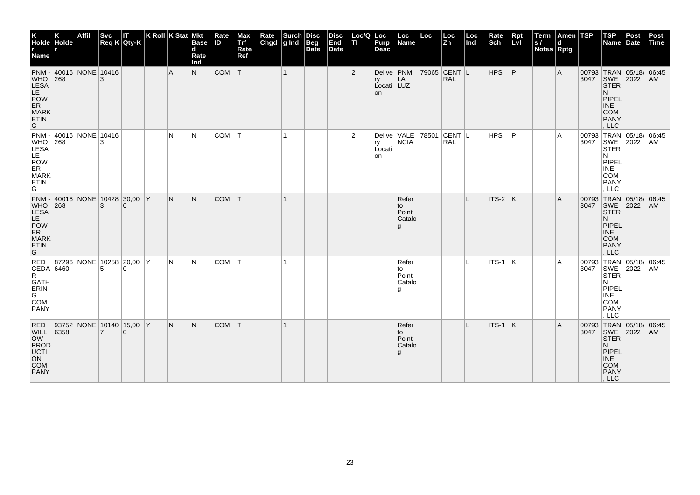| K<br>Holde Holde<br>r<br>Name r                                                                                                   |       | Affil                          | <b>Svc</b>     | П<br>Req K Qty-K | $ K$ Roll $ K$ Stat $ M$ kt |                | <b>Base</b><br>d<br>Rate<br>Ind | Rate<br><b>ID</b> | Max<br>Trf<br>Rate<br>Ref | Rate<br>Chgd | Surch<br>g Ind | <b>Disc</b><br><b>Beg</b><br>Date | <b>Disc</b><br>End<br>Date | Loc/Q Loc<br>lτι | Purp<br><b>Desc</b>                           | Loc<br>Name                          | Loc   | $\frac{\text{Loc}}{\text{Zn}}$ | Loc<br>Ind | Rate<br>Sch     | Rpt<br>Lvl | Term<br> s <br>Notes Rptg | Amen TSP<br>d |               | <b>TSP</b><br>Name                                                                                                     | Post<br>Date | Post<br>Time |
|-----------------------------------------------------------------------------------------------------------------------------------|-------|--------------------------------|----------------|------------------|-----------------------------|----------------|---------------------------------|-------------------|---------------------------|--------------|----------------|-----------------------------------|----------------------------|------------------|-----------------------------------------------|--------------------------------------|-------|--------------------------------|------------|-----------------|------------|---------------------------|---------------|---------------|------------------------------------------------------------------------------------------------------------------------|--------------|--------------|
| <b>WHO</b><br>LESA<br>LE<br>POW<br>ER<br><b>MARK</b><br>ETIN<br>G                                                                 | 268   | PNM - 40016 NONE 10416         |                |                  |                             | $\overline{A}$ | N                               | COM               | T                         |              | $\overline{1}$ |                                   |                            | 2                | Delive   PNM<br>ry<br>Locati LUZ<br><b>on</b> | LA                                   |       | 79065 CENT L<br><b>RAL</b>     |            | HPS             | ∣P         |                           | A             |               | 00793 TRAN 05/18/ 06:45<br>3047 SWE 2022 AM<br><b>STER</b><br>N.<br>PIPEL<br><b>INE</b><br><b>COM</b><br>PANY<br>LLC   |              |              |
| $\begin{array}{c} \n\text{WHO} \\ \n\text{LESA} \\ \n\text{LE} \\ \n\text{LE} \\ \n\end{array}$<br>POW<br>ER<br>MARK<br>ETIN<br>G |       | PNM - 40016 NONE 10416         | 3              |                  |                             | N              | N                               | COM               | IT.                       |              | $\mathbf{1}$   |                                   |                            | $\overline{2}$   | Delive VALE<br>ry<br>Locati<br>on             | <b>NCIA</b>                          | 78501 | CENT L<br><b>RAL</b>           |            | HPS             | P          |                           | A             | 00793<br>3047 | TRAN 05/18/ 06:45<br>SWE 2022 AM<br>STER<br>N<br>PIPEL<br><b>INE</b><br>COM<br><b>PANY</b><br>, LLC                    |              |              |
| WHO<br>LESA<br>LE<br>POW<br>ER<br><b>MARK</b><br>ETIN<br>G                                                                        | 268   | PNM - 40016 NONE 10428 30,00 Y | 3              | $\Omega$         |                             | N.             | N.                              | <b>COM</b>        | T                         |              | -1             |                                   |                            |                  |                                               | Refer<br>to<br>Point<br>Catalo<br>g  |       |                                | L          | $ $ ITS-2 $ $ K |            |                           | Α             | 00793<br>3047 | TRAN 05/18/ 06:45<br>SWE 2022<br><b>STER</b><br>N.<br><b>PIPEL</b><br><b>INE</b><br><b>COM</b><br><b>PANY</b><br>, LLC |              | <b>AM</b>    |
| RED<br>CEDA 6460<br>R<br>GATH<br>ERIN<br>G<br>COM<br><b>PANY</b>                                                                  | 87296 | NONE 10258 20,00 Y             | 5              | $\Omega$         |                             | N.             | N                               | COM               | ΙT                        |              |                |                                   |                            |                  |                                               | Refer<br>to<br>Point<br>Catalo<br>۱g |       |                                | IL.        | ITS-1  K        |            |                           | A             | 3047          | 00793 TRAN 05/18/ 06:45<br>SWE 2022<br><b>STER</b><br>N<br>PIPEL<br><b>INE</b><br>COM<br><b>PANY</b><br>LLC            |              | AM           |
| RED<br>WILL<br>OW<br>PROD<br>UCTI<br>ON<br>COM<br>PANY                                                                            | 6358  | 93752 NONE 10140 15,00 Y       | $\overline{7}$ | $\Omega$         |                             | N.             | N.                              | <b>COM</b>        | T                         |              |                |                                   |                            |                  |                                               | Refer<br>to<br>Point<br>Catalo<br>g  |       |                                |            | $ITS-1$ K       |            |                           | A             |               | 00793 TRAN 05/18/ 06:45<br>3047 SWE 2022 AM<br><b>STER</b><br>N.<br>PIPEL<br><b>INE</b><br>COM<br>PANY<br>, LLC        |              |              |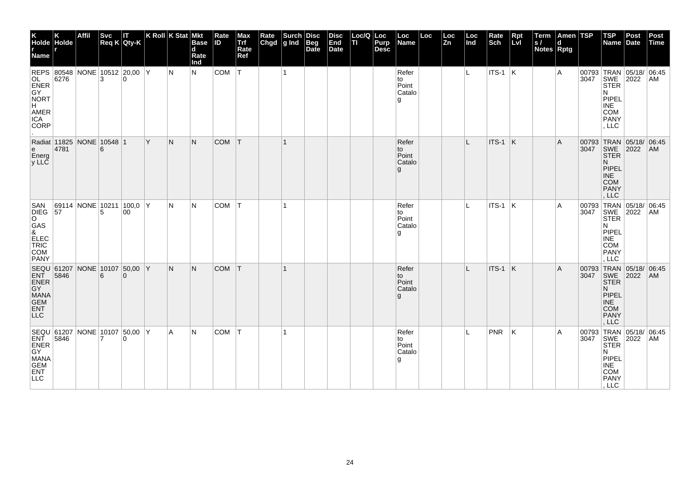| K<br>Holde Holde<br>r<br>Name r                                                                            |      | <b>Affil</b>             | <b>Svc</b><br>Req K Qty-K | Ш        | K Roll K Stat Mkt |     | <b>Base</b><br>d<br>Rate<br>Ind | Rate<br>ID. | Max<br>Trf<br>Rate<br>Ref | Rate<br>Chgd | Surch<br>g Ind | <b>Disc</b><br>Beg<br>Date | <b>Disc</b><br>End<br>Date | Loc/Q Loc<br>TI. | Purp<br><b>Desc</b> | Loc<br>Name                            | Loc | Loc<br>Zn | Loc<br>ln d  | Rate<br>Sch    | Rpt<br>Lvl | Term<br> s <br><b>Notes Rptg</b> | Amen TSP<br>d |      | TSP<br>Name Date                                                                                                      | Post                  | Post<br>Time   |
|------------------------------------------------------------------------------------------------------------|------|--------------------------|---------------------------|----------|-------------------|-----|---------------------------------|-------------|---------------------------|--------------|----------------|----------------------------|----------------------------|------------------|---------------------|----------------------------------------|-----|-----------|--------------|----------------|------------|----------------------------------|---------------|------|-----------------------------------------------------------------------------------------------------------------------|-----------------------|----------------|
| REPS 80548 NONE 10512 20,00 Y<br>OL<br>ENER<br>GY<br><b>NORT</b><br>H<br>AMER<br><b>ICA</b><br><b>CORP</b> | 6276 |                          | 3                         | $\Omega$ |                   | IN. | N.                              | COM         | IT.                       |              | $\overline{1}$ |                            |                            |                  |                     | Refer<br>to<br>Point<br>Catalo<br>۱g۱. |     |           | L.           | <b>ITS-1</b> K |            |                                  | A             |      | 00793 TRAN 05/18/ 06:45<br>3047 SWE<br><b>STER</b><br>N<br>PIPEL<br><b>INE</b><br><b>COM</b><br>PANY<br>, LLC         | 2022                  | AM             |
| Radiat 11825 NONE 10548 1<br>e<br>Energ<br>y LLC                                                           | 4781 |                          | 6                         |          | ΙY.               | IN. | N.                              | COM T       |                           |              | $\mathbf{1}$   |                            |                            |                  |                     | Refer<br>to<br>Point<br>Catalo<br>g    |     |           | L            | $ITS-1$ K      |            |                                  | A             | 3047 | 00793 TRAN 05/18/ 06:45<br>SWE 2022<br><b>STER</b><br>N.<br>PIPEL<br><b>INE</b><br><b>COM</b><br>PANY<br>, LLC        |                       | AM             |
| SAN<br>DIEG 57<br>$\circ$<br>GAS<br>&<br>ELEC<br>TRIC<br>COM<br><b>PANY</b>                                |      | 69114 NONE 10211 100,0 Y | 5                         | 00       |                   | IN. | N                               | COM T       |                           |              | 1              |                            |                            |                  |                     | Refer<br>to<br>Point<br>Catalo<br>g    |     |           | L            | ITS-1  K       |            |                                  | A             |      | 00793 TRAN 05/18/<br>3047 SWE 2022<br><b>STER</b><br>N.<br>PIPEL<br><b>INE</b><br><b>COM</b><br>PANY<br>, LLC         |                       | 06:45<br>AM    |
| SEQU 61207 NONE 10107 50,00 Y<br>ENT 5846 6 0<br>ENER GY<br>MANA<br>GEM<br><b>ENT</b><br><b>LLC</b>        |      |                          |                           |          |                   | IN. | N                               | <b>COM</b>  | IT.                       |              | $\mathbf 1$    |                            |                            |                  |                     | Refer<br>to<br>Point<br>Catalo<br>g    |     |           | $\mathbf{I}$ | ITS-1          | ΙK.        |                                  | A             | 3047 | 00793 TRAN 05/18/ 06:45<br>SWE 2022<br><b>STER</b><br>N.<br>PIPEL<br><b>INE</b><br><b>COM</b><br><b>PANY</b><br>, LLC |                       | AM <sub></sub> |
| SEQU 61207 NONE 10107 50,00 Y<br>ENT 5846 7<br>GY<br>MANA<br>GEM<br>ENT<br>LLC                             |      |                          |                           |          |                   | l A | N                               | COM         | T                         |              | 1              |                            |                            |                  |                     | Refer<br>to<br>Point<br>Catalo<br>۱g.  |     |           | П.           | <b>PNR</b>     | ΙK         |                                  | A             | 3047 | 00793 TRAN<br>SWE<br><b>STER</b><br>N<br>PIPEL<br>INE<br>COM<br>PANY<br>, LLC                                         | 05/18/ 06.45 <br>2022 | AM.            |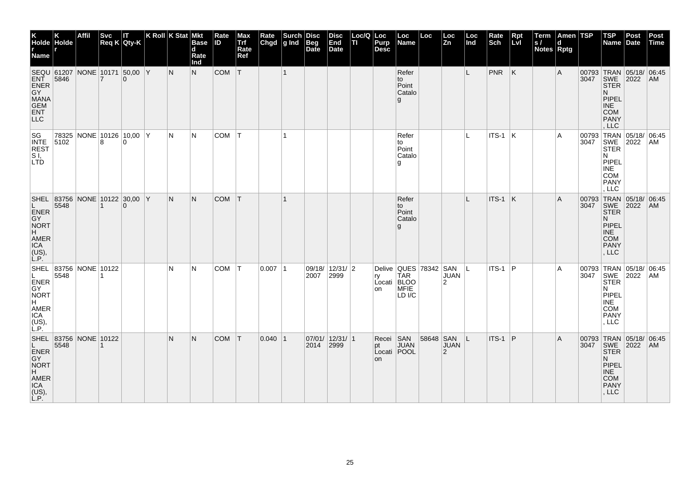| K<br>Holde Holde<br>r r<br><b>Name</b>                                                |      | Affil      | <b>Svc</b>     | П<br>$Req K$ Qty-K                        | K Roll K Stat Mkt | <b>Base</b><br>$\mathbf d$<br>Rate<br>Ind | Rate<br><b>ID</b> | Max<br>Trf<br>Rate<br>Ref | Rate<br>Chgd | Surch<br>$ g $ Ind | <b>Disc</b><br>Beg<br>Date | <b>Disc</b><br>End<br><b>Date</b> | Loc/Q<br>TI | Loc<br>Purp<br><b>Desc</b> | Loc<br>Name                                                          | Loc       | Loc<br>Zn                     | Loc<br>Ind | Rate<br>Sch | <b>Rpt</b><br>LvI | Term<br> s <br>Notes Rptg | Amen TSP<br>d |               | <b>TSP</b><br>Name                                                                                                    | Post<br>Date | Post<br>Time |
|---------------------------------------------------------------------------------------|------|------------|----------------|-------------------------------------------|-------------------|-------------------------------------------|-------------------|---------------------------|--------------|--------------------|----------------------------|-----------------------------------|-------------|----------------------------|----------------------------------------------------------------------|-----------|-------------------------------|------------|-------------|-------------------|---------------------------|---------------|---------------|-----------------------------------------------------------------------------------------------------------------------|--------------|--------------|
| SEQU 61207<br>ENT<br>ENER<br>GY<br>MANA<br>GEM<br>ENT<br>LLC                          | 5846 |            | $\overline{7}$ | NONE 10171 50,00 Y<br>$\mathbf{0}$        | IN.               | N.                                        | $COM$ $T$         |                           |              | $\vert$ 1          |                            |                                   |             |                            | Refer<br>to<br>Point<br>Catalo<br>g                                  |           |                               | L.         | $PNR$ $K$   |                   |                           | A             | 3047          | 00793 TRAN 05/18/ 06:45<br>SWE 2022 AM<br><b>STER</b><br>N.<br>PIPEL<br><b>INE</b><br><b>COM</b><br>PANY<br>LLC       |              |              |
| SG<br>INTE<br><b>REST</b><br>S <sub>1</sub><br><b>LTD</b>                             | 5102 |            | 8              | 78325 NONE 10126 10,00 Y<br>$\Omega$      | N                 | IN.                                       | COM               | $\top$                    |              |                    |                            |                                   |             |                            | Refer<br>to<br>Point<br>Catalo<br>l g                                |           |                               | L          | $ITS-1$ K   |                   |                           | A             |               | 00793 TRAN 05/18/ 06:45<br>3047 SWE 2022 AM<br><b>STER</b><br>N<br>PIPEL<br><b>INE</b><br>COM<br><b>PANY</b><br>, LLC | 2022         |              |
| L.<br>ENER<br>GY<br>NORT<br>H<br>AMER<br>ICA<br>(US),<br>L.P.                         | 5548 |            |                | SHEL 83756 NONE 10122 30,00 Y<br>$\Omega$ | ∣N.               | N.                                        | <b>COM</b>        | T                         |              | 11                 |                            |                                   |             |                            | Refer<br>to<br>Point<br>Catalo<br>g                                  |           |                               | L          | ITS-1 K     |                   |                           | A             | 3047          | 00793 TRAN 05/18/ 06:45<br>SWE 2022<br><b>STER</b><br>N.<br>PIPEL<br><b>INE</b><br><b>COM</b><br><b>PANY</b><br>, LLC |              | AM           |
| SHEL 83756<br>L.<br>ENER<br>GY<br>NORT<br>H<br>AMER<br><b>ICA</b><br>$(US)$ ,<br>L.P. | 5548 | NONE 10122 |                |                                           | N                 | N                                         | COM               | $\top$                    | $0.007$  1   |                    | 2007 2999                  | 09/18/ 12/31/ 2                   |             | rv<br>on                   | Delive QUES 78342 SAN<br><b>TAR</b><br>Locati BLOO<br>MFIE<br>LD I/C |           | <b>JUAN</b><br>$\overline{2}$ | IL.        | $ITS-1$     | P                 |                           | A             | 00793<br>3047 | TRAN 05/18/ 06:45<br>SWE 2022<br><b>STER</b><br>N<br>PIPEL<br><b>INE</b><br><b>COM</b><br><b>PANY</b><br>, LLC        |              | AM           |
| SHEL 83756<br>L.<br>ENER<br>GY<br>NORT<br>H<br>AMER<br>ICA<br>(US),<br>L.P.           | 5548 | NONE 10122 |                |                                           | N                 | N                                         | <b>COM</b>        | T                         | $0.040$  1   |                    | 2014 2999                  | 07/01/12/31/1                     |             | Recei SAN<br>pt<br>on      | <b>JUAN</b><br>Locati POOL                                           | 58648 SAN | <b>JUAN</b><br>2              | IL.        | ITS-1       | ∣P                |                           | A             | 00793<br>3047 | TRAN 05/18/ 06:45<br>SWE 2022<br><b>STER</b><br>N.<br>PIPEL<br><b>INE</b><br><b>COM</b><br>PANY<br>, LLC              |              | AM           |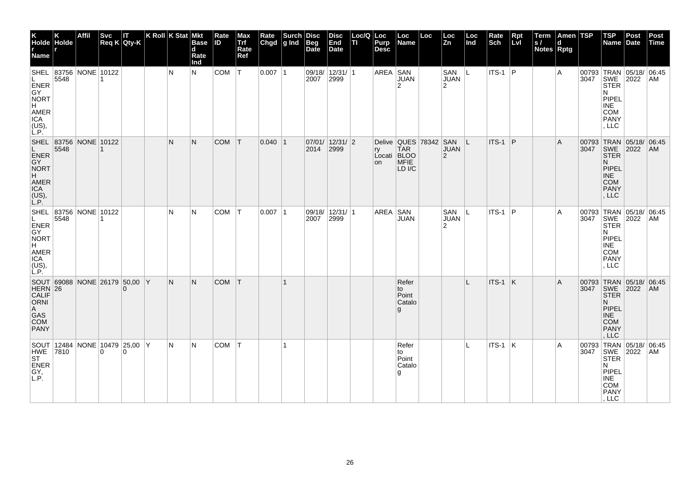| K<br>Holde Holde<br>r r<br>.<br>Name                                                                |      | Affil                         | <b>Svc</b><br>Req K Qty-K | IT       | $K$ Roll $K$ Stat | <b>Mkt</b><br>Base<br>d<br>Rate<br>Ind | Rate<br>ID. | Max<br>Trf<br>Rate<br>Ref | Rate<br>Chgd | Surch<br>g Ind | <b>Disc</b><br>Beg<br>Date | Disc<br>End<br><b>Date</b> | Loc/Q   Loc<br>TI | Purp<br><b>Desc</b>     | Loc<br>Name                          | Loc                   | Loc<br>Zn                            | Loc<br>Ind   | Rate<br>Sch     | Rpt<br>Lvl | Term<br> s <br><b>Notes Rptg</b> | Amen TSP |      | TSP<br>Name                                                                                                                  | Post<br>Date | Post<br>Time |
|-----------------------------------------------------------------------------------------------------|------|-------------------------------|---------------------------|----------|-------------------|----------------------------------------|-------------|---------------------------|--------------|----------------|----------------------------|----------------------------|-------------------|-------------------------|--------------------------------------|-----------------------|--------------------------------------|--------------|-----------------|------------|----------------------------------|----------|------|------------------------------------------------------------------------------------------------------------------------------|--------------|--------------|
| ENER<br>GY<br>NORT<br>H.<br>AMER<br>ICA<br>$(US)$ ,<br>L.P.                                         | 5548 | SHEL 83756 NONE 10122         | 1                         |          | IN.               | N                                      | $COM$ $T$   |                           | $0.007$  1   |                | 2007                       | 09/18/ 12/31/ 1<br>2999    |                   | AREA SAN                | JUAN<br>$\overline{2}$               |                       | SAN<br><b>JUAN</b><br>$\overline{2}$ | IL.          | $ITS-1$ P       |            |                                  | A        |      | 00793 TRAN 05/18/ 06:45<br>3047 SWE 2022 AM<br><b>STER</b><br>N<br>PIPEL<br><b>INE</b><br><b>COM</b><br><b>PANY</b><br>, LLC |              |              |
| L<br>ENER<br>GY<br><b>NORT</b><br>H<br>AMER<br>ICA<br>(L, P)                                        | 5548 | SHEL 83756 NONE 10122         |                           |          | N                 | N                                      | COM T       |                           | $0.040$  1   |                | 2014                       | 07/01/ 12/31/ 2 <br>2999   |                   | ry<br>Locati BLOO<br>on | <b>TAR</b><br>MFIE<br>LD I/C         | Delive QUES 78342 SAN | <b>JUAN</b><br>2                     | ΙL           | $ITS-1$ P       |            |                                  | ΙA.      | 3047 | 00793 TRAN 05/18/<br>SWE 2022<br><b>STER</b><br>N.<br>PIPEL<br><b>INE</b><br><b>COM</b><br><b>PANY</b><br>, LLC              |              | 06:45<br>AM  |
| L.<br>ENER<br>GY<br><b>NORT</b><br>$H^{\top}$<br>AMER<br>ICA<br>$(US)$ ,<br>L.P.                    | 5548 | SHEL 83756 NONE 10122         |                           |          | N                 | N                                      | COM T       |                           | 0.007 1      |                | 2007                       | 09/18/ 12/31/ 1<br>2999    |                   | AREA SAN                | <b>JUAN</b>                          |                       | SAN<br><b>JUAN</b><br>2              | ΙL           | $ITS-1$ P       |            |                                  | A        | 3047 | 00793 TRAN 05/18/ 06:45<br>SWE 2022<br><b>STER</b><br>N<br>PIPEL<br><b>INE</b><br><b>COM</b><br><b>PANY</b><br>, LLC         |              | AM           |
| SOUT 69088 NONE 26179 50,00 Y<br>HERN 26<br>CALIF ORNI<br>$\mathsf{A}$<br>GAS<br>COM<br><b>PANY</b> |      |                               |                           |          | N                 | N                                      | <b>COM</b>  | T                         |              | 1              |                            |                            |                   |                         | Refer<br>to<br>Point<br>Catalo<br>g  |                       |                                      | $\mathbf{I}$ | $ITS-1$ K       |            |                                  | A        |      | 00793 TRAN 05/18/ 06:45<br>3047 SWE 2022<br><b>STER</b><br>N.<br>PIPEL<br><b>INE</b><br><b>COM</b><br><b>PANY</b><br>, LLC   |              | AM.          |
| HWE 7810<br><b>ST</b><br>ENER<br>GY,<br>L.P.                                                        |      | SOUT 12484 NONE 10479 25,00 Y | $\overline{0}$            | $\Omega$ | IN.               | N                                      | COM   T     |                           |              | 1              |                            |                            |                   |                         | Refer<br>to<br>Point<br>Catalo<br>۱g |                       |                                      | L.           | $ $ ITS-1 $ $ K |            |                                  | l A      | 3047 | 00793 TRAN 05/18/ 06:45<br>SWE<br><b>STER</b><br>N<br>PIPEL<br><b>INE</b><br>COM<br>PANY<br>, LLC                            | 2022         | AM           |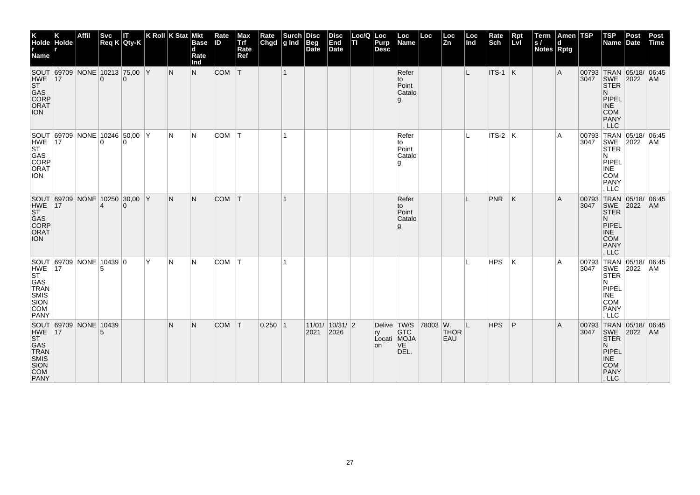| K<br>Holde Holde<br><b>Name</b>                                                            |    | Affil | <b>Svc</b>     | IT<br>$Req K$ Qty-K                       |     | K Roll K Stat Mkt | <b>Base</b><br>$\mathbf d$<br>Rate<br>Ind | Rate<br><b>ID</b> | Max<br>Trf<br>Rate<br>Ref | Rate<br>Chgd | Surch<br>g Ind Beg | <b>Disc</b> | <b>Disc</b><br>End<br>Date | Loc/Q Loc<br>TL | Purp<br><b>Desc</b>     | Loc<br>Name                             | Loc      | Loc<br>Zn          | Loc<br>lnd | Rate<br>Sch | Rpt<br>Lvl | Term<br> s <br>Notes Rptg | Amen TSP<br>d |      | $ $ TSP<br>Name                                                                                                              | Post<br>Date | Post<br>Time |
|--------------------------------------------------------------------------------------------|----|-------|----------------|-------------------------------------------|-----|-------------------|-------------------------------------------|-------------------|---------------------------|--------------|--------------------|-------------|----------------------------|-----------------|-------------------------|-----------------------------------------|----------|--------------------|------------|-------------|------------|---------------------------|---------------|------|------------------------------------------------------------------------------------------------------------------------------|--------------|--------------|
| <b>HWE</b><br>ST<br>GAS<br>CORP<br><b>ORAT</b><br><b>ION</b>                               | 17 |       |                | SOUT 69709 NONE 10213 75,00 Y<br>$\Omega$ |     | IN.               | N.                                        | $COM$ $T$         |                           |              | $\vert$ 1          |             |                            |                 |                         | Refer<br>to<br>Point<br>Catalo<br>g     |          |                    | L          | $ITS-1$ K   |            |                           | Α             |      | 00793 TRAN 05/18/ 06:45<br>3047 SWE 2022 AM<br><b>STER</b><br>N.<br>PIPEL<br><b>INE</b><br><b>COM</b><br><b>PANY</b><br>LLC  |              |              |
| HWE<br>ST<br>GAS<br>CORP<br><b>ORAT</b><br><b>ION</b>                                      | 17 |       | $\Omega$       | SOUT 69709 NONE 10246 50,00 Y<br>$\Omega$ |     | N                 | IN.                                       | COM               | ΙT                        |              | -1                 |             |                            |                 |                         | Refer<br>to<br>Point<br>Catalo<br>g     |          |                    | L          | $ITS-2$ $K$ |            |                           | A             | 3047 | 00793 TRAN 05/18/ 06:45<br>SWE 2022<br><b>STER</b><br>N<br>PIPEL<br><b>INE</b><br>COM<br><b>PANY</b><br>, LLC                |              | AM           |
| HWE<br>ST<br>GAS<br>CORP<br>ORAT<br><b>ION</b>                                             | 17 |       | $\overline{4}$ | SOUT 69709 NONE 10250 30,00 Y<br>$\Omega$ |     | IN.               | N.                                        | <b>COM</b>        | ΙT                        |              |                    |             |                            |                 |                         | Refer<br>to<br>Point<br>Catalo<br>g     |          |                    | L          | PNR         | ΙK         |                           | Α             | 3047 | 00793 TRAN 05/18/ 06:45<br>SWE 2022<br><b>STER</b><br>N.<br><b>PIPEL</b><br><b>INE</b><br><b>COM</b><br><b>PANY</b><br>. LLC |              | <b>AM</b>    |
| SOUT 69709 NONE 10439 0<br>HWE<br>ST<br>GAS<br>TRAN<br>SION<br>SION<br>COM<br><b>PANY</b>  | 17 |       | 5              |                                           | lY. | N                 | IN.                                       | <b>COM</b>        | ١T                        |              |                    |             |                            |                 |                         |                                         |          |                    | L          | <b>HPS</b>  | K          |                           | A             | 3047 | 00793 TRAN 05/18/ 06:45<br>SWE 2022<br><b>STER</b><br>N<br>PIPEL<br><b>INE</b><br>COM<br><b>PANY</b><br>LLC                  |              | ∣AM          |
| SOUT 69709 NONE 10439<br>HWE 17<br>ST<br>GAS<br>TRAN<br>SMIS<br>SION<br>COM<br><b>PANY</b> |    |       |                |                                           |     | N                 | N.                                        | <b>COM</b>        | $\top$                    | $0.250$  1   |                    | 2021 2026   | 11/01/10/31/2              |                 | Delive TW/S<br>ry<br>on | <b>GTC</b><br>Locati MOJA<br>VE<br>DEL. | 78003 W. | <b>THOR</b><br>EAU | L          | <b>HPS</b>  | P          |                           | A             | 3047 | 00793 TRAN 05/18/ 06:45<br>SWE 2022<br><b>STER</b><br>N.<br>PIPEL<br><b>INE</b><br>COM<br>PANY<br>, LLC                      |              | AM           |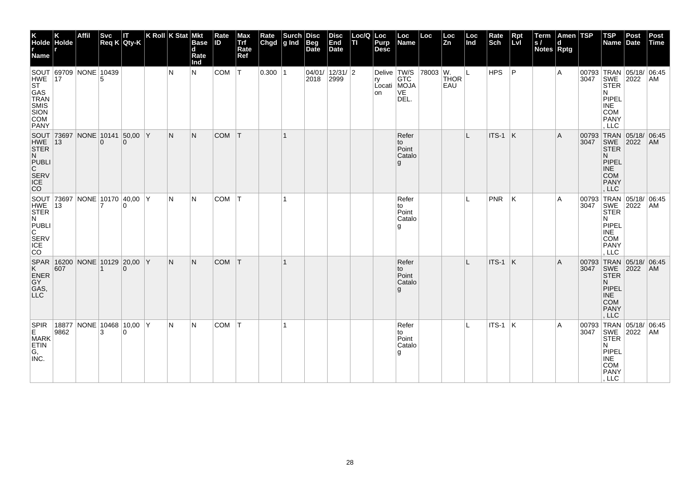| K<br>Holde Holde<br>r<br>Name                                                 |     | <b>Affil</b>                            | <b>Svc</b>     | IΤ<br>Req K Qty-K | $ K$ Roll $ K$ Stat $ M$ kt |     | <b>Base</b><br>d<br>Rate<br>Ind | Rate<br><b>ID</b> | Max<br>Trf<br>Rate<br>Ref | <b>Rate</b><br>Chgd | <b>Surch</b><br>g Ind | Disc<br><b>Beg</b><br>Date | <b>Disc</b><br>End<br>Date | Loc/Q Loc<br>lτι | Purp<br><b>Desc</b> | Loc<br>Name                                        | Loc | Loc<br>Zn                            | Loc<br>Ind | Rate<br>Sch | Rpt<br>Lvl | Term<br> s <br><b>Notes Rptg</b> | Amen TSP<br>d |      | $ $ TSP<br>Name                                                                                                            | Post<br>Date | Post<br>Time |
|-------------------------------------------------------------------------------|-----|-----------------------------------------|----------------|-------------------|-----------------------------|-----|---------------------------------|-------------------|---------------------------|---------------------|-----------------------|----------------------------|----------------------------|------------------|---------------------|----------------------------------------------------|-----|--------------------------------------|------------|-------------|------------|----------------------------------|---------------|------|----------------------------------------------------------------------------------------------------------------------------|--------------|--------------|
| HWE<br>ST<br>GAS<br>TRAN<br>SULS<br>SMIS<br>SION<br>COM<br><b>PANY</b>        | 17  | SOUT 69709 NONE 10439                   |                |                   |                             | N   | N                               | COM               | T                         | $0.300$  1          |                       | 2018                       | 04/01/ 12/31/ 2<br>2999    |                  | on                  | Delive TW/S<br>ry GTC<br>Locati MOJA<br>VE<br>DEL. |     | $ 78003 W.$  L<br><b>THOR</b><br>EAU |            | HPS         | ∣P         |                                  | A             |      | 00793 TRAN 05/18/ 06:45<br>3047 SWE 2022 AM<br><b>STER</b><br>N<br>PIPEL<br><b>INE</b><br><b>COM</b><br><b>PANY</b><br>LLC |              |              |
| HWE $ 13$<br>STER<br>N<br><b>PUBLI</b><br>$\mathsf{C}^-$<br>SERV<br>ICE<br>CO |     | SOUT 73697 NONE 10141 50,00 Y           | $\overline{0}$ | $\Omega$          |                             | N   | N.                              | <b>COM</b>        | T                         |                     | $\mathbf{1}$          |                            |                            |                  |                     | Refer<br>to<br>Point<br>Catalo<br>g                |     |                                      | L          | $ITS-1$ K   |            |                                  | A             | 3047 | 00793 TRAN 05/18/ 06:45<br>SWE 2022<br><b>STER</b><br>N.<br>PIPEL<br><b>INE</b><br><b>COM</b><br><b>PANY</b><br>, LLC      |              | AM           |
| HWE 13<br>N<br>PUBLI<br>C<br><b>SERV</b><br>ICE<br><b>CO</b>                  |     | SOUT 73697 NONE 10170 40,00 Y           |                | $\Omega$          |                             | IN. | N                               | COM               | $\top$                    |                     | 1                     |                            |                            |                  |                     | Refer<br>to<br>Point<br>Catalo<br>g                |     |                                      | L          | PNR         | ΙK         |                                  | A             | 3047 | 00793 TRAN 05/18/ 06:45<br>SWE 2022<br><b>STER</b><br>N<br>PIPEL<br><b>INE</b><br><b>COM</b><br><b>PANY</b><br>LLC         |              | AM           |
| K<br>ENER<br>GY<br>GAS,<br><b>LLC</b>                                         | 607 | SPAR   16200   NONE   10129   20,00   Y |                | $\Omega$          |                             | N.  | N.                              | COM               | T                         |                     |                       |                            |                            |                  |                     | Refer<br>to<br>Point<br>Catalo<br>g                |     |                                      | L          | ITS-1 K     |            |                                  | A             | 3047 | 00793 TRAN 05/18/ 06:45<br>SWE 2022<br><b>STER</b><br>N.<br>PIPEL<br><b>INE</b><br><b>COM</b><br><b>PANY</b><br>, LLC      |              | AM           |
| SPIR 18877 NONE 10468 10,00 Y<br>MARK<br>G,<br>INC.                           |     |                                         |                |                   |                             | IN. | N                               | COM               | T                         |                     |                       |                            |                            |                  |                     | Refer<br>to<br>Point<br>Catalo<br>l g              |     |                                      |            | $ITS-1$ K   |            |                                  | A             |      | 00793 TRAN 05/18/ 06:45<br>3047 SWE 2022 AM<br><b>STER</b><br>N<br>PIPEL<br>INE<br>COM<br>PANY<br>, LLC                    |              |              |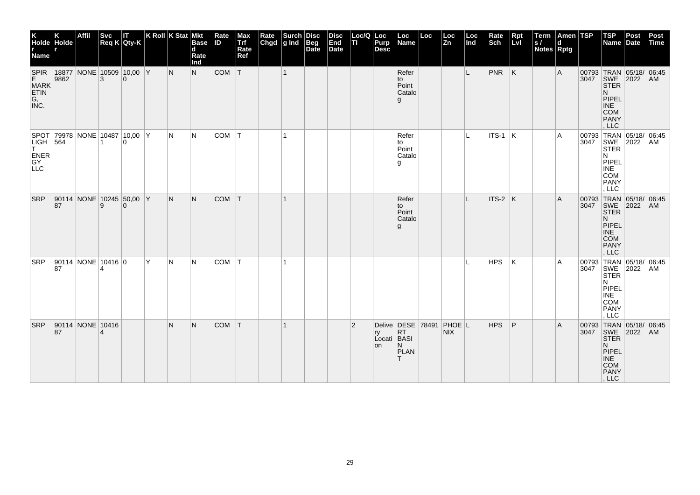| K<br>Holde Holde<br>Name                       |                          | <b>Affil</b> |                | Svc  IT<br> Req K Qty-K                   |   | K Roll $K$ Stat Mkt | <b>Base</b><br>d<br>Rate<br>Ind | Rate<br><b>ID</b> | Max<br>Trf<br>Rate<br>Ref | Rate | Surch<br>Chgd g Ind Beg<br>Date | Disc | <b>Disc</b><br>End<br>Date | Loc/Q<br>TI.   | Loc<br>Purp<br><b>Desc</b> | Loc<br>Name                                      | Loc | Loc<br>Zn  | Loc<br>Ind | Rate<br>Sch | Rpt<br>LvI | Term<br> s <br>Notes Rptg | ∣Amen ∣TSP<br>d |      | TSP<br>Name Date                                                                                   | Post                                        | Post<br>Time |
|------------------------------------------------|--------------------------|--------------|----------------|-------------------------------------------|---|---------------------|---------------------------------|-------------------|---------------------------|------|---------------------------------|------|----------------------------|----------------|----------------------------|--------------------------------------------------|-----|------------|------------|-------------|------------|---------------------------|-----------------|------|----------------------------------------------------------------------------------------------------|---------------------------------------------|--------------|
| SPIR<br>E<br><b>MARK</b><br>ETIN<br>G,<br>INC. | 9862                     |              | 3              | 18877 NONE 10509 10,00 Y<br>$\Omega$      |   | IN.                 | N.                              | COM T             |                           |      | $\vert$ 1                       |      |                            |                |                            | Refer<br>to<br>Point<br>Catalo<br>g              |     |            | L.         | $PNR$ $K$   |            |                           | A               |      | 3047   SWE   2022<br><b>STER</b><br>N<br>PIPEL<br><b>INE</b><br><b>COM</b><br><b>PANY</b><br>, LLC | 00793 TRAN 05/18/ 06:45                     | AM           |
| LIGH 564<br> T <br><b>ENER</b><br>GY<br>LLC    |                          |              | 1              | SPOT 79978 NONE 10487 10,00 Y<br>$\Omega$ |   | N                   | IN.                             | <b>COM</b>        | т                         |      | -1                              |      |                            |                |                            | Refer<br>to<br>Point<br>Catalo<br>g              |     |            | L          | ITS-1       | ΙK.        |                           | A               |      | <b>STER</b><br>N.<br>PIPEL<br><b>INE</b><br><b>COM</b><br>PANY<br>, LLC                            | 00793 TRAN 05/18/ 06:45<br>3047 SWE 2022 AM |              |
| <b>SRP</b>                                     | 87                       |              | 9              | 90114 NONE 10245 50,00 Y<br>$\mathbf{0}$  |   | IN.                 | N.                              | COM T             |                           |      | $\mathbf 1$                     |      |                            |                |                            | Refer<br>to<br>Point<br>Catalo<br>g              |     |            | L          | ITS-2 K     |            |                           | A               | 3047 | SWE 2022<br><b>STER</b><br>N<br>PIPEL<br><b>INE</b><br><b>COM</b><br><b>PANY</b><br>, LLC          | 00793 TRAN 05/18/ 06:45                     | AM           |
| <b>SRP</b>                                     | 90114 NONE 10416 0<br>87 |              | Δ              |                                           | Y | N                   | IN.                             | <b>COM</b>        |                           |      |                                 |      |                            |                |                            |                                                  |     |            | IL.        | HPS         | ΙK         |                           | A               | 3047 | SWE<br><b>STER</b><br>N<br>PIPEL<br><b>INE</b><br><b>COM</b><br><b>PANY</b><br>, LLC               | 00793 TRAN 05/18/ 06:45<br>2022             | AM           |
| <b>SRP</b>                                     | 90114 NONE 10416<br>87   |              | $\overline{4}$ |                                           |   | N                   | N                               | <b>COM</b>        | ΙT                        |      |                                 |      |                            | $\overline{2}$ | ry<br>Locati BASI<br>on    | Delive DESE 78491 PHOE L<br>RT<br>N<br>PLAN<br>T |     | <b>NIX</b> |            | HPS         | P          |                           | A               |      | <b>STER</b><br>N<br>PIPEL<br><b>INE</b><br><b>COM</b><br>PANY<br>, LLC                             | 00793 TRAN 05/18/ 06:45<br>3047 SWE 2022 AM |              |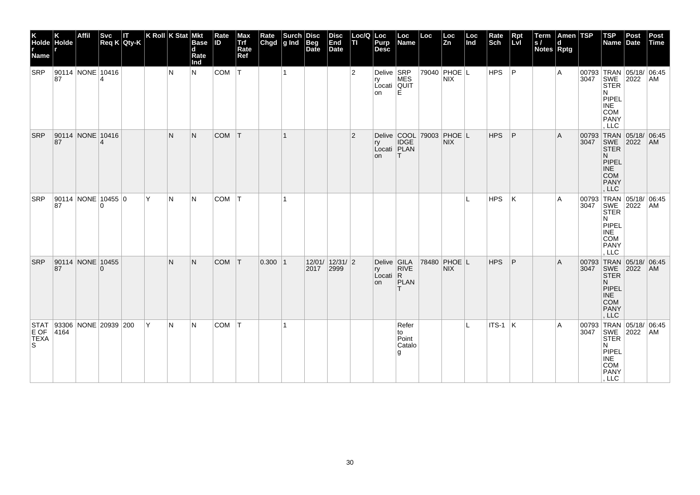| Holde Holde<br>Name      | Κ                                         | Affil |          | Svc IT<br>Req K Qty-K |   | $ K$ Roll $ K$ Stat Mkt | <b>Base</b><br>$\mathbf d$<br>Rate<br>Ind | Rate<br><b>ID</b> | Max<br>Trf<br>Rate<br>Ref | Rate<br>Chgd g Ind Beg<br>Date | $ \textsf{Surch} $ | Disc | <b>Disc</b><br>End<br>Date | $Loc/Q$ $Loc$<br>TL | Purp<br>Desc                                  | Loc<br>Name                         | Loc                      | $\frac{\text{Loc}}{\text{Zn}}$ | Loc<br>Ind   | Rate<br>Sch | Rpt<br>Lvl | Term<br>ls/<br><b>Notes Rptg</b> | Amen TSP<br>$\mathbf d$ |      | <b>TSP</b><br>Name Date                                                                                        | Post | Post<br>Time |
|--------------------------|-------------------------------------------|-------|----------|-----------------------|---|-------------------------|-------------------------------------------|-------------------|---------------------------|--------------------------------|--------------------|------|----------------------------|---------------------|-----------------------------------------------|-------------------------------------|--------------------------|--------------------------------|--------------|-------------|------------|----------------------------------|-------------------------|------|----------------------------------------------------------------------------------------------------------------|------|--------------|
| <b>SRP</b>               | 90114 NONE 10416<br>87                    |       | 4        |                       |   | N                       | N.                                        | COM   T           |                           |                                |                    |      |                            | $\overline{2}$      | Delive SRP<br>ry<br>Locati QUIT<br>on         | <b>MES</b><br>E                     |                          | 79040 PHOE L<br>NIX.           |              | <b>HPS</b>  | ∣P         |                                  | Α                       |      | 00793 TRAN 05/18/ 06:45<br>3047 SWE 2022 AM<br>STER<br>N<br>PIPEL<br><b>INE</b><br><b>COM</b><br>PANY<br>, LLC |      |              |
| <b>SRP</b>               | 90114 NONE 10416<br>87                    |       | 4        |                       |   | N                       | N.                                        | <b>COM</b>        | T                         |                                | $\mathbf 1$        |      |                            | $\overline{2}$      | ry<br>Locati PLAN<br><b>on</b>                | <b>IDGE</b><br>IT.                  | Delive COOL 79003 PHOE L | NIX.                           |              | <b>HPS</b>  | P          |                                  | Α                       |      | 00793 TRAN 05/18/ 06:45<br>3047 SWE 2022 AM<br><b>STER</b><br>N.<br>PIPEL<br><b>INE</b><br>COM<br>PANY<br>LLC  |      |              |
| SRP                      | 90114 NONE 10455 0<br>87                  |       | $\Omega$ |                       | Y | N                       | IN.                                       | COM   T           |                           |                                |                    |      |                            |                     |                                               |                                     |                          |                                | $\mathbf{L}$ | <b>HPS</b>  | K          |                                  | Α                       | 3047 | 00793 TRAN 05/18/ 06:45<br>SWE<br><b>STER</b><br>N<br>PIPEL<br>INE<br>COM<br>PANY<br>LLC                       | 2022 | AM           |
| <b>SRP</b>               | 90114 NONE 10455<br>87                    |       | $\Omega$ |                       |   | N                       | N.                                        | COM T             |                           | 0.300 1                        |                    | 2017 | 12/01/ 12/31/ 2<br>2999    |                     | Delive GILA<br>ry<br>Locati $ R$<br><b>on</b> | <b>RIVE</b><br><b>PLAN</b><br>T.    |                          | 78480 PHOE L<br>NIX.           |              | HPS         | P          |                                  | A                       | 3047 | 00793 TRAN 05/18/ 06:45<br>SWE<br><b>STER</b><br>N.<br>PIPEL<br>INE<br>COM<br><b>PANY</b><br>LLC               | 2022 | AM           |
| E OF<br><b>TEXA</b><br>S | STAT   93306   NONE   20939   200<br>4164 |       |          |                       | Y | N                       | IN.                                       | $COM$ $T$         |                           |                                |                    |      |                            |                     |                                               | Refer<br>to<br>Point<br>Catalo<br>g |                          |                                | L            | $ITS-1$ $K$ |            |                                  | Α                       |      | 00793 TRAN 05/18/ 06:45<br>3047 SWE 2022 AM<br><b>STER</b><br>N<br>PIPEL<br><b>INE</b><br>COM<br>PANY<br>, LLC |      |              |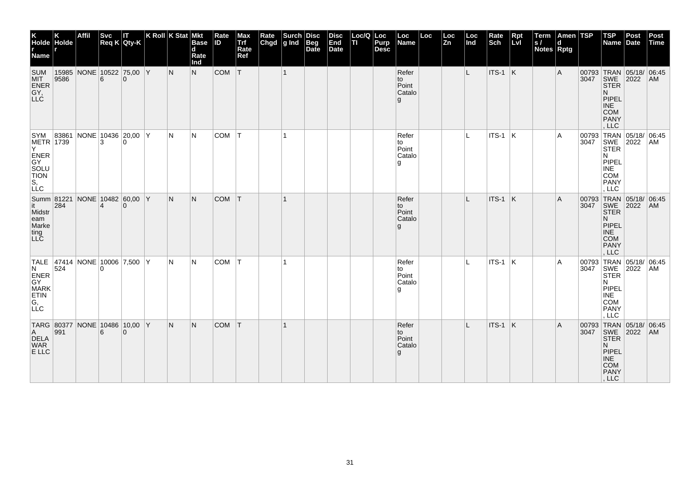| K<br>Holde Holde<br>r<br>Name r                                                     |                  | Affil                         | <b>Svc</b>     | IT.<br>Req K Qty-K             | $ K$ Roll $ K$ Stat $ M$ kt |     | <b>Base</b><br>d<br>Rate<br>Ind | Rate<br><b>ID</b> | Max<br>Trf<br>Rate<br>Ref | Rate<br>Chgd | $\left \begin{array}{c}\text{Such}\\ \text{g Ind}\end{array}\right $ | Disc<br>Beg<br>Date | <b>Disc</b><br>End<br>Date | Loc/Q Loc<br>п | Purp<br><b>Desc</b> | Loc<br>Name                         | Loc | Loc<br>Zn | Loc<br>Ind | Rate<br>Sch     | Rpt<br>Lvl | Term<br>S/<br><b>Notes Rptg</b> | Amen TSP<br>d |               | $ $ TSP<br>Name Date                                                                                                         | Post | Post<br>Time |
|-------------------------------------------------------------------------------------|------------------|-------------------------------|----------------|--------------------------------|-----------------------------|-----|---------------------------------|-------------------|---------------------------|--------------|----------------------------------------------------------------------|---------------------|----------------------------|----------------|---------------------|-------------------------------------|-----|-----------|------------|-----------------|------------|---------------------------------|---------------|---------------|------------------------------------------------------------------------------------------------------------------------------|------|--------------|
| <b>SUM</b><br>MIT<br>ENER<br>GY,<br>LLC                                             | 9586             | 15985 NONE 10522 75,00 Y      | 6              | $\Omega$                       |                             | N   | N                               | COM               | T                         |              | $\mathbf{1}$                                                         |                     |                            |                |                     | Refer<br>to<br>Point<br>Catalo<br>g |     |           | L.         | $ITS-1$ K       |            |                                 | Α             |               | 00793 TRAN 05/18/ 06:45<br>3047 SWE 2022 AM<br><b>STER</b><br>N.<br>PIPEL<br><b>INE</b><br><b>COM</b><br><b>PANY</b><br>LLC  |      |              |
| SYM 83861<br>METR 1739<br>Y.<br>ENER<br>GY<br>SOLU<br>TION<br>S <sub>1</sub><br>LLC |                  |                               | 3              | NONE 10436 20,00 Y<br>$\Omega$ |                             | N   | N                               | COM               | IT.                       |              | $\mathbf{1}$                                                         |                     |                            |                |                     | Refer<br>to<br>Point<br>Catalo<br>g |     |           | L          | ITS-1           | ΙK.        |                                 | Α             | 00793<br>3047 | TRAN 05/18/ 06:45<br>SWE 2022<br>N<br>PIPEL<br>INE<br><b>COM</b><br><b>PANY</b><br>LLC                                       |      | AM           |
| it a<br>Midstr<br>eam<br>Marke<br>ting<br>LLC                                       | 284              | Summ 81221 NONE 10482 60,00 Y | $\overline{4}$ | $\Omega$                       |                             | IN. | N.                              | <b>COM</b>        | T                         |              |                                                                      |                     |                            |                |                     | Refer<br>to<br>Point<br>Catalo<br>g |     |           |            | ITS-1 K         |            |                                 | A             | 3047          | 00793 TRAN 05/18/ 06:45<br>SWE 2022<br><b>STER</b><br>N.<br>PIPEL<br>INE<br><b>COM</b><br>PANY<br>, LLC                      |      | AM           |
| TALE 47414 NONE 10006 7,500 Y<br>N<br>ENER<br>GY<br>MARK<br>ETIN<br>G,<br>LLC       | 524              |                               | 0              |                                |                             | IN. | N                               | COM               | T                         |              |                                                                      |                     |                            |                |                     | Refer<br>to<br>Point<br>Catalo<br>g |     |           | IL.        | $ $ ITS-1 $ $ K |            |                                 | A             |               | 00793 TRAN 05/18/ 06:45<br>3047 SWE 2022 AM<br><b>STER</b><br>N<br>PIPEL<br><b>INE</b><br><b>COM</b><br><b>PANY</b><br>, LLC |      |              |
| A<br>DELA<br>WAR<br>E LLC                                                           | $\overline{991}$ | TARG 80377 NONE 10486 10,00 Y | 6              | $\Omega$                       |                             | IN. | N.                              | COM               | T                         |              |                                                                      |                     |                            |                |                     | Refer<br>to<br>Point<br>Catalo<br>g |     |           |            | $ITS-1$ K       |            |                                 | A             |               | 00793 TRAN 05/18/ 06:45<br>3047 SWE 2022 AM<br><b>STER</b><br>N.<br>PIPEL<br><b>INE</b><br><b>COM</b><br>PANY<br>, LLC       |      |              |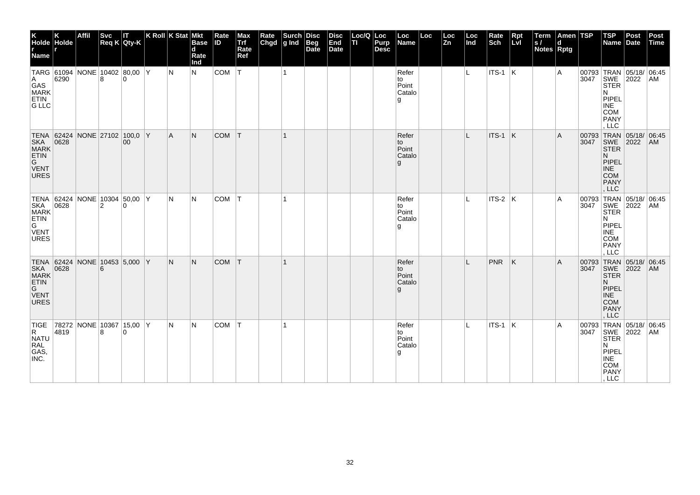| K<br>Holde Holde<br><b>Name</b>                                      |      | Affil |                | Svc<br>Req K Qty-K                        | K Roll K Stat Mkt | <b>Base</b><br>d<br>Rate<br>Ind | Rate<br><b>ID</b> | Max<br>Trf<br>Rate<br>Ref | Rate Surch   | Disc<br>Beg<br>Date | <b>Disc</b><br>End<br>Date | Loc/Q<br>TI | Loc<br>Purp<br><b>Desc</b> | Loc<br>Name                           | Loc | Loc<br>Zn | Loc<br>Ind   | Rate<br>Sch | Rpt<br>LvI              | Term<br>S/<br>Notes Rptg | Amen TSP<br>d |               | $ $ TSP<br>Name                                                                                                            | Post<br>Date | Post<br>Time |
|----------------------------------------------------------------------|------|-------|----------------|-------------------------------------------|-------------------|---------------------------------|-------------------|---------------------------|--------------|---------------------|----------------------------|-------------|----------------------------|---------------------------------------|-----|-----------|--------------|-------------|-------------------------|--------------------------|---------------|---------------|----------------------------------------------------------------------------------------------------------------------------|--------------|--------------|
| $\mathsf{A}$<br>GAS<br><b>MARK</b><br><b>ETIN</b><br><b>G LLC</b>    | 6290 |       |                | TARG 61094 NONE 10402 80,00 Y<br>$\Omega$ | IN.               | IN.                             | <b>COM</b>        | T                         | $\mathbf{1}$ |                     |                            |             |                            | Refer<br>to<br>Point<br>Catalo<br>g   |     |           | L.           | $ITS-1$ K   |                         |                          | Α             |               | 00793 TRAN 05/18/ 06:45<br>3047 SWE 2022 AM<br><b>STER</b><br>N<br>PIPEL<br><b>INE</b><br><b>COM</b><br><b>PANY</b><br>LLC |              |              |
| TENA 62424<br>SKA<br>MARK<br><b>ETIN</b><br>G<br>VENT<br><b>URES</b> | 0628 |       |                | NONE 27102 100,0 Y<br>00                  | A                 | N.                              | <b>COM</b>        | T                         | $\mathbf{1}$ |                     |                            |             |                            | Refer<br>to<br>Point<br>Catalo<br>g   |     |           | L            | ITS-1       | $\overline{\mathsf{K}}$ |                          | A             | 00793<br>3047 | TRAN 05/18/ 06:45<br>SWE 2022<br><b>STER</b><br>N.<br>PIPEL<br><b>INE</b><br><b>COM</b><br><b>PANY</b><br>LLC              |              | AM           |
| SKA<br>MARK<br>ETIN<br>G<br>VENT<br><b>URES</b>                      | 0628 |       | $\overline{2}$ | TENA 62424 NONE 10304 50,00 Y<br>$\Omega$ | N                 | IN.                             | <b>COM</b>        | ١T                        |              |                     |                            |             |                            | Refer<br>to<br>Point<br>Catalo<br>۱g  |     |           |              | $ITS-2$ K   |                         |                          | A             | 3047          | 00793 TRAN 05/18/ 06:45<br>SWE<br><b>STER</b><br>N<br>PIPEL<br><b>INE</b><br><b>COM</b><br>PANY<br>LLC                     | 2022         | AM           |
| VENT<br>URES                                                         |      |       | 6              | NONE 10453 5,000 Y                        | IN.               | N.                              | <b>COM</b>        | T                         |              |                     |                            |             |                            | Refer<br>to<br>Point<br>Catalo<br>g   |     |           | $\mathbf{I}$ | <b>PNR</b>  | ΙK                      |                          | A             | 3047          | 00793 TRAN 05/18/ 06:45<br>SWE<br><b>STER</b><br>N.<br>PIPEL<br><b>INE</b><br><b>COM</b><br><b>PANY</b><br>, LLC           | 2022         | AM           |
| <b>TIGE</b><br>R<br>NATU<br>RAL<br>GAS,<br>INC.                      | 4819 |       | 8              | 78272 NONE 10367 15,00 Y<br>$\mathbf{0}$  | N                 | IN.                             | <b>COM</b>        | İΤ                        |              |                     |                            |             |                            | Refer<br>to<br>Point<br>Catalo<br>l g |     |           |              | $ITS-1$ K   |                         |                          | Α             |               | 00793 TRAN 05/18/ 06:45<br>3047 SWE 2022 AM<br><b>STER</b><br>N<br>PIPEL<br>INE<br>COM<br>PANY<br>, LLC                    |              |              |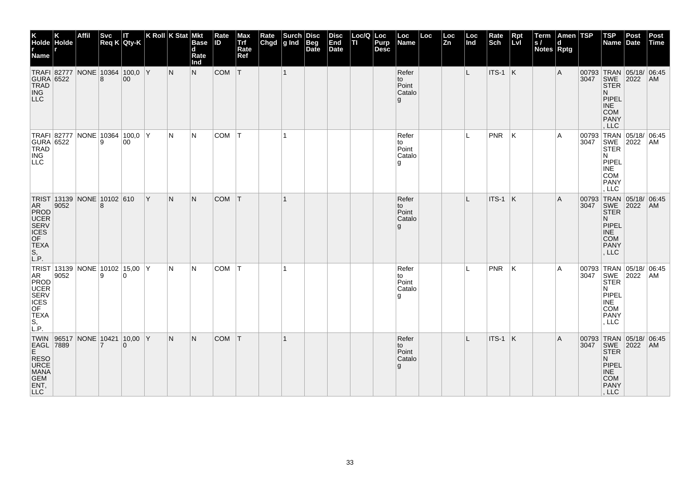| K<br>Holde Holde<br>r<br>Name r                                                                                   |      | <b>Affil</b> | <b>Svc</b> | IT.<br>Req K Qty-K                   |     | K Roll $K$ Stat Mkt | <b>Base</b><br>d<br>Rate<br>Ind | Rate<br><b>ID</b> | Max<br>Trf<br>Rate<br>Ref | Rate<br>Chgd | $\left \begin{array}{c}\text{Such}\\ \text{g Ind}\end{array}\right $ | <b>Disc</b><br>Beg<br>Date | <b>Disc</b><br>End<br>Date | Loc/Q Loc<br>ΠI | Purp<br><b>Desc</b> | Loc<br>Name                           | Loc | Loc<br>Zn | Loc<br>Ind | Rate<br>Sch | <b>Rpt</b><br>LvI | $\sqrt{\frac{1}{s}}$<br><b>Notes Rptg</b> | Amen TSP<br>d |      | $ $ TSP<br>Name                                                                                                              | Post<br><b>Date</b> | Post<br><b>Time</b> |
|-------------------------------------------------------------------------------------------------------------------|------|--------------|------------|--------------------------------------|-----|---------------------|---------------------------------|-------------------|---------------------------|--------------|----------------------------------------------------------------------|----------------------------|----------------------------|-----------------|---------------------|---------------------------------------|-----|-----------|------------|-------------|-------------------|-------------------------------------------|---------------|------|------------------------------------------------------------------------------------------------------------------------------|---------------------|---------------------|
| GURA 6522<br>TRAD<br>ING<br>LLC                                                                                   |      |              | 8          | TRAFI 82777 NONE 10364 100,0 Y<br>00 |     | IN.                 | N.                              | <b>COM</b>        | T                         |              | $\overline{1}$                                                       |                            |                            |                 |                     | Refer<br>to<br>Point<br>Catalo<br>g   |     |           | L          | $ITS-1$ K   |                   |                                           | A             | 3047 | 00793 TRAN 05/18/ 06:45<br>SWE 2022<br>STER<br>N.<br>PIPEL<br><b>INE</b><br><b>COM</b><br><b>PANY</b><br>, LLC               |                     | AM                  |
| GURA 6522<br>TRAD<br>ING<br>LLC                                                                                   |      |              | 9          | TRAFI 82777 NONE 10364 100,0 Y<br>00 |     | IN.                 | N                               | COM T             |                           |              | $\mathbf{1}$                                                         |                            |                            |                 |                     | Refer<br>to<br>Point<br>Catalo<br>l g |     |           | IL.        | PNR         | K                 |                                           | A             | 3047 | 00793 TRAN 05/18/ 06:45<br>SWE 2022<br><b>STER</b><br>N<br>PIPEL<br>INE<br><b>COM</b><br><b>PANY</b><br>, LLC                |                     | AM                  |
| TRIST 13139 NONE 10102 610<br>AR<br>PROD<br>SERV<br>CES<br>OF<br><b>TEXA</b><br>S,<br>LP.                         | 9052 |              | 8          |                                      | ΙY. | N                   | N.                              | <b>COM</b>        | T                         |              | $\mathbf{1}$                                                         |                            |                            |                 |                     | Refer<br>to<br>Point<br>Catalo<br>g   |     |           | L          | $ITS-1$ K   |                   |                                           | A             | 3047 | 00793 TRAN 05/18/ 06:45<br>SWE 2022<br>STER<br>N.<br>PIPEL<br><b>INE</b><br><b>COM</b><br><b>PANY</b><br>, LLC               |                     | <b>AM</b>           |
| TRIST 13139 NONE 10102 15,00 Y<br>AR 9052<br>PROD 9052<br>UCER<br>SERV<br>ICES<br>OF<br>TEXA<br>S<br>$S,$<br>L.P. |      |              |            |                                      |     | N                   | N                               | COM               | T                         |              | 1                                                                    |                            |                            |                 |                     | Refer<br>to<br>Point<br>Catalo<br>g   |     |           |            | <b>PNR</b>  | ΙK                |                                           | A             |      | 00793 TRAN 05/18/ 06:45<br>3047 SWE 2022 AM<br><b>STER</b><br>N<br>PIPEL<br><b>INE</b><br><b>COM</b><br><b>PANY</b><br>, LLC |                     |                     |
| TWIN 96517 NONE 10421 10,00 Y<br>EAGL 7889 7 0<br>RESO<br>URCE<br>MANA<br>GEM<br>ENT,<br>LLC <sup>1</sup>         |      |              |            |                                      |     | N.                  | N.                              | <b>COM</b>        | T                         |              |                                                                      |                            |                            |                 |                     | Refer<br>to<br>Point<br>Catalo<br>g   |     |           | IL.        | $ITS-1$ K   |                   |                                           | A             |      | 00793 TRAN 05/18/ 06:45<br>3047 SWE 2022<br><b>STER</b><br>N.<br>PIPEL<br><b>INE</b><br>COM<br>PANY<br>, LLC                 |                     | AM                  |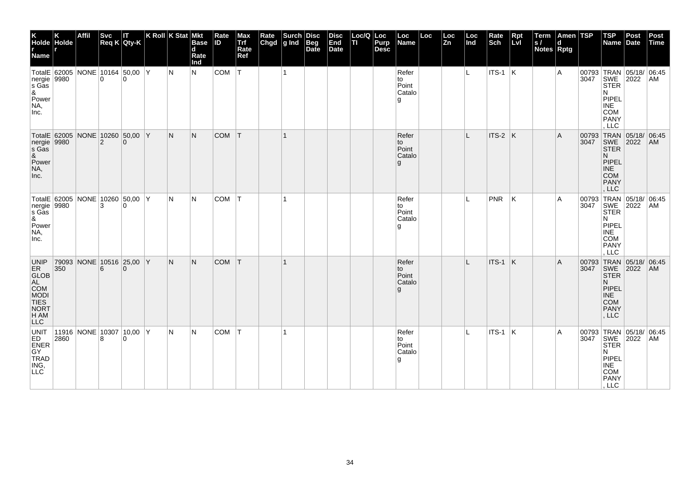| K<br>Holde Holde<br>Name                                                      |      | Affil |                | Svc IT<br>Req K Qty-K                             | K Roll $K$ Stat Mkt | <b>Base</b><br>$\mathbf d$<br>Rate<br>Ind | Rate<br>IID. | Max<br>Trf<br>Rate<br>Ref | Rate<br>Chgd | $\left \begin{array}{c}\text{Such}\\ \text{g Ind}\end{array}\right $ | <b>Disc</b><br> Beq<br>Date | <b>Disc</b><br>End<br>Date | Loc/Q Loc<br>TI | <b>Purp</b><br><b>Desc</b> | Loc<br>Name                           | Loc | Loc<br>Zn | Loc<br>Ind | Rate<br>Sch    | Rpt<br>LvI | Term<br>ls/<br><b>Notes Rptg</b> | Amen TSP<br>d |               | <b>TSP</b><br>Name                                                                                        | Post<br>Date         | Post<br>Time  |
|-------------------------------------------------------------------------------|------|-------|----------------|---------------------------------------------------|---------------------|-------------------------------------------|--------------|---------------------------|--------------|----------------------------------------------------------------------|-----------------------------|----------------------------|-----------------|----------------------------|---------------------------------------|-----|-----------|------------|----------------|------------|----------------------------------|---------------|---------------|-----------------------------------------------------------------------------------------------------------|----------------------|---------------|
| nergie 9980<br>s Gas<br>&<br>Power<br>NA,<br>Inc.                             |      |       | $\Omega$       | TotalE 62005 NONE 10164 50,00 Y<br>$\Omega$       | N                   | N.                                        | COM          | İΤ                        |              | $\mathbf 1$                                                          |                             |                            |                 |                            | Refer<br>to<br>Point<br>Catalo<br>۱g  |     |           | IL.        | <b>ITS-1</b> K |            |                                  | A             | 3047          | 00793 TRAN<br>SWE<br><b>STER</b><br>N<br>PIPEL<br><b>INE</b><br><b>COM</b><br>PANY<br>, LLC               | 05/18/ 06:45<br>2022 | AM            |
| nergie 9980<br>&<br>Power<br>NA,<br>Inc.                                      |      |       | $\overline{2}$ | TotalE 62005 NONE 10260 50,00 Y<br>$\mathbf{0}$   | N                   | N.                                        | COM T        |                           |              |                                                                      |                             |                            |                 |                            | Refer<br>to<br>Point<br>Catalo<br>g   |     |           |            | $ITS-2$ $K$    |            |                                  | A             | 00793<br>3047 | TRAN<br>SWE<br><b>STER</b><br>N<br>PIPEL<br><b>INE</b><br><b>COM</b><br><b>PANY</b><br>, LLC              | 05/18/<br>2022       | 06:45<br>AM   |
| nergie 9980<br>s Găs<br>&<br>Power<br>NA,<br>Inc.                             |      |       | 3              | TotalE 62005   NONE 10260   50,00   Y<br>$\Omega$ | N                   | IN.                                       | <b>COM</b>   |                           |              |                                                                      |                             |                            |                 |                            | Refer<br>to<br>Point<br>Catalo<br>g   |     |           | IL.        | PNR            | ΙK         |                                  | A             | 3047          | 00793 TRAN 05/18/<br>SWE<br><b>STER</b><br>N<br>PIPEL<br><b>INE</b><br><b>COM</b><br><b>PANY</b><br>, LLC | 2022                 | 06:45<br>  AM |
| <b>UNIP</b><br>ER<br>GLOB<br>AL<br>COM<br>MODI<br>TIES<br>NORT<br>H AM<br>LLC | 350  |       | 6              | 79093 NONE 10516 25,00 Y<br>$\Omega$              | N                   | N.                                        | <b>COM</b>   | ΙT                        |              | -1                                                                   |                             |                            |                 |                            | Refer<br>to<br>Point<br>Catalo<br>g   |     |           | L          | ITS-1          | ΙK.        |                                  | A             | 00793<br>3047 | TRAN 05/18/<br>SWE 2022<br><b>STER</b><br>N<br>PIPEL<br><b>INE</b><br><b>COM</b><br><b>PANY</b><br>, LLC  |                      | 06:45<br>AM   |
| UNIT<br>ED <sup>1</sup><br><b>ENER</b><br>GY<br>TRAD<br>ING,<br> LLC          | 2860 |       | 8              | $ 11916 $ NONE 10307 10,00 Y<br>$\Omega$          | N                   | N.                                        | COM          | $\top$                    |              |                                                                      |                             |                            |                 |                            | Refer<br>to<br>Point<br>Catalo<br>l g |     |           |            | $ITS-1$ K      |            |                                  | A             | 3047          | 00793 TRAN 05/18/ 06:45<br>SWE<br><b>STER</b><br>N<br>PIPEL<br><b>INE</b><br><b>COM</b><br>PANY<br>, LLC  | 2022                 | AM            |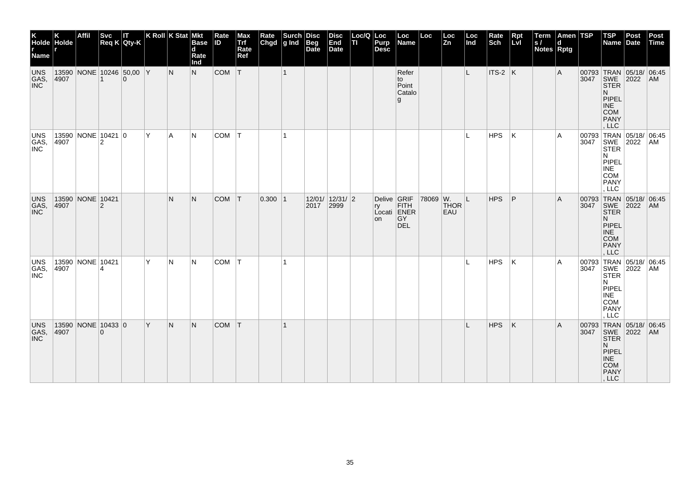| K<br>Holde Holde<br>r<br>Name r |               | Affil              |          | Svc IT<br>Req K Qty-K                |     | K Roll K Stat Mkt | <b>Base</b><br>d<br>Rate<br>Ind | Rate<br><b>ID</b> | Max<br>Trf<br>Rate<br>Ref |            | Rate Surch Disc<br>Chgd g Ind Beg<br>Date |           | <b>Disc</b><br>End<br><b>Date</b> | Loc/Q Loc<br> TI Purp | Purp<br><b>Desc</b>     | Loc<br>Name                                    | Loc      | Loc<br>Zn          | $\vert$ Loc<br>$\vert$ Ind | Rate<br>Sch | Rpt<br>Lvl | Term<br> s <br><b>Notes Rptg</b> | Amen TSP<br>d |      | $ $ TSP<br>Name                                                                                                       | Post<br>Date | Post<br>Time |
|---------------------------------|---------------|--------------------|----------|--------------------------------------|-----|-------------------|---------------------------------|-------------------|---------------------------|------------|-------------------------------------------|-----------|-----------------------------------|-----------------------|-------------------------|------------------------------------------------|----------|--------------------|----------------------------|-------------|------------|----------------------------------|---------------|------|-----------------------------------------------------------------------------------------------------------------------|--------------|--------------|
| UNS<br>GAS,<br><b>INC</b>       | 4907          |                    |          | 13590 NONE 10246 50,00 Y<br>$\Omega$ |     | N                 | N                               | $COM$ $T$         |                           |            | $\vert$ 1                                 |           |                                   |                       |                         | Refer<br>to<br>Point<br>Catalo<br>g            |          |                    | L                          | ITS-2 K     |            |                                  | Α             |      | 00793 TRAN 05/18/ 06:45<br>3047 SWE 2022 AM<br><b>STER</b><br>N.<br>PIPEL<br><b>INE</b><br>COM<br>PANY<br>LLC         |              |              |
| UNS<br>GAS,                     | 13590<br>4907 | NONE 10421 0       | 2        |                                      | Y   | A                 | IN.                             | COM               | IΤ                        |            | 1                                         |           |                                   |                       |                         |                                                |          |                    | L                          | <b>HPS</b>  | ΙK         |                                  | A             |      | 00793 TRAN 05/18/ 06:45<br>3047 SWE 2022 AM<br>STER 4<br>N.<br>PIPEL<br><b>INE</b><br>COM<br><b>PANY</b><br>, LLC     |              |              |
| <b>UNS</b><br>GAS,<br>INC       | 13590<br>4907 | NONE 10421         | 2        |                                      |     | N                 | N.                              | <b>COM</b>        | $\mathsf{I}$              | $0.300$  1 |                                           | 2017 2999 | $12/01/$ 12/31/2                  |                       | Delive GRIF<br>rv<br>on | <b>FITH</b><br>Locati ENER<br>GY<br><b>DEL</b> | 78069 W. | <b>THOR</b><br>EAU | L                          | <b>HPS</b>  | P          |                                  | Α             | 3047 | 00793 TRAN 05/18/ 06:45<br>SWE 2022<br><b>STER</b><br>N.<br>PIPEL<br><b>INE</b><br><b>COM</b><br><b>PANY</b><br>, LLC |              | <b>AM</b>    |
| UNS<br>GAS,<br>INC              | 4907          | 13590 NONE 10421   |          |                                      | Y   | N                 | IN.                             | <b>COM</b>        | ١T                        |            |                                           |           |                                   |                       |                         |                                                |          |                    | L                          | HPS         | ΙK         |                                  | A             |      | 00793 TRAN 05/18/ 06:45<br>3047 SWE 2022 AM<br><b>STER</b><br>N<br>PIPEL<br><b>INE</b><br>COM<br><b>PANY</b><br>, LLC |              |              |
| UNS<br>GAS,<br><b>INC</b>       | 4907          | 13590 NONE 10433 0 | $\Omega$ |                                      | l Y | N                 | N.                              | <b>COM</b>        | T                         |            |                                           |           |                                   |                       |                         |                                                |          |                    |                            | <b>HPS</b>  | K          |                                  | A             |      | 00793 TRAN 05/18/ 06:45<br>3047 SWE 2022 AM<br><b>STER</b><br>N.<br>PIPEL<br><b>INE</b><br>COM<br>PANY<br>, LLC       |              |              |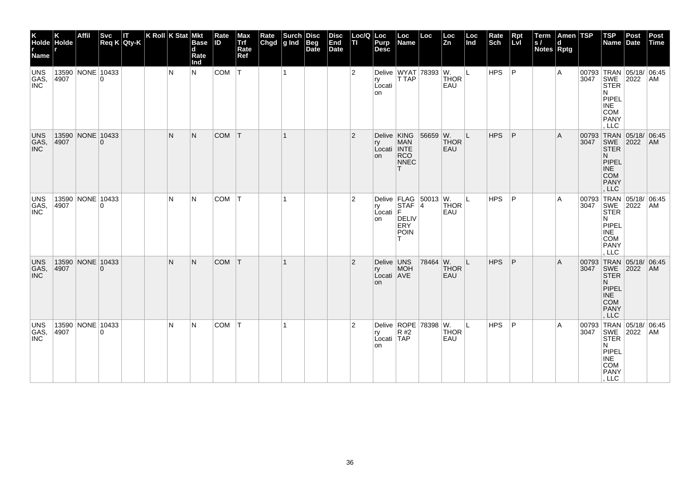| K K<br>Holde Holde<br>Name       |                          | <b>Affil</b> |                                    | Svc IT<br>Req K Qty-K | K Roll $K$ Stat Mkt | <b>Base</b><br>$\mathbf d$<br>Rate<br>Ind | Rate<br><b>ID</b> | Max<br>Trf<br>Rate<br>Ref | Rate Surch Disc<br>Chgd g Ind Beg<br>Date | <b>Disc</b><br>End<br>Date | Loc/Q<br>TI    | Loc<br>Purp<br><b>Desc</b>             | Loc<br>Name                                            | Loc                        | Loc<br>l Zn        | Loc<br>Ind | Rate<br>Sch | Rpt<br>Lvl | Term<br>ls/<br><b>Notes Rptg</b> | Amen TSP<br>$\mathbf d$ |      | $ $ TSP<br>Name Date                                                                                            | Post | Post<br>Time |
|----------------------------------|--------------------------|--------------|------------------------------------|-----------------------|---------------------|-------------------------------------------|-------------------|---------------------------|-------------------------------------------|----------------------------|----------------|----------------------------------------|--------------------------------------------------------|----------------------------|--------------------|------------|-------------|------------|----------------------------------|-------------------------|------|-----------------------------------------------------------------------------------------------------------------|------|--------------|
| UNS<br>GAS,<br><b>INC</b>        | 4907                     |              | 13590 NONE 10433<br>$\Omega$       |                       | N                   | N                                         | COM   T           |                           | $\overline{1}$                            |                            | $\overline{2}$ | ry<br>Locati<br>on                     | T TAP                                                  | Delive   WYAT   78393   W. | <b>THOR</b><br>EAU | IL.        | <b>HPS</b>  | P          |                                  | A                       |      | 00793 TRAN 05/18/ 06:45<br>3047 SWE 2022 AM<br>STER<br>N<br>PIPEL<br><b>INE</b><br>COM<br><b>PANY</b><br>LLC    |      |              |
| <b>UNS</b><br>GAS,<br><b>INC</b> | 13590 NONE 10433<br>4907 |              | $\overline{0}$                     |                       | N                   | N                                         | COM               | T                         | $\vert$ 1                                 |                            | $\overline{2}$ | Delive KING<br>ry<br>Locati INTE<br>on | <b>MAN</b><br>RCO<br>NNEC<br>T                         | 56659 W.                   | <b>THOR</b><br>EAU | L          | <b>HPS</b>  | P          |                                  | Α                       |      | 00793 TRAN 05/18/ 06:45<br>3047 SWE 2022 AM<br><b>STER</b><br>N.<br>PIPEL<br><b>INE</b><br>COM<br>PANY<br>, LLC |      |              |
| UNS<br>GAS,<br><b>INC</b>        | 4907                     |              | 13590 NONE 10433<br>$\overline{0}$ |                       | N                   | N                                         | COM   T           |                           |                                           |                            | 2              | ry<br>Locati F<br>on                   | STAF <sub>14</sub><br><b>DELIV</b><br>ERY<br>POIN<br>T | Delive   FLAG $ 50013 $ W. | <b>THOR</b><br>EAU | L          | <b>HPS</b>  | P          |                                  | Α                       | 3047 | 00793 TRAN 05/18/ 06:45<br>SWE<br><b>STER</b><br>N<br>PIPEL<br>INE<br>COM<br><b>PANY</b><br>LLC                 | 2022 | AM           |
| <b>UNS</b><br>GAS,<br><b>INC</b> | 13590 NONE 10433<br>4907 |              | $\mathbf{0}$                       |                       | N                   | N                                         | COM T             |                           |                                           |                            | $\overline{2}$ | Delive UNS<br>ry<br>Locati AVE<br>on   | MOH                                                    | 78464 W.                   | <b>THOR</b><br>EAU | L          | <b>HPS</b>  | P          |                                  | A                       | 3047 | 00793 TRAN 05/18/ 06:45<br>SWE 2022<br><b>STER</b><br>N<br>PIPEL<br><b>INE</b><br>COM<br><b>PANY</b><br>, LLC   |      | AM           |
| <b>UNS</b><br>GAS,<br><b>INC</b> | 13590 NONE 10433<br>4907 |              | $\overline{0}$                     |                       | N                   | N                                         | COM               | T                         |                                           |                            | $\overline{2}$ | ry<br>Locati TAP<br>on                 | R#2                                                    | Delive   ROPE   78398   W. | <b>THOR</b><br>EAU | Г          | <b>HPS</b>  | P          |                                  | Α                       |      | 00793 TRAN 05/18/ 06:45<br>3047 SWE 2022 AM<br><b>STER</b><br>N<br>PIPEL<br>INE<br>COM<br>PANY<br>, LLC         |      |              |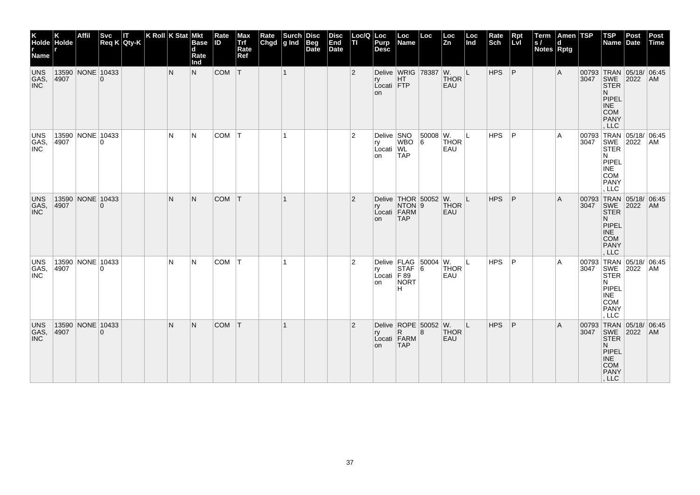| K<br>Holde Holde<br>r<br>Name |               | Affil            |          | $\begin{vmatrix} \mathsf{Svc} & \mathsf{IT} \\ \mathsf{Req K} & \mathsf{Qty-K} \end{vmatrix}$ | K Roll K Stat Mkt | <b>Base</b><br>$\mathbf d$<br>Rate<br>Ind | Rate<br><b>ID</b> | Max<br>Trf<br>Rate<br>Ref | Rate Surch Disc<br>Chgd g Ind Beg<br>Date | <b>Disc</b><br>End<br>Date | Loc/Q<br>TI.   | Loc<br>Purp<br><b>Desc</b>               | Loc<br>Name                                                                                                                                        | Loc             | Loc<br><b>Zn</b>                             | Loc<br>Ind | Rate<br>Sch | Rpt<br>Lvl     | Term<br>ls/<br>Notes Rptg | Amen TSP<br>$\mathbf d$ |      | <b>TSP</b><br>Name Date                                                                                                | Post | Post<br>Time |
|-------------------------------|---------------|------------------|----------|-----------------------------------------------------------------------------------------------|-------------------|-------------------------------------------|-------------------|---------------------------|-------------------------------------------|----------------------------|----------------|------------------------------------------|----------------------------------------------------------------------------------------------------------------------------------------------------|-----------------|----------------------------------------------|------------|-------------|----------------|---------------------------|-------------------------|------|------------------------------------------------------------------------------------------------------------------------|------|--------------|
| UNS<br>GAS,<br>INC            | 4907          | 13590 NONE 10433 | $\Omega$ |                                                                                               | N                 | N.                                        | COM T             |                           | $\vert$ 1                                 |                            | $\overline{2}$ | ry<br>Locati FTP<br>on                   | HT                                                                                                                                                 |                 | Delive WRIG 78387 W. L<br><b>THOR</b><br>EAU |            | HPS         | $\overline{P}$ |                           | A                       |      | 00793 TRAN 05/18/ 06:45<br>3047 SWE 2022 AM<br>STER<br>N.<br>PIPEL<br><b>INE</b><br><b>COM</b><br><b>PANY</b><br>, LLC |      |              |
| UNS<br>GAS,<br>INC            | 13590<br>4907 | NONE 10433       | $\Omega$ |                                                                                               | N                 | IN.                                       | COM               | IТ.                       | $\mathbf{1}$                              |                            | $\overline{2}$ | Delive SNO<br>ry WBO<br>Local   WL<br>on | <b>TAP</b>                                                                                                                                         | 50008 W.<br>l 6 | <b>THOR</b><br>EAU                           | IL.        | <b>HPS</b>  | P              |                           | A                       |      | 00793 TRAN 05/18/ 06:45<br>3047 SWE 2022 AM<br>STER<br>N.<br>PIPEL<br><b>INE</b><br><b>COM</b><br>PANY<br>, LLC        |      |              |
| <b>UNS</b><br>GAS,<br>INC     | 13590<br>4907 | NONE 10433       | $\Omega$ |                                                                                               | N                 | N                                         | <b>COM</b>        | T                         | $\mathbf 1$                               |                            | $\overline{2}$ | rv<br>on                                 | Delive $THOR$ 50052 W.<br>NTON <sub>9</sub><br>Locati FARM<br><b>TAP</b>                                                                           |                 | <b>THOR</b><br>EAU                           | IL.        | <b>HPS</b>  | P              |                           | Α                       | 3047 | 00793 TRAN 05/18/ 06:45<br>SWE<br><b>STER</b><br>N.<br>PIPEL<br><b>INE</b><br><b>COM</b><br><b>PANY</b><br>LLC         | 2022 | <b>AM</b>    |
| <b>UNS</b><br>GAS,            | 4907          | 13590 NONE 10433 | $\Omega$ |                                                                                               | N                 | IN.                                       | <b>COM</b>        | İΤ                        |                                           |                            | $\overline{2}$ | Locati $F89$<br>on                       | Delive $\begin{array}{ c c c c }\n\hline\n\text{ELAG} & 50004 & \text{W.} \\ \text{IY} & \text{STAF} & 6 & \text{THC}\n\end{array}$<br>NORT<br>lн. |                 | <b>THOR</b><br>EAU                           | ΙL         | HPS         | P              |                           | A                       | 3047 | 00793 TRAN 05/18/ 06:45<br>SWE 2022<br><b>STER</b><br>N<br>PIPEL<br><b>INE</b><br>COM<br><b>PANY</b><br>LLC            |      | AM           |
| UNS<br>GAS,<br><b>INC</b>     | 4907          | 13590 NONE 10433 | $\Omega$ |                                                                                               | N                 | N.                                        | <b>COM</b>        | T                         |                                           |                            | $\overline{2}$ | ry<br>on                                 | Delive $ROPE$ 50052 W.<br>$\mathsf{R}$<br>Locati   FARM  <br><b>TAP</b>                                                                            | 8               | <b>THOR</b><br>EAU                           | L          | HPS         | P              |                           | A                       |      | 00793 TRAN 05/18/ 06:45<br>3047 SWE 2022 AM<br><b>STER</b><br>N.<br>PIPEL<br>INE<br>COM<br>PANY<br>, LLC               |      |              |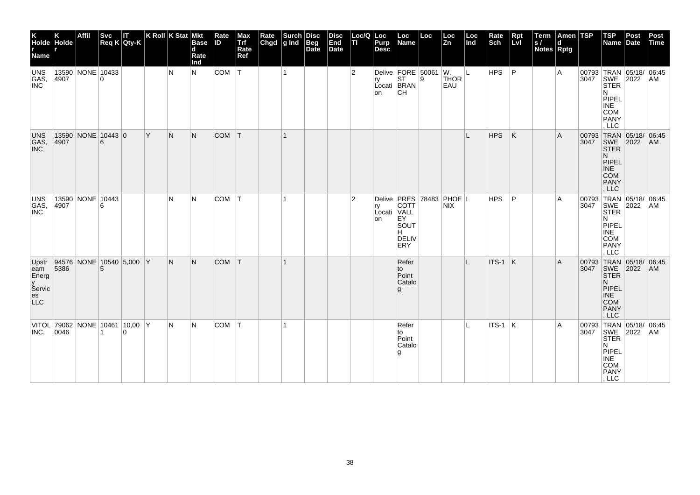| K<br>Holde Holde<br>r<br>Name                                 |                                                                                             | Affil            |          | Svc IT<br>Req K Qty-K                      |     | K Roll K Stat Mkt | <b>Base</b><br>$\overline{\mathbf{d}}$<br>Rate<br>Ind | Rate<br><b>ID</b> | Max<br>Trf<br>Rate<br>Ref | Rate Surch Disc<br>Chgd g Ind Beg<br>Date | <b>Disc</b><br>End<br>Date | Loc/Q<br>TI.   | Loc<br>Purp<br><b>Desc</b> | Loc<br>Name                                                                                                                                                                   | Loc | Loc<br>Zn                  | Loc<br>Ind | Rate<br>Sch | $Rpt$<br>Lvl | Term<br>ls/<br><b>Notes Rptg</b> | Amen TSP<br>$\mathbf d$ |      | $ $ TSP<br>Name Date                                                                                                  | Post | Post<br>Time |
|---------------------------------------------------------------|---------------------------------------------------------------------------------------------|------------------|----------|--------------------------------------------|-----|-------------------|-------------------------------------------------------|-------------------|---------------------------|-------------------------------------------|----------------------------|----------------|----------------------------|-------------------------------------------------------------------------------------------------------------------------------------------------------------------------------|-----|----------------------------|------------|-------------|--------------|----------------------------------|-------------------------|------|-----------------------------------------------------------------------------------------------------------------------|------|--------------|
| UNS<br>GAS,<br>INC                                            | 4907                                                                                        | 13590 NONE 10433 | $\Omega$ |                                            |     | N                 | N.                                                    | <b>COM</b>        | $ \mathsf{T} $            | $\mathbf{1}$                              |                            | $\overline{2}$ | on                         | Delive $\begin{array}{ c c c }\n\hline\n\text{P} & \text{P} \\ \hline\n\text{P} & \text{S} \\ \hline\n\text{S} & \text{S} \\ \hline\n\end{array}$<br>Locati BRAN<br><b>CH</b> |     | <b>THOR</b><br>EAU         | ା∟         | HPS         | ∣P           |                                  | A                       |      | 00793 TRAN 05/18/ 06:45<br>3047 SWE 2022 AM<br>STER<br>N<br>PIPEL<br><b>INE</b><br><b>COM</b><br><b>PANY</b><br>LLC   |      |              |
| UNS<br>GAS,<br>INC                                            | $\begin{array}{ c c c c }\n 13590 & \text{NONE} & 10443 & 0 \\  4907 & 6 & & \n\end{array}$ |                  |          |                                            | ΙY. | N                 | N.                                                    | <b>COM</b>        | T                         | $\mathbf 1$                               |                            |                |                            |                                                                                                                                                                               |     |                            | L          | <b>HPS</b>  | K            |                                  | A                       |      | 00793 TRAN 05/18/ 06:45<br>3047 SWE 2022 AM<br>STER<br>N.<br>PIPEL<br><b>INE</b><br><b>COM</b><br>PANY<br>, LLC       |      |              |
| UNS<br>GAS,<br>INC                                            | 4907                                                                                        | 13590 NONE 10443 | 6        |                                            |     | N                 | IN.                                                   | <b>COM</b>        | $\mathsf{I}\mathsf{T}$    | $\mathbf{1}$                              |                            | $\overline{2}$ | ry<br>Locati VALL<br>on    | Delive <b>PRES</b><br>COTT<br>EY<br>SOUT<br>H<br>DELIV<br>ERY                                                                                                                 |     | 78483 PHOE L<br><b>NIX</b> |            | <b>HPS</b>  | ΙP           |                                  | Α                       | 3047 | 00793 TRAN 05/18/ 06:45<br>SWE<br><b>STER</b><br>N<br>PIPEL<br><b>INE</b><br><b>COM</b><br><b>PANY</b><br>LLC         | 2022 | AM           |
| Upstr<br>eam<br>Energ<br>y<br>Servic<br>$_{\rm LLC}^{\rm es}$ | 5386                                                                                        |                  |          | 94576 NONE 10540 5,000 Y                   |     | N                 | N.                                                    | <b>COM</b>        | İΤ                        |                                           |                            |                |                            | Refer<br>to<br>Point<br>Catalo<br>g                                                                                                                                           |     |                            | L          | $ITS-1$ K   |              |                                  | A                       | 3047 | 00793 TRAN 05/18/ 06:45<br>SWE 2022<br><b>STER</b><br>N.<br>PIPEL<br><b>INE</b><br><b>COM</b><br><b>PANY</b><br>, LLC |      | AM           |
| INC.                                                          | 0046                                                                                        |                  |          | VITOL 79062 NONE 10461 10,00 Y<br>$\Omega$ |     | N                 | IN.                                                   | <b>COM</b>        | ΙT                        |                                           |                            |                |                            | Refer<br>to<br>Point<br>Catalo<br>۱g                                                                                                                                          |     |                            | L          | $ITS-1$ K   |              |                                  | A                       |      | 00793 TRAN 05/18/ 06:45<br>3047 SWE 2022 AM<br><b>STER</b><br>N<br>PIPEL<br><b>INE</b><br>COM<br>PANY<br>, LLC        |      |              |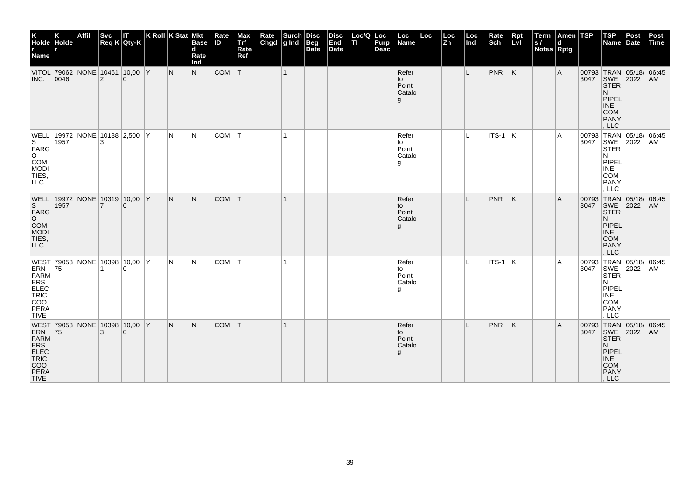| K<br>Holde Holde<br>r<br>Name                                                                                       |                | <b>Affil</b>                   | <b>Svc</b> | IΤ<br>$Req K$ Qty-K | $ K$ Roll $ K$ Stat $ M$ kt |     | <b>Base</b><br>d<br>Rate<br>Ind | Rate<br><b>ID</b> | Max<br>Trf<br>Rate<br>Ref | Rate<br>Chgd | Surch<br>g Ind | Disc<br>Beg<br>Date | <b>Disc</b><br>End<br>Date | Loc/Q Loc<br>lτι | Purp<br><b>Desc</b> | Loc<br>Name                          | Loc | Loc<br>Zn | Loc<br>Ind | Rate<br>Sch | Rpt<br>Lvl | Term<br> s <br><b>Notes Rptg</b> | Amen TSP<br>d |      | $ $ TSP<br>Name                                                                                                              | Post<br>Date | Post<br>Time |
|---------------------------------------------------------------------------------------------------------------------|----------------|--------------------------------|------------|---------------------|-----------------------------|-----|---------------------------------|-------------------|---------------------------|--------------|----------------|---------------------|----------------------------|------------------|---------------------|--------------------------------------|-----|-----------|------------|-------------|------------|----------------------------------|---------------|------|------------------------------------------------------------------------------------------------------------------------------|--------------|--------------|
| INC.                                                                                                                | $ 0046\rangle$ | VITOL 79062 NONE 10461 10,00 Y | 2          | $\Omega$            |                             | N   | N.                              | COM               | T                         |              | $\mathbf{1}$   |                     |                            |                  |                     | Refer<br>to<br>Point<br>Catalo<br>g  |     |           | L          | $PNR$ $K$   |            |                                  | Α             |      | 00793 TRAN 05/18/ 06:45<br>3047 SWE 2022 AM<br><b>STER</b><br>N.<br>PIPEL<br><b>INE</b><br><b>COM</b><br>PANY<br>LLC         |              |              |
| S.<br>$\begin{bmatrix} \overline{F}ARG \\ O \end{bmatrix}$<br>COM<br><b>MODI</b><br>TIES,<br>LLC                    | 1957           | WELL 19972 NONE 10188 2,500 Y  | 3          |                     |                             | IN. | N                               | COM               | $\top$                    |              | $\mathbf{1}$   |                     |                            |                  |                     | Refer<br>to<br>Point<br>Catalo<br>g  |     |           | L.         | $ITS-1$ K   |            |                                  | A             | 3047 | 00793 TRAN 05/18/ 06:45<br>SWE 2022<br>N<br>PIPEL<br><b>INE</b><br>COM<br><b>PANY</b><br>, LLC                               |              | AM           |
| WELL   19972   NONE   10319   10,00   Y<br>S<br>FARG<br>O<br>COM<br>MODI<br>TIES,<br><b>LLC</b>                     | 1957           |                                | 7          | $\Omega$            |                             | IN. | N.                              | <b>COM</b>        | $\mathsf{I}$              |              | $\mathbf{1}$   |                     |                            |                  |                     | Refer<br>to<br>Point<br>Catalo<br>g  |     |           | L          | PNR         | ΙK         |                                  | Α             | 3047 | 00793 TRAN 05/18/ 06:45<br>SWE 2022<br><b>STER</b><br>N.<br><b>PIPEL</b><br><b>INE</b><br><b>COM</b><br><b>PANY</b><br>. LLC |              | AM           |
| WEST 79053 NONE 10398 10,00 Y<br><b>ERN<br/>ERS<br/>ELEC<br/>ELEC<br/>COO<br/>PERA</b><br><b>TIVE</b>               | 75             |                                |            | $\Omega$            |                             | N.  | N                               | COM               | IТ.                       |              |                |                     |                            |                  |                     | Refer<br>to<br>Point<br>Catalo<br>۱g |     |           | IL.        | ITS-1  K    |            |                                  | A             | 3047 | 00793 TRAN 05/18/ 06:45<br>SWE 2022<br><b>STER</b><br>N<br>PIPEL<br><b>INE</b><br>COM<br><b>PANY</b><br>LLC                  |              | AM           |
| WEST 79053 NONE 10398 10,00 Y<br>ERN 75<br>FARM<br>ERS<br>ERS<br>TRIC<br>TRIC<br>TRIC<br>COO<br>PERA<br><b>TIVE</b> |                |                                |            |                     |                             | N.  | N.                              | <b>COM</b>        | T                         |              |                |                     |                            |                  |                     | Refer<br>to<br>Point<br>Catalo<br>g  |     |           |            | <b>PNR</b>  | K          |                                  | A             |      | 00793 TRAN 05/18/ 06:45<br>3047 SWE 2022 AM<br><b>STER</b><br>N.<br>PIPEL<br><b>INE</b><br>COM<br>PANY<br>, LLC              |              |              |